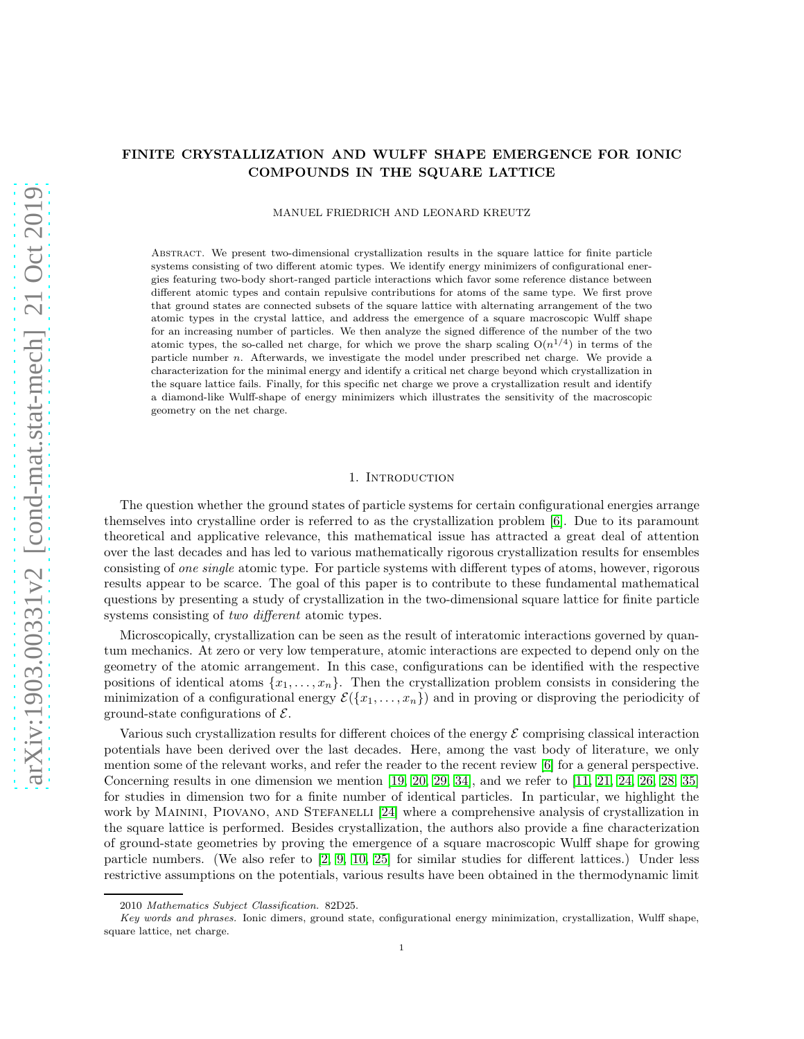# FINITE CRYSTALLIZATION AND WULFF SHAPE EMERGENCE FOR IONIC COMPOUNDS IN THE SQUARE LATTICE

MANUEL FRIEDRICH AND LEONARD KREUTZ

Abstract. We present two-dimensional crystallization results in the square lattice for finite particle systems consisting of two different atomic types. We identify energy minimizers of configurational energies featuring two-body short-ranged particle interactions which favor some reference distance between different atomic types and contain repulsive contributions for atoms of the same type. We first prove that ground states are connected subsets of the square lattice with alternating arrangement of the two atomic types in the crystal lattice, and address the emergence of a square macroscopic Wulff shape for an increasing number of particles. We then analyze the signed difference of the number of the two atomic types, the so-called net charge, for which we prove the sharp scaling  $O(n^{1/4})$  in terms of the particle number n. Afterwards, we investigate the model under prescribed net charge. We provide a characterization for the minimal energy and identify a critical net charge beyond which crystallization in the square lattice fails. Finally, for this specific net charge we prove a crystallization result and identify a diamond-like Wulff-shape of energy minimizers which illustrates the sensitivity of the macroscopic geometry on the net charge.

### 1. INTRODUCTION

The question whether the ground states of particle systems for certain configurational energies arrange themselves into crystalline order is referred to as the crystallization problem [\[6\]](#page-44-0). Due to its paramount theoretical and applicative relevance, this mathematical issue has attracted a great deal of attention over the last decades and has led to various mathematically rigorous crystallization results for ensembles consisting of *one single* atomic type. For particle systems with different types of atoms, however, rigorous results appear to be scarce. The goal of this paper is to contribute to these fundamental mathematical questions by presenting a study of crystallization in the two-dimensional square lattice for finite particle systems consisting of *two different* atomic types.

Microscopically, crystallization can be seen as the result of interatomic interactions governed by quantum mechanics. At zero or very low temperature, atomic interactions are expected to depend only on the geometry of the atomic arrangement. In this case, configurations can be identified with the respective positions of identical atoms  $\{x_1, \ldots, x_n\}$ . Then the crystallization problem consists in considering the minimization of a configurational energy  $\mathcal{E}(\{x_1, \ldots, x_n\})$  and in proving or disproving the periodicity of ground-state configurations of  $\mathcal{E}$ .

Various such crystallization results for different choices of the energy  $\mathcal E$  comprising classical interaction potentials have been derived over the last decades. Here, among the vast body of literature, we only mention some of the relevant works, and refer the reader to the recent review [\[6\]](#page-44-0) for a general perspective. Concerning results in one dimension we mention  $[19, 20, 29, 34]$  $[19, 20, 29, 34]$  $[19, 20, 29, 34]$  $[19, 20, 29, 34]$ , and we refer to  $[11, 21, 24, 26, 28, 35]$  $[11, 21, 24, 26, 28, 35]$  $[11, 21, 24, 26, 28, 35]$  $[11, 21, 24, 26, 28, 35]$  $[11, 21, 24, 26, 28, 35]$  $[11, 21, 24, 26, 28, 35]$ for studies in dimension two for a finite number of identical particles. In particular, we highlight the work by Mainini, Piovano, and Stefanelli [\[24\]](#page-44-7) where a comprehensive analysis of crystallization in the square lattice is performed. Besides crystallization, the authors also provide a fine characterization of ground-state geometries by proving the emergence of a square macroscopic Wulff shape for growing particle numbers. (We also refer to [\[2,](#page-44-11) [9,](#page-44-12) [10,](#page-44-13) [25\]](#page-44-14) for similar studies for different lattices.) Under less restrictive assumptions on the potentials, various results have been obtained in the thermodynamic limit

<sup>2010</sup> Mathematics Subject Classification. 82D25.

Key words and phrases. Ionic dimers, ground state, configurational energy minimization, crystallization, Wulff shape, square lattice, net charge.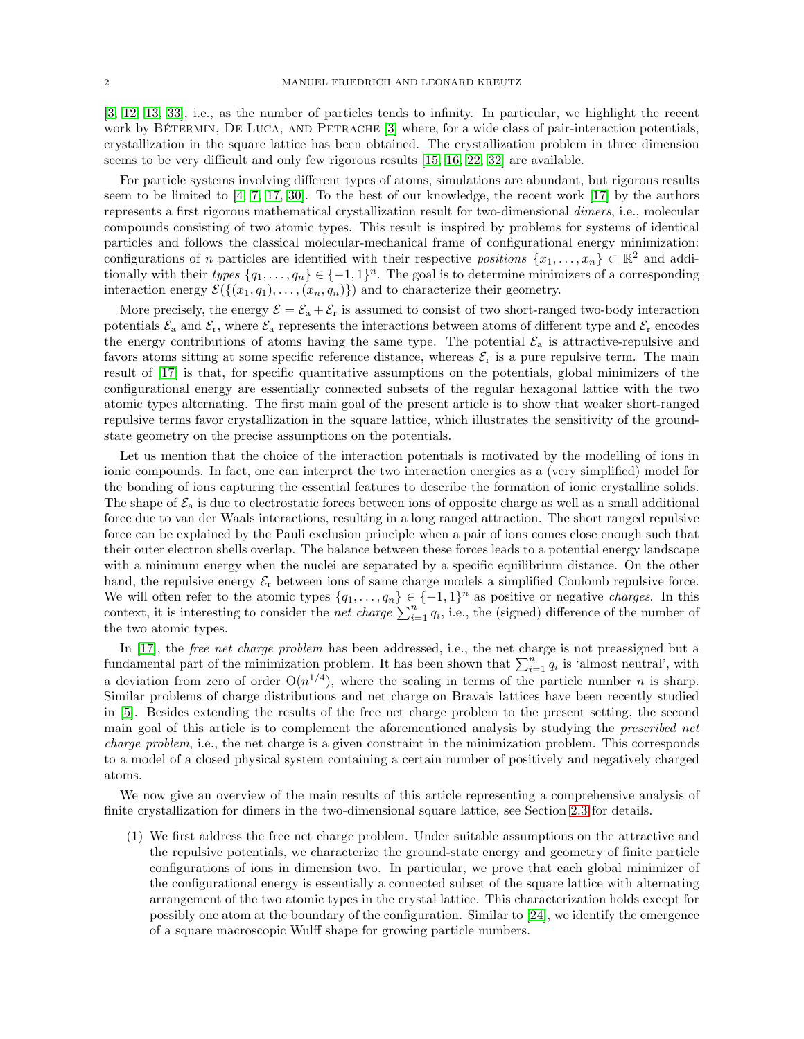[\[3,](#page-44-15) [12,](#page-44-16) [13,](#page-44-17) [33\]](#page-44-18), i.e., as the number of particles tends to infinity. In particular, we highlight the recent work by BÉTERMIN, DE LUCA, AND PETRACHE [\[3\]](#page-44-15) where, for a wide class of pair-interaction potentials, crystallization in the square lattice has been obtained. The crystallization problem in three dimension seems to be very difficult and only few rigorous results [\[15,](#page-44-19) [16,](#page-44-20) [22,](#page-44-21) [32\]](#page-44-22) are available.

For particle systems involving different types of atoms, simulations are abundant, but rigorous results seem to be limited to  $[4, 7, 17, 30]$  $[4, 7, 17, 30]$  $[4, 7, 17, 30]$  $[4, 7, 17, 30]$ . To the best of our knowledge, the recent work  $[17]$  by the authors represents a first rigorous mathematical crystallization result for two-dimensional *dimers*, i.e., molecular compounds consisting of two atomic types. This result is inspired by problems for systems of identical particles and follows the classical molecular-mechanical frame of configurational energy minimization: configurations of n particles are identified with their respective positions  $\{x_1, \ldots, x_n\} \subset \mathbb{R}^2$  and additionally with their types  $\{q_1, \ldots, q_n\} \in \{-1, 1\}^n$ . The goal is to determine minimizers of a corresponding interaction energy  $\mathcal{E}(\{(x_1, q_1), \ldots, (x_n, q_n)\})$  and to characterize their geometry.

More precisely, the energy  $\mathcal{E} = \mathcal{E}_a + \mathcal{E}_r$  is assumed to consist of two short-ranged two-body interaction potentials  $\mathcal{E}_a$  and  $\mathcal{E}_r$ , where  $\mathcal{E}_a$  represents the interactions between atoms of different type and  $\mathcal{E}_r$  encodes the energy contributions of atoms having the same type. The potential  $\mathcal{E}_a$  is attractive-repulsive and favors atoms sitting at some specific reference distance, whereas  $\mathcal{E}_r$  is a pure repulsive term. The main result of [\[17\]](#page-44-25) is that, for specific quantitative assumptions on the potentials, global minimizers of the configurational energy are essentially connected subsets of the regular hexagonal lattice with the two atomic types alternating. The first main goal of the present article is to show that weaker short-ranged repulsive terms favor crystallization in the square lattice, which illustrates the sensitivity of the groundstate geometry on the precise assumptions on the potentials.

Let us mention that the choice of the interaction potentials is motivated by the modelling of ions in ionic compounds. In fact, one can interpret the two interaction energies as a (very simplified) model for the bonding of ions capturing the essential features to describe the formation of ionic crystalline solids. The shape of  $\mathcal{E}_a$  is due to electrostatic forces between ions of opposite charge as well as a small additional force due to van der Waals interactions, resulting in a long ranged attraction. The short ranged repulsive force can be explained by the Pauli exclusion principle when a pair of ions comes close enough such that their outer electron shells overlap. The balance between these forces leads to a potential energy landscape with a minimum energy when the nuclei are separated by a specific equilibrium distance. On the other hand, the repulsive energy  $\mathcal{E}_r$  between ions of same charge models a simplified Coulomb repulsive force. We will often refer to the atomic types  $\{q_1, \ldots, q_n\} \in \{-1, 1\}^n$  as positive or negative *charges*. In this context, it is interesting to consider the *net charge*  $\sum_{i=1}^{n} q_i$ , i.e., the (signed) difference of the number of the two atomic types.

In [\[17\]](#page-44-25), the *free net charge problem* has been addressed, i.e., the net charge is not preassigned but a fundamental part of the minimization problem. It has been shown that  $\sum_{i=1}^{n} q_i$  is 'almost neutral', with a deviation from zero of order  $O(n^{1/4})$ , where the scaling in terms of the particle number n is sharp. Similar problems of charge distributions and net charge on Bravais lattices have been recently studied in [\[5\]](#page-44-27). Besides extending the results of the free net charge problem to the present setting, the second main goal of this article is to complement the aforementioned analysis by studying the *prescribed net* charge problem, i.e., the net charge is a given constraint in the minimization problem. This corresponds to a model of a closed physical system containing a certain number of positively and negatively charged atoms.

We now give an overview of the main results of this article representing a comprehensive analysis of finite crystallization for dimers in the two-dimensional square lattice, see Section [2.3](#page-6-0) for details.

(1) We first address the free net charge problem. Under suitable assumptions on the attractive and the repulsive potentials, we characterize the ground-state energy and geometry of finite particle configurations of ions in dimension two. In particular, we prove that each global minimizer of the configurational energy is essentially a connected subset of the square lattice with alternating arrangement of the two atomic types in the crystal lattice. This characterization holds except for possibly one atom at the boundary of the configuration. Similar to [\[24\]](#page-44-7), we identify the emergence of a square macroscopic Wulff shape for growing particle numbers.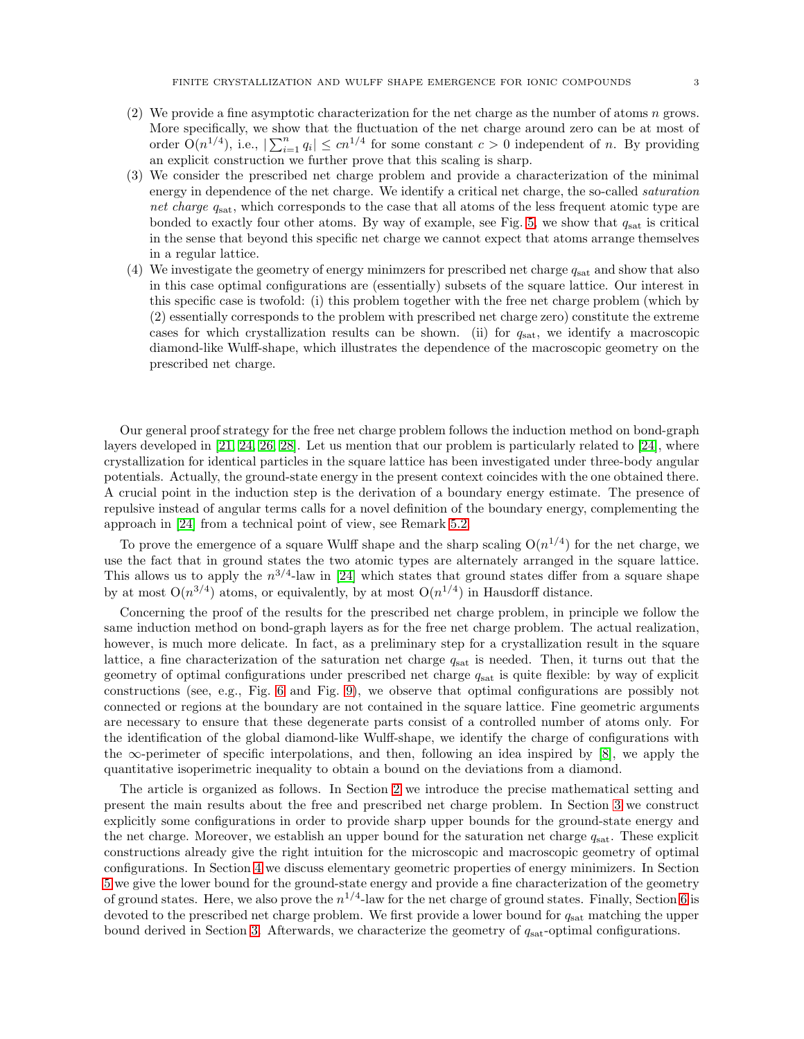- (2) We provide a fine asymptotic characterization for the net charge as the number of atoms n grows. More specifically, we show that the fluctuation of the net charge around zero can be at most of order  $O(n^{1/4})$ , i.e.,  $|\sum_{i=1}^n q_i| \le cn^{1/4}$  for some constant  $c > 0$  independent of n. By providing an explicit construction we further prove that this scaling is sharp.
- (3) We consider the prescribed net charge problem and provide a characterization of the minimal energy in dependence of the net charge. We identify a critical net charge, the so-called *saturation* net charge  $q_{\text{sat}}$ , which corresponds to the case that all atoms of the less frequent atomic type are bonded to exactly four other atoms. By way of example, see Fig. [5,](#page-8-0) we show that  $q_{\text{sat}}$  is critical in the sense that beyond this specific net charge we cannot expect that atoms arrange themselves in a regular lattice.
- (4) We investigate the geometry of energy minimizers for prescribed net charge  $q<sub>sat</sub>$  and show that also in this case optimal configurations are (essentially) subsets of the square lattice. Our interest in this specific case is twofold: (i) this problem together with the free net charge problem (which by (2) essentially corresponds to the problem with prescribed net charge zero) constitute the extreme cases for which crystallization results can be shown. (ii) for  $q_{\text{sat}}$ , we identify a macroscopic diamond-like Wulff-shape, which illustrates the dependence of the macroscopic geometry on the prescribed net charge.

Our general proof strategy for the free net charge problem follows the induction method on bond-graph layers developed in [\[21,](#page-44-6) [24,](#page-44-7) [26,](#page-44-8) [28\]](#page-44-9). Let us mention that our problem is particularly related to [\[24\]](#page-44-7), where crystallization for identical particles in the square lattice has been investigated under three-body angular potentials. Actually, the ground-state energy in the present context coincides with the one obtained there. A crucial point in the induction step is the derivation of a boundary energy estimate. The presence of repulsive instead of angular terms calls for a novel definition of the boundary energy, complementing the approach in [\[24\]](#page-44-7) from a technical point of view, see Remark [5.2.](#page-15-0)

To prove the emergence of a square Wulff shape and the sharp scaling  $O(n^{1/4})$  for the net charge, we use the fact that in ground states the two atomic types are alternately arranged in the square lattice. This allows us to apply the  $n^{3/4}$ -law in [\[24\]](#page-44-7) which states that ground states differ from a square shape by at most  $O(n^{3/4})$  atoms, or equivalently, by at most  $O(n^{1/4})$  in Hausdorff distance.

Concerning the proof of the results for the prescribed net charge problem, in principle we follow the same induction method on bond-graph layers as for the free net charge problem. The actual realization, however, is much more delicate. In fact, as a preliminary step for a crystallization result in the square lattice, a fine characterization of the saturation net charge  $q_{\text{sat}}$  is needed. Then, it turns out that the geometry of optimal configurations under prescribed net charge  $q_{\text{sat}}$  is quite flexible: by way of explicit constructions (see, e.g., Fig. [6](#page-8-1) and Fig. [9\)](#page-11-0), we observe that optimal configurations are possibly not connected or regions at the boundary are not contained in the square lattice. Fine geometric arguments are necessary to ensure that these degenerate parts consist of a controlled number of atoms only. For the identification of the global diamond-like Wulff-shape, we identify the charge of configurations with the  $\infty$ -perimeter of specific interpolations, and then, following an idea inspired by [\[8\]](#page-44-28), we apply the quantitative isoperimetric inequality to obtain a bound on the deviations from a diamond.

The article is organized as follows. In Section [2](#page-3-0) we introduce the precise mathematical setting and present the main results about the free and prescribed net charge problem. In Section [3](#page-9-0) we construct explicitly some configurations in order to provide sharp upper bounds for the ground-state energy and the net charge. Moreover, we establish an upper bound for the saturation net charge  $q_{\text{sat}}$ . These explicit constructions already give the right intuition for the microscopic and macroscopic geometry of optimal configurations. In Section [4](#page-12-0) we discuss elementary geometric properties of energy minimizers. In Section [5](#page-15-1) we give the lower bound for the ground-state energy and provide a fine characterization of the geometry of ground states. Here, we also prove the  $n^{1/4}$ -law for the net charge of ground states. Finally, Section [6](#page-22-0) is devoted to the prescribed net charge problem. We first provide a lower bound for  $q_{\text{sat}}$  matching the upper bound derived in Section [3.](#page-9-0) Afterwards, we characterize the geometry of  $q_{\text{sat}}$ -optimal configurations.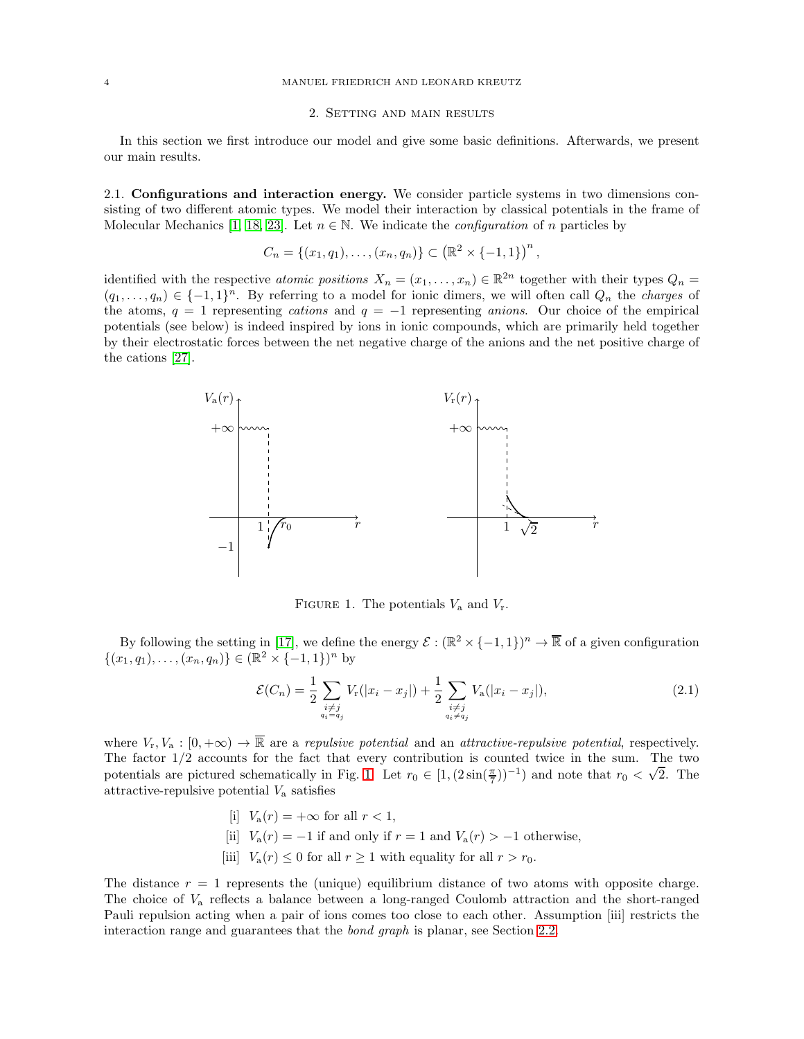#### <span id="page-3-0"></span>4 MANUEL FRIEDRICH AND LEONARD KREUTZ

### 2. Setting and main results

In this section we first introduce our model and give some basic definitions. Afterwards, we present our main results.

2.1. Configurations and interaction energy. We consider particle systems in two dimensions consisting of two different atomic types. We model their interaction by classical potentials in the frame of Molecular Mechanics [\[1,](#page-44-29) [18,](#page-44-30) [23\]](#page-44-31). Let  $n \in \mathbb{N}$ . We indicate the *configuration* of n particles by

$$
C_n = \{(x_1, q_1), \ldots, (x_n, q_n)\} \subset (\mathbb{R}^2 \times \{-1, 1\})^n,
$$

identified with the respective *atomic positions*  $X_n = (x_1, \ldots, x_n) \in \mathbb{R}^{2n}$  together with their types  $Q_n =$  $(q_1, \ldots, q_n) \in \{-1, 1\}^n$ . By referring to a model for ionic dimers, we will often call  $Q_n$  the *charges* of the atoms,  $q = 1$  representing *cations* and  $q = -1$  representing *anions*. Our choice of the empirical potentials (see below) is indeed inspired by ions in ionic compounds, which are primarily held together by their electrostatic forces between the net negative charge of the anions and the net positive charge of the cations [\[27\]](#page-44-32).



<span id="page-3-2"></span><span id="page-3-1"></span>FIGURE 1. The potentials  $V_a$  and  $V_r$ .

By following the setting in [\[17\]](#page-44-25), we define the energy  $\mathcal{E} : (\mathbb{R}^2 \times \{-1,1\})^n \to \mathbb{R}$  of a given configuration  $\{(x_1, q_1), \ldots, (x_n, q_n)\} \in (\mathbb{R}^2 \times \{-1, 1\})^n$  by

$$
\mathcal{E}(C_n) = \frac{1}{2} \sum_{\substack{i \neq j \\ q_i = q_j}} V_r(|x_i - x_j|) + \frac{1}{2} \sum_{\substack{i \neq j \\ q_i \neq q_j}} V_a(|x_i - x_j|), \tag{2.1}
$$

where  $V_r, V_a : [0, +\infty) \to \overline{\mathbb{R}}$  are a repulsive potential and an attractive-repulsive potential, respectively. The factor  $1/2$  accounts for the fact that every contribution is counted twice in the sum. The two potentials are pictured schematically in Fig. [1.](#page-3-1) Let  $r_0 \in [1, (2 \sin(\frac{\pi}{7}))^{-1})$  and note that  $r_0 < \sqrt{2}$ . The attractive-repulsive potential  $V_a$  satisfies

- $[i]$   $V_a(r) = +\infty$  for all  $r < 1$ ,
- [ii]  $V_a(r) = -1$  if and only if  $r = 1$  and  $V_a(r) > -1$  otherwise,
- [iii]  $V_a(r) \leq 0$  for all  $r \geq 1$  with equality for all  $r > r_0$ .

The distance  $r = 1$  represents the (unique) equilibrium distance of two atoms with opposite charge. The choice of V<sup>a</sup> reflects a balance between a long-ranged Coulomb attraction and the short-ranged Pauli repulsion acting when a pair of ions comes too close to each other. Assumption [iii] restricts the interaction range and guarantees that the bond graph is planar, see Section [2.2.](#page-4-0)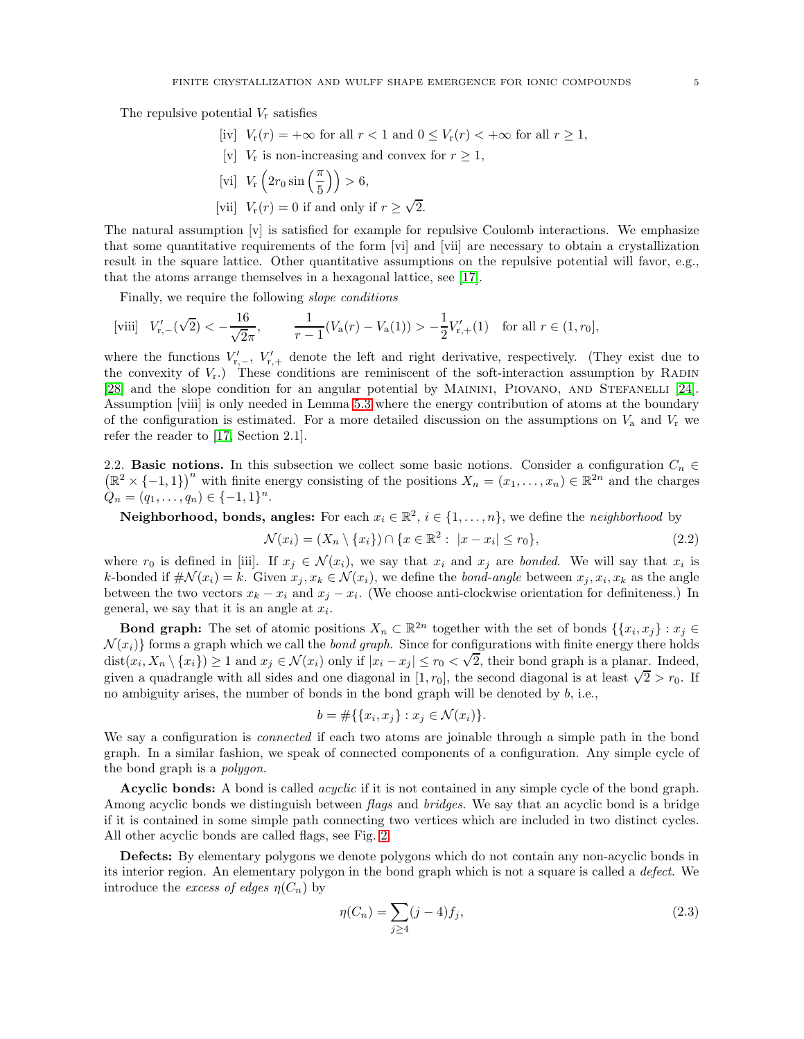The repulsive potential  $V_r$  satisfies

- [iv]  $V_r(r) = +\infty$  for all  $r < 1$  and  $0 \leq V_r(r) < +\infty$  for all  $r \geq 1$ ,
- [v]  $V_r$  is non-increasing and convex for  $r \geq 1$ ,
- [vi]  $V_{\rm r} \left(2r_0 \sin\left(\frac{\pi}{5}\right)\right) > 6,$
- [vii]  $V_r(r) = 0$  if and only if  $r \ge \sqrt{2}$ .

The natural assumption [v] is satisfied for example for repulsive Coulomb interactions. We emphasize that some quantitative requirements of the form [vi] and [vii] are necessary to obtain a crystallization result in the square lattice. Other quantitative assumptions on the repulsive potential will favor, e.g., that the atoms arrange themselves in a hexagonal lattice, see [\[17\]](#page-44-25).

Finally, we require the following *slope conditions* 

$$
\text{[viii]} \quad V'_{r,-}(\sqrt{2}) < -\frac{16}{\sqrt{2}\pi}, \qquad \frac{1}{r-1}(V_a(r) - V_a(1)) > -\frac{1}{2}V'_{r,+}(1) \quad \text{for all } r \in (1, r_0],
$$

where the functions  $V'_{r,-}$ ,  $V'_{r,+}$  denote the left and right derivative, respectively. (They exist due to the convexity of  $V_r$ .) These conditions are reminiscent of the soft-interaction assumption by RADIN [\[28\]](#page-44-9) and the slope condition for an angular potential by MAININI, PIOVANO, AND STEFANELLI [\[24\]](#page-44-7). Assumption [viii] is only needed in Lemma [5.3](#page-16-0) where the energy contribution of atoms at the boundary of the configuration is estimated. For a more detailed discussion on the assumptions on  $V_a$  and  $V_r$  we refer the reader to [\[17,](#page-44-25) Section 2.1].

<span id="page-4-0"></span>2.2. Basic notions. In this subsection we collect some basic notions. Consider a configuration  $C_n \in$  $(\mathbb{R}^2 \times \{-1,1\})^n$  with finite energy consisting of the positions  $X_n = (x_1, \ldots, x_n) \in \mathbb{R}^{2n}$  and the charges  $Q_n = (q_1, \ldots, q_n) \in \{-1, 1\}^n$ .

**Neighborhood, bonds, angles:** For each  $x_i \in \mathbb{R}^2$ ,  $i \in \{1, ..., n\}$ , we define the *neighborhood* by

$$
\mathcal{N}(x_i) = (X_n \setminus \{x_i\}) \cap \{x \in \mathbb{R}^2 : \ |x - x_i| \le r_0\},\tag{2.2}
$$

where  $r_0$  is defined in [iii]. If  $x_j \in \mathcal{N}(x_i)$ , we say that  $x_i$  and  $x_j$  are bonded. We will say that  $x_i$  is k-bonded if  $\#\mathcal{N}(x_i) = k$ . Given  $x_j, x_k \in \mathcal{N}(x_i)$ , we define the *bond-angle* between  $x_j, x_i, x_k$  as the angle between the two vectors  $x_k - x_i$  and  $x_j - x_i$ . (We choose anti-clockwise orientation for definiteness.) In general, we say that it is an angle at  $x_i$ .

**Bond graph:** The set of atomic positions  $X_n \subset \mathbb{R}^{2n}$  together with the set of bonds  $\{\{x_i, x_j\} : x_j \in \mathbb{R}^{2n}\}$  $\mathcal{N}(x_i)$  forms a graph which we call the *bond graph*. Since for configurations with finite energy there holds  $\det(x_i, X_n \setminus \{x_i\}) \geq 1$  and  $x_j \in \mathcal{N}(x_i)$  only if  $|x_i - x_j| \leq r_0 < \sqrt{2}$ , their bond graph is a planar. Indeed, given a quadrangle with all sides and one diagonal in [1,  $r_0$ ], the second diagonal is at least  $\sqrt{2} > r_0$ . If no ambiguity arises, the number of bonds in the bond graph will be denoted by  $b$ , i.e.,

<span id="page-4-2"></span>
$$
b = \#\{\{x_i, x_j\} : x_j \in \mathcal{N}(x_i)\}.
$$

We say a configuration is *connected* if each two atoms are joinable through a simple path in the bond graph. In a similar fashion, we speak of connected components of a configuration. Any simple cycle of the bond graph is a polygon.

**Acyclic bonds:** A bond is called *acyclic* if it is not contained in any simple cycle of the bond graph. Among acyclic bonds we distinguish between flags and bridges. We say that an acyclic bond is a bridge if it is contained in some simple path connecting two vertices which are included in two distinct cycles. All other acyclic bonds are called flags, see Fig. [2.](#page-5-0)

Defects: By elementary polygons we denote polygons which do not contain any non-acyclic bonds in its interior region. An elementary polygon in the bond graph which is not a square is called a defect. We introduce the excess of edges  $\eta(C_n)$  by

<span id="page-4-1"></span>
$$
\eta(C_n) = \sum_{j \ge 4} (j - 4) f_j,\tag{2.3}
$$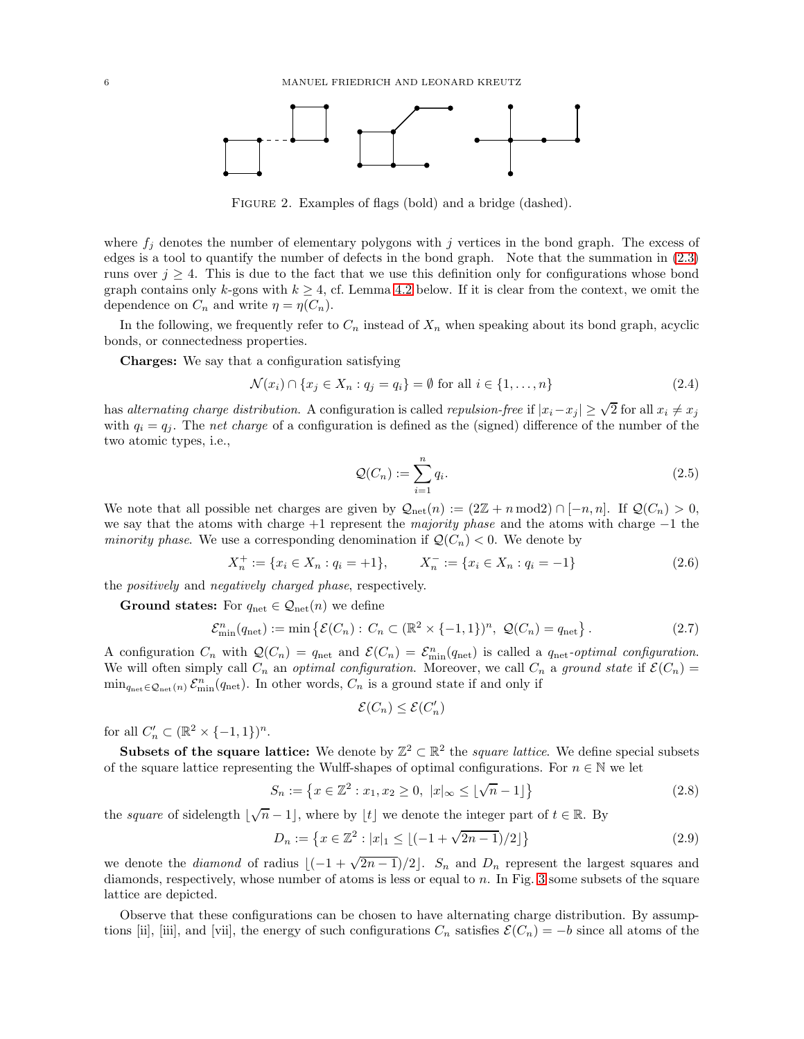

<span id="page-5-0"></span>FIGURE 2. Examples of flags (bold) and a bridge (dashed).

where  $f_j$  denotes the number of elementary polygons with j vertices in the bond graph. The excess of edges is a tool to quantify the number of defects in the bond graph. Note that the summation in [\(2.3\)](#page-4-1) runs over  $j \geq 4$ . This is due to the fact that we use this definition only for configurations whose bond graph contains only k-gons with  $k \geq 4$ , cf. Lemma [4.2](#page-13-0) below. If it is clear from the context, we omit the dependence on  $C_n$  and write  $\eta = \eta(C_n)$ .

In the following, we frequently refer to  $C_n$  instead of  $X_n$  when speaking about its bond graph, acyclic bonds, or connectedness properties.

Charges: We say that a configuration satisfying

$$
\mathcal{N}(x_i) \cap \{x_j \in X_n : q_j = q_i\} = \emptyset \text{ for all } i \in \{1, \dots, n\}
$$
\n
$$
(2.4)
$$

has alternating charge distribution. A configuration is called repulsion-free if  $|x_i - x_j| \geq \sqrt{2}$  for all  $x_i \neq x_j$ with  $q_i = q_j$ . The net charge of a configuration is defined as the (signed) difference of the number of the two atomic types, i.e.,

<span id="page-5-6"></span><span id="page-5-5"></span><span id="page-5-2"></span>
$$
\mathcal{Q}(C_n) := \sum_{i=1}^n q_i.
$$
\n
$$
(2.5)
$$

We note that all possible net charges are given by  $\mathcal{Q}_{net}(n) := (2\mathbb{Z} + n \bmod 2) \cap [-n, n]$ . If  $\mathcal{Q}(C_n) > 0$ , we say that the atoms with charge +1 represent the majority phase and the atoms with charge  $-1$  the minority phase. We use a corresponding denomination if  $\mathcal{Q}(C_n) < 0$ . We denote by

$$
X_n^+ := \{ x_i \in X_n : q_i = +1 \}, \qquad X_n^- := \{ x_i \in X_n : q_i = -1 \}
$$
\n
$$
(2.6)
$$

the positively and negatively charged phase, respectively.

**Ground states:** For  $q_{\text{net}} \in \mathcal{Q}_{\text{net}}(n)$  we define

$$
\mathcal{E}_{\min}^n(q_{\text{net}}) := \min \left\{ \mathcal{E}(C_n) : C_n \subset (\mathbb{R}^2 \times \{-1, 1\})^n, \ \mathcal{Q}(C_n) = q_{\text{net}} \right\}. \tag{2.7}
$$

A configuration  $C_n$  with  $\mathcal{Q}(C_n) = q_{\text{net}}$  and  $\mathcal{E}(C_n) = \mathcal{E}_{\text{min}}^n(q_{\text{net}})$  is called a  $q_{\text{net}}$ -optimal configuration. We will often simply call  $C_n$  an *optimal configuration*. Moreover, we call  $C_n$  a ground state if  $\mathcal{E}(C_n)$  =  $\min_{q_{\text{net}} \in \mathcal{Q}_{\text{net}}(n)} \mathcal{E}_{\text{min}}^n(q_{\text{net}})$ . In other words,  $C_n$  is a ground state if and only if

<span id="page-5-4"></span><span id="page-5-3"></span><span id="page-5-1"></span>
$$
\mathcal{E}(C_n) \leq \mathcal{E}(C'_n)
$$

for all  $C'_n \subset (\mathbb{R}^2 \times \{-1,1\})^n$ .

Subsets of the square lattice: We denote by  $\mathbb{Z}^2 \subset \mathbb{R}^2$  the *square lattice*. We define special subsets of the square lattice representing the Wulff-shapes of optimal configurations. For  $n \in \mathbb{N}$  we let

$$
S_n := \left\{ x \in \mathbb{Z}^2 : x_1, x_2 \ge 0, \ |x|_{\infty} \le \lfloor \sqrt{n} - 1 \rfloor \right\}
$$
 (2.8)

the *square* of sidelength  $\lfloor \sqrt{n} - 1 \rfloor$ , where by  $\lfloor t \rfloor$  we denote the integer part of  $t \in \mathbb{R}$ . By

$$
D_n := \left\{ x \in \mathbb{Z}^2 : |x|_1 \le \lfloor (-1 + \sqrt{2n - 1})/2 \rfloor \right\}
$$
\n(2.9)

we denote the *diamond* of radius  $\lfloor(-1+\sqrt{2n-1})/2\rfloor$ . S<sub>n</sub> and D<sub>n</sub> represent the largest squares and diamonds, respectively, whose number of atoms is less or equal to n. In Fig. [3](#page-6-1) some subsets of the square lattice are depicted.

Observe that these configurations can be chosen to have alternating charge distribution. By assumptions [ii], [iii], and [vii], the energy of such configurations  $C_n$  satisfies  $\mathcal{E}(C_n) = -b$  since all atoms of the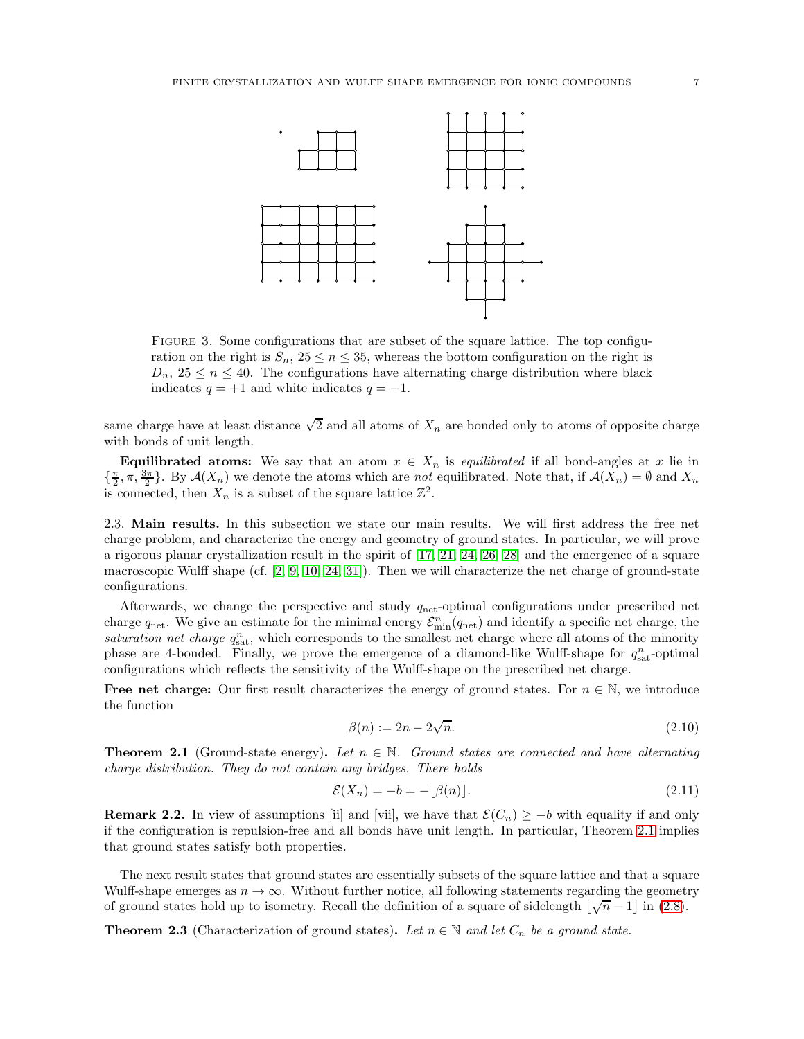

<span id="page-6-1"></span>Figure 3. Some configurations that are subset of the square lattice. The top configuration on the right is  $S_n$ ,  $25 \leq n \leq 35$ , whereas the bottom configuration on the right is  $D_n$ ,  $25 \leq n \leq 40$ . The configurations have alternating charge distribution where black indicates  $q = +1$  and white indicates  $q = -1$ .

same charge have at least distance  $\sqrt{2}$  and all atoms of  $X_n$  are bonded only to atoms of opposite charge with bonds of unit length.

**Equilibrated atoms:** We say that an atom  $x \in X_n$  is *equilibrated* if all bond-angles at x lie in  $\{\frac{\pi}{2}, \pi, \frac{3\pi}{2}\}\.$  By  $\mathcal{A}(X_n)$  we denote the atoms which are not equilibrated. Note that, if  $\mathcal{A}(X_n) = \emptyset$  and  $X_n$ is connected, then  $X_n$  is a subset of the square lattice  $\mathbb{Z}^2$ .

<span id="page-6-0"></span>2.3. Main results. In this subsection we state our main results. We will first address the free net charge problem, and characterize the energy and geometry of ground states. In particular, we will prove a rigorous planar crystallization result in the spirit of [\[17,](#page-44-25) [21,](#page-44-6) [24,](#page-44-7) [26,](#page-44-8) [28\]](#page-44-9) and the emergence of a square macroscopic Wulff shape (cf.  $[2, 9, 10, 24, 31]$  $[2, 9, 10, 24, 31]$  $[2, 9, 10, 24, 31]$  $[2, 9, 10, 24, 31]$  $[2, 9, 10, 24, 31]$ ). Then we will characterize the net charge of ground-state configurations.

Afterwards, we change the perspective and study  $q_{\text{net}}$ -optimal configurations under prescribed net charge  $q_{\text{net}}$ . We give an estimate for the minimal energy  $\mathcal{E}_{\text{min}}^n(q_{\text{net}})$  and identify a specific net charge, the saturation net charge  $q_{\text{sat}}^n$ , which corresponds to the smallest net charge where all atoms of the minority phase are 4-bonded. Finally, we prove the emergence of a diamond-like Wulff-shape for  $q_{\text{sat}}^n$ -optimal configurations which reflects the sensitivity of the Wulff-shape on the prescribed net charge.

**Free net charge:** Our first result characterizes the energy of ground states. For  $n \in \mathbb{N}$ , we introduce the function

<span id="page-6-5"></span><span id="page-6-4"></span>
$$
\beta(n) := 2n - 2\sqrt{n}.\tag{2.10}
$$

<span id="page-6-2"></span>**Theorem 2.1** (Ground-state energy). Let  $n \in \mathbb{N}$ . Ground states are connected and have alternating charge distribution. They do not contain any bridges. There holds

$$
\mathcal{E}(X_n) = -b = -\lfloor \beta(n) \rfloor. \tag{2.11}
$$

<span id="page-6-6"></span>**Remark 2.2.** In view of assumptions [ii] and [vii], we have that  $\mathcal{E}(C_n) \geq -b$  with equality if and only if the configuration is repulsion-free and all bonds have unit length. In particular, Theorem [2.1](#page-6-2) implies that ground states satisfy both properties.

The next result states that ground states are essentially subsets of the square lattice and that a square Wulff-shape emerges as  $n \to \infty$ . Without further notice, all following statements regarding the geometry of ground states hold up to isometry. Recall the definition of a square of sidelength  $\lfloor \sqrt{n} - 1 \rfloor$  in [\(2.8\)](#page-5-1).

<span id="page-6-3"></span>**Theorem 2.3** (Characterization of ground states). Let  $n \in \mathbb{N}$  and let  $C_n$  be a ground state.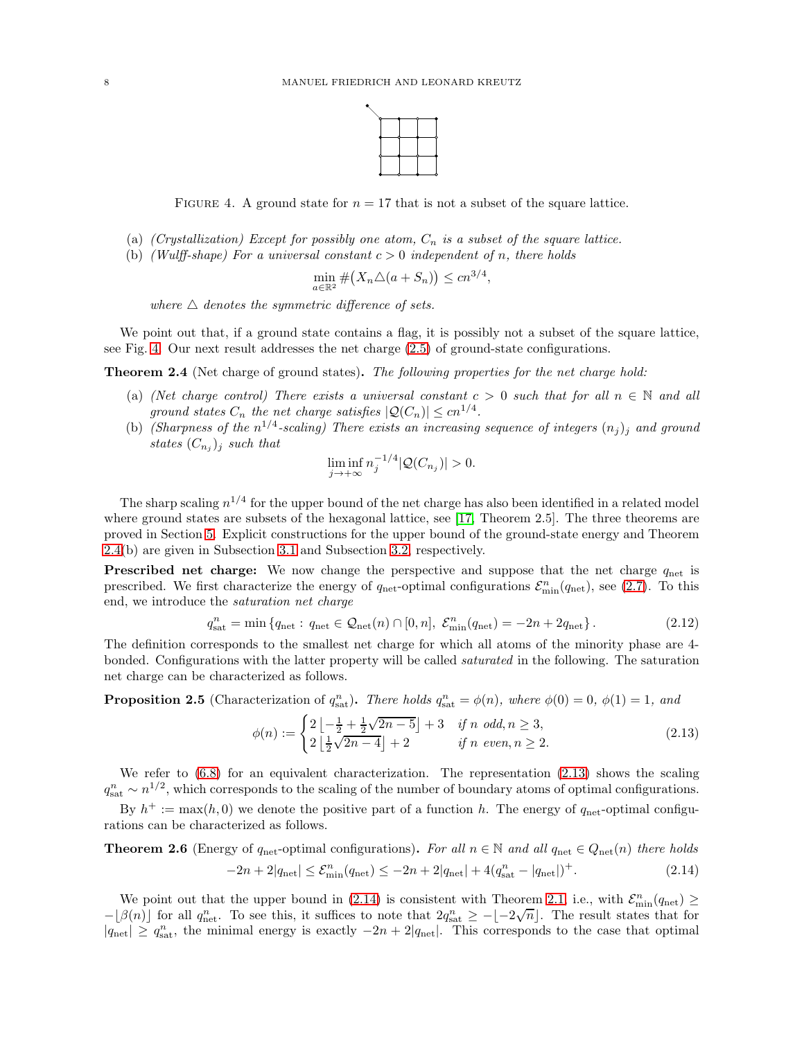

<span id="page-7-0"></span>FIGURE 4. A ground state for  $n = 17$  that is not a subset of the square lattice.

- (a) (Crystallization) Except for possibly one atom,  $C_n$  is a subset of the square lattice.
- (b) (Wulff-shape) For a universal constant  $c > 0$  independent of n, there holds

$$
\min_{a \in \mathbb{R}^2} \# \big( X_n \triangle (a + S_n) \big) \le c n^{3/4},
$$

where  $\triangle$  denotes the symmetric difference of sets.

We point out that, if a ground state contains a flag, it is possibly not a subset of the square lattice, see Fig. [4.](#page-7-0) Our next result addresses the net charge [\(2.5\)](#page-5-2) of ground-state configurations.

<span id="page-7-1"></span>**Theorem 2.4** (Net charge of ground states). The following properties for the net charge hold:

- (a) (Net charge control) There exists a universal constant  $c > 0$  such that for all  $n \in \mathbb{N}$  and all ground states  $C_n$  the net charge satisfies  $|\mathcal{Q}(C_n)| \leq c n^{1/4}$ .
- (b) (Sharpness of the  $n^{1/4}$ -scaling) There exists an increasing sequence of integers  $(n_j)_j$  and ground states  $(C_{n_j})_j$  such that

<span id="page-7-6"></span>
$$
\liminf_{j \to +\infty} n_j^{-1/4} |\mathcal{Q}(C_{n_j})| > 0.
$$

The sharp scaling  $n^{1/4}$  for the upper bound of the net charge has also been identified in a related model where ground states are subsets of the hexagonal lattice, see [\[17,](#page-44-25) Theorem 2.5]. The three theorems are proved in Section [5.](#page-15-1) Explicit constructions for the upper bound of the ground-state energy and Theorem [2.4\(](#page-7-1)b) are given in Subsection [3.1](#page-9-1) and Subsection [3.2,](#page-9-2) respectively.

**Prescribed net charge:** We now change the perspective and suppose that the net charge  $q_{\text{net}}$  is prescribed. We first characterize the energy of  $q_{\text{net}}$ -optimal configurations  $\mathcal{E}_{\text{min}}^n(q_{\text{net}})$ , see [\(2.7\)](#page-5-3). To this end, we introduce the saturation net charge

$$
q_{\text{sat}}^{n} = \min \left\{ q_{\text{net}} : q_{\text{net}} \in \mathcal{Q}_{\text{net}}(n) \cap [0, n], \ \mathcal{E}_{\text{min}}^{n}(q_{\text{net}}) = -2n + 2q_{\text{net}} \right\}. \tag{2.12}
$$

The definition corresponds to the smallest net charge for which all atoms of the minority phase are 4 bonded. Configurations with the latter property will be called *saturated* in the following. The saturation net charge can be characterized as follows.

<span id="page-7-4"></span>**Proposition 2.5** (Characterization of  $q_{\text{sat}}^n$ ). There holds  $q_{\text{sat}}^n = \phi(n)$ , where  $\phi(0) = 0$ ,  $\phi(1) = 1$ , and

<span id="page-7-3"></span><span id="page-7-2"></span>
$$
\phi(n) := \begin{cases} 2\left\lfloor -\frac{1}{2} + \frac{1}{2}\sqrt{2n-5} \right\rfloor + 3 & \text{if } n \text{ odd}, n \ge 3, \\ 2\left\lfloor \frac{1}{2}\sqrt{2n-4} \right\rfloor + 2 & \text{if } n \text{ even}, n \ge 2. \end{cases}
$$
(2.13)

We refer to  $(6.8)$  for an equivalent characterization. The representation  $(2.13)$  shows the scaling  $q_{\text{sat}}^n \sim n^{1/2}$ , which corresponds to the scaling of the number of boundary atoms of optimal configurations.

By  $h^+ := \max(h, 0)$  we denote the positive part of a function h. The energy of  $q_{\text{net}}$ -optimal configurations can be characterized as follows.

<span id="page-7-5"></span>**Theorem 2.6** (Energy of 
$$
q_{\text{net}}
$$
-optimal configurations). For all  $n \in \mathbb{N}$  and all  $q_{\text{net}} \in Q_{\text{net}}(n)$  there holds  

$$
-2n + 2|q_{\text{net}}| \leq \mathcal{E}_{\min}^n(q_{\text{net}}) \leq -2n + 2|q_{\text{net}}| + 4(q_{\text{sat}}^n - |q_{\text{net}}|)^+.
$$
 (2.14)

We point out that the upper bound in [\(2.14\)](#page-7-3) is consistent with Theorem [2.1,](#page-6-2) i.e., with  $\mathcal{E}_{\min}^n(q_{\text{net}}) \ge$  $-[\beta(n)]$  for all  $q_{\text{net}}^n$ . To see this, it suffices to note that  $2q_{\text{sat}}^n \ge -[-2\sqrt{n}]$ . The result states that for  $|q_{\text{net}}| \ge q_{\text{sat}}^n$ , the minimal energy is exactly  $-2n + 2|q_{\text{net}}|$ . This corresponds to the case that optimal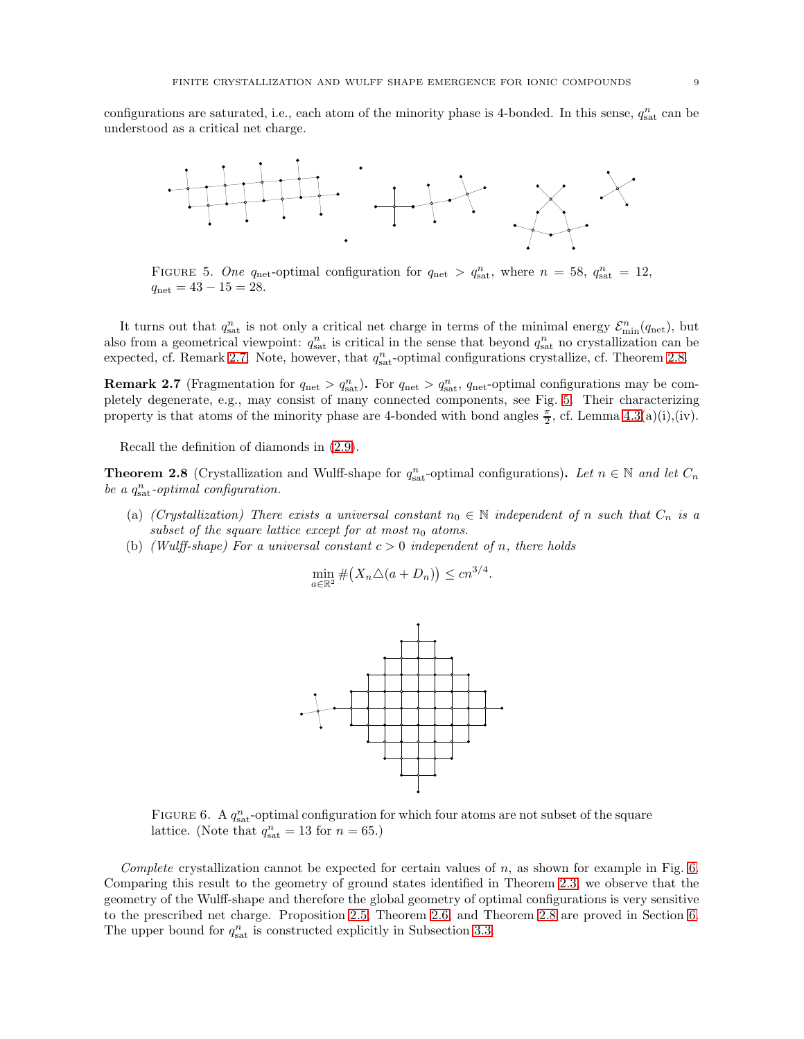configurations are saturated, i.e., each atom of the minority phase is 4-bonded. In this sense,  $q_{\text{sat}}^n$  can be understood as a critical net charge.



<span id="page-8-0"></span>FIGURE 5. One q<sub>net</sub>-optimal configuration for  $q_{\text{net}} > q_{\text{sat}}^n$ , where  $n = 58$ ,  $q_{\text{sat}}^n = 12$ ,  $q_{\text{net}} = 43 - 15 = 28.$ 

It turns out that  $q_{\text{sat}}^n$  is not only a critical net charge in terms of the minimal energy  $\mathcal{E}_{\text{min}}^n(q_{\text{net}})$ , but also from a geometrical viewpoint:  $q_{\text{sat}}^n$  is critical in the sense that beyond  $q_{\text{sat}}^n$  no crystallization can be expected, cf. Remark [2.7.](#page-8-2) Note, however, that  $q_{\text{sat}}^n$ -optimal configurations crystallize, cf. Theorem [2.8.](#page-8-3)

<span id="page-8-2"></span>**Remark 2.7** (Fragmentation for  $q_{\text{net}} > q_{\text{sat}}^n$ ). For  $q_{\text{net}} > q_{\text{sat}}^n$ ,  $q_{\text{net}}$ -optimal configurations may be completely degenerate, e.g., may consist of many connected components, see Fig. [5.](#page-8-0) Their characterizing property is that atoms of the minority phase are 4-bonded with bond angles  $\frac{\pi}{2}$ , cf. Lemma [4.3\(](#page-14-0)a)(i),(iv).

Recall the definition of diamonds in [\(2.9\)](#page-5-4).

<span id="page-8-3"></span>**Theorem 2.8** (Crystallization and Wulff-shape for  $q_{\text{sat}}^n$ -optimal configurations). Let  $n \in \mathbb{N}$  and let  $C_n$ be a  $q_{\text{sat}}^n$ -optimal configuration.

- (a) (Crystallization) There exists a universal constant  $n_0 \in \mathbb{N}$  independent of n such that  $C_n$  is a subset of the square lattice except for at most  $n_0$  atoms.
- (b) (Wulff-shape) For a universal constant  $c > 0$  independent of n, there holds

$$
\min_{a \in \mathbb{R}^2} \# \big( X_n \triangle (a + D_n) \big) \le c n^{3/4}.
$$



<span id="page-8-1"></span>FIGURE 6. A  $q_{\text{sat}}^n$ -optimal configuration for which four atoms are not subset of the square lattice. (Note that  $q_{\text{sat}}^n = 13$  for  $n = 65$ .)

Complete crystallization cannot be expected for certain values of n, as shown for example in Fig. [6.](#page-8-1) Comparing this result to the geometry of ground states identified in Theorem [2.3,](#page-6-3) we observe that the geometry of the Wulff-shape and therefore the global geometry of optimal configurations is very sensitive to the prescribed net charge. Proposition [2.5,](#page-7-4) Theorem [2.6,](#page-7-5) and Theorem [2.8](#page-8-3) are proved in Section [6.](#page-22-0) The upper bound for  $q_{\text{sat}}^n$  is constructed explicitly in Subsection [3.3.](#page-11-1)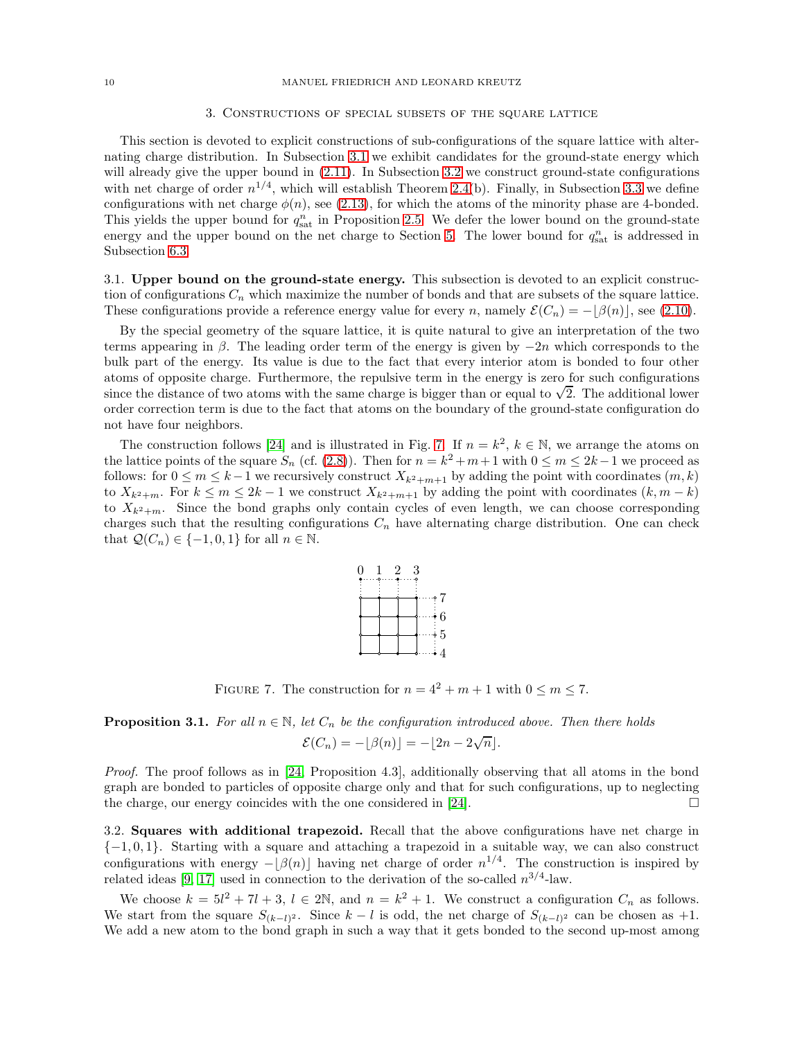### 3. Constructions of special subsets of the square lattice

<span id="page-9-0"></span>This section is devoted to explicit constructions of sub-configurations of the square lattice with alternating charge distribution. In Subsection [3.1](#page-9-1) we exhibit candidates for the ground-state energy which will already give the upper bound in  $(2.11)$ . In Subsection [3.2](#page-9-2) we construct ground-state configurations with net charge of order  $n^{1/4}$ , which will establish Theorem [2.4\(](#page-7-1)b). Finally, in Subsection [3.3](#page-11-1) we define configurations with net charge  $\phi(n)$ , see [\(2.13\)](#page-7-2), for which the atoms of the minority phase are 4-bonded. This yields the upper bound for  $q_{\text{sat}}^n$  in Proposition [2.5.](#page-7-4) We defer the lower bound on the ground-state energy and the upper bound on the net charge to Section [5.](#page-15-1) The lower bound for  $q_{\text{sat}}^n$  is addressed in Subsection [6.3.](#page-25-1)

<span id="page-9-1"></span>3.1. Upper bound on the ground-state energy. This subsection is devoted to an explicit construction of configurations  $C_n$  which maximize the number of bonds and that are subsets of the square lattice. These configurations provide a reference energy value for every n, namely  $\mathcal{E}(C_n) = -[\beta(n)]$ , see [\(2.10\)](#page-6-5).

By the special geometry of the square lattice, it is quite natural to give an interpretation of the two terms appearing in  $\beta$ . The leading order term of the energy is given by  $-2n$  which corresponds to the bulk part of the energy. Its value is due to the fact that every interior atom is bonded to four other atoms of opposite charge. Furthermore, the repulsive term in the energy is zero for such configurations since the distance of two atoms with the same charge is bigger than or equal to  $\sqrt{2}$ . The additional lower order correction term is due to the fact that atoms on the boundary of the ground-state configuration do not have four neighbors.

The construction follows [\[24\]](#page-44-7) and is illustrated in Fig. [7.](#page-9-3) If  $n = k^2$ ,  $k \in \mathbb{N}$ , we arrange the atoms on the lattice points of the square  $S_n$  (cf. [\(2.8\)](#page-5-1)). Then for  $n = k^2 + m + 1$  with  $0 \le m \le 2k - 1$  we proceed as follows: for  $0 \leq m \leq k-1$  we recursively construct  $X_{k^2+m+1}$  by adding the point with coordinates  $(m, k)$ to  $X_{k^2+m}$ . For  $k \leq m \leq 2k-1$  we construct  $X_{k^2+m+1}$  by adding the point with coordinates  $(k, m-k)$ to  $X_{k^2+m}$ . Since the bond graphs only contain cycles of even length, we can choose corresponding charges such that the resulting configurations  $C_n$  have alternating charge distribution. One can check that  $\mathcal{Q}(C_n) \in \{-1, 0, 1\}$  for all  $n \in \mathbb{N}$ .



<span id="page-9-3"></span>FIGURE 7. The construction for  $n = 4^2 + m + 1$  with  $0 \le m \le 7$ .

<span id="page-9-4"></span>**Proposition 3.1.** For all  $n \in \mathbb{N}$ , let  $C_n$  be the configuration introduced above. Then there holds  $\mathcal{E}(C_n) = -\lfloor \beta(n) \rfloor = -\lfloor 2n - 2\sqrt{n} \rfloor.$ 

Proof. The proof follows as in [\[24,](#page-44-7) Proposition 4.3], additionally observing that all atoms in the bond graph are bonded to particles of opposite charge only and that for such configurations, up to neglecting the charge, our energy coincides with the one considered in [\[24\]](#page-44-7).  $\Box$ 

<span id="page-9-2"></span>3.2. Squares with additional trapezoid. Recall that the above configurations have net charge in {−1, 0, 1}. Starting with a square and attaching a trapezoid in a suitable way, we can also construct configurations with energy  $-\lfloor \beta(n) \rfloor$  having net charge of order  $n^{1/4}$ . The construction is inspired by related ideas [\[9,](#page-44-12) [17\]](#page-44-25) used in connection to the derivation of the so-called  $n^{3/4}$ -law.

We choose  $k = 5l^2 + 7l + 3$ ,  $l \in 2\mathbb{N}$ , and  $n = k^2 + 1$ . We construct a configuration  $C_n$  as follows. We start from the square  $S_{(k-l)^2}$ . Since  $k-l$  is odd, the net charge of  $S_{(k-l)^2}$  can be chosen as +1. We add a new atom to the bond graph in such a way that it gets bonded to the second up-most among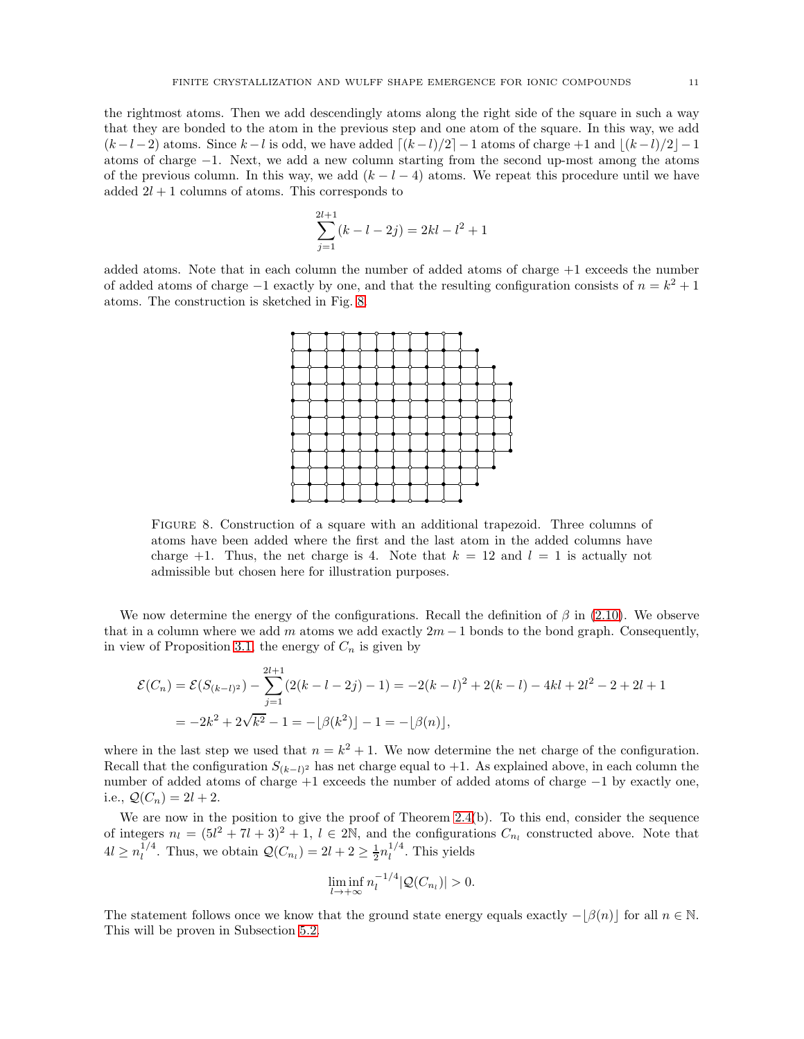the rightmost atoms. Then we add descendingly atoms along the right side of the square in such a way that they are bonded to the atom in the previous step and one atom of the square. In this way, we add  $(k-l-2)$  atoms. Since  $k-l$  is odd, we have added  $\lceil (k-l)/2 \rceil -1$  atoms of charge +1 and  $\lfloor (k-l)/2 \rfloor -1$ atoms of charge −1. Next, we add a new column starting from the second up-most among the atoms of the previous column. In this way, we add  $(k - l - 4)$  atoms. We repeat this procedure until we have added  $2l + 1$  columns of atoms. This corresponds to

$$
\sum_{j=1}^{2l+1} (k - l - 2j) = 2kl - l^2 + 1
$$

added atoms. Note that in each column the number of added atoms of charge +1 exceeds the number of added atoms of charge  $-1$  exactly by one, and that the resulting configuration consists of  $n = k^2 + 1$ atoms. The construction is sketched in Fig. [8.](#page-10-0)



<span id="page-10-0"></span>Figure 8. Construction of a square with an additional trapezoid. Three columns of atoms have been added where the first and the last atom in the added columns have charge  $+1$ . Thus, the net charge is 4. Note that  $k = 12$  and  $l = 1$  is actually not admissible but chosen here for illustration purposes.

We now determine the energy of the configurations. Recall the definition of  $\beta$  in [\(2.10\)](#page-6-5). We observe that in a column where we add m atoms we add exactly  $2m - 1$  bonds to the bond graph. Consequently, in view of Proposition [3.1,](#page-9-4) the energy of  $C_n$  is given by

$$
\mathcal{E}(C_n) = \mathcal{E}(S_{(k-l)^2}) - \sum_{j=1}^{2l+1} (2(k-l-2j)-1) = -2(k-l)^2 + 2(k-l) - 4kl + 2l^2 - 2 + 2l + 1
$$
  
=  $-2k^2 + 2\sqrt{k^2} - 1 = -\lfloor \beta(k^2) \rfloor - 1 = -\lfloor \beta(n) \rfloor$ ,

where in the last step we used that  $n = k^2 + 1$ . We now determine the net charge of the configuration. Recall that the configuration  $S_{(k-l)^2}$  has net charge equal to +1. As explained above, in each column the number of added atoms of charge +1 exceeds the number of added atoms of charge −1 by exactly one, i.e.,  $Q(C_n) = 2l + 2$ .

We are now in the position to give the proof of Theorem [2.4\(](#page-7-1)b). To this end, consider the sequence of integers  $n_l = (5l^2 + 7l + 3)^2 + 1$ ,  $l \in 2\mathbb{N}$ , and the configurations  $C_{n_l}$  constructed above. Note that  $4l \geq n_l^{1/4}$  $l^{1/4}$ . Thus, we obtain  $\mathcal{Q}(C_{n_l}) = 2l + 2 \geq \frac{1}{2} n_l^{1/4}$  $\int_l^{1/4}$ . This yields

$$
\liminf_{l\to+\infty}n_l^{-1/4}|\mathcal{Q}(C_{n_l})|>0.
$$

The statement follows once we know that the ground state energy equals exactly  $-|\beta(n)|$  for all  $n \in \mathbb{N}$ . This will be proven in Subsection [5.2.](#page-17-0)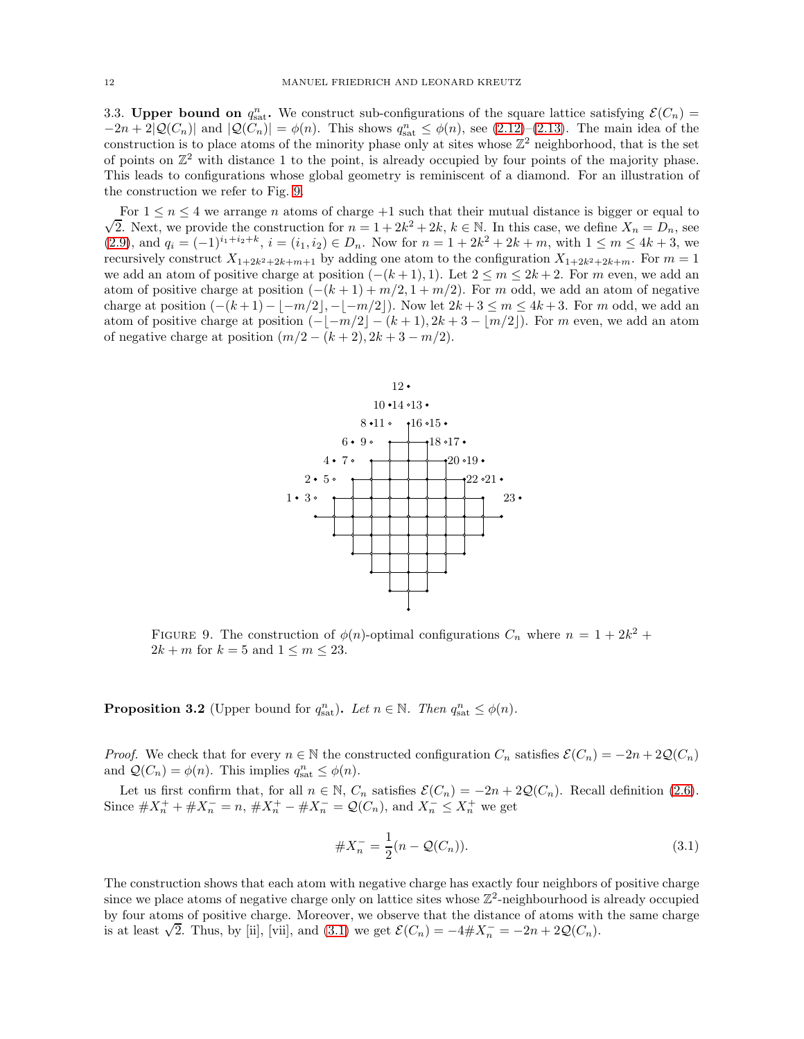<span id="page-11-1"></span>3.3. Upper bound on  $q_{\text{sat}}^n$ . We construct sub-configurations of the square lattice satisfying  $\mathcal{E}(C_n)$  =  $-2n+2|\mathcal{Q}(C_n)|$  and  $|\mathcal{Q}(C_n)| = \phi(n)$ . This shows  $q_{\text{sat}}^n \leq \phi(n)$ , see  $(2.12)-(2.13)$  $(2.12)-(2.13)$ . The main idea of the construction is to place atoms of the minority phase only at sites whose  $\mathbb{Z}^2$  neighborhood, that is the set of points on  $\mathbb{Z}^2$  with distance 1 to the point, is already occupied by four points of the majority phase. This leads to configurations whose global geometry is reminiscent of a diamond. For an illustration of the construction we refer to Fig. [9.](#page-11-0)

 $\sqrt{2}$ . Next, we provide the construction for  $n = 1 + 2k^2 + 2k$ ,  $k \in \mathbb{N}$ . In this case, we define  $X_n = D_n$ , see For  $1 \leq n \leq 4$  we arrange n atoms of charge +1 such that their mutual distance is bigger or equal to  $(2.9)$ , and  $q_i = (-1)^{i_1+i_2+k}$ ,  $i = (i_1, i_2) \in D_n$ . Now for  $n = 1 + 2k^2 + 2k + m$ , with  $1 \leq m \leq 4k + 3$ , we recursively construct  $X_{1+2k^2+2k+m+1}$  by adding one atom to the configuration  $X_{1+2k^2+2k+m}$ . For  $m=1$ we add an atom of positive charge at position  $(-(k+1),1)$ . Let  $2 \le m \le 2k+2$ . For m even, we add an atom of positive charge at position  $(-(k+1)+m/2, 1+m/2)$ . For m odd, we add an atom of negative charge at position  $(-(k+1)-|-m/2|, -|-m/2|)$ . Now let  $2k+3 \le m \le 4k+3$ . For m odd, we add an atom of positive charge at position  $(-|-m/2|-(k+1), 2k+3-|m/2|)$ . For m even, we add an atom of negative charge at position  $(m/2 - (k+2), 2k+3-m/2)$ .



<span id="page-11-0"></span>FIGURE 9. The construction of  $\phi(n)$ -optimal configurations  $C_n$  where  $n = 1 + 2k^2 +$  $2k + m$  for  $k = 5$  and  $1 \leq m \leq 23$ .

<span id="page-11-3"></span>**Proposition 3.2** (Upper bound for  $q_{\text{sat}}^n$ ). Let  $n \in \mathbb{N}$ . Then  $q_{\text{sat}}^n \leq \phi(n)$ .

*Proof.* We check that for every  $n \in \mathbb{N}$  the constructed configuration  $C_n$  satisfies  $\mathcal{E}(C_n) = -2n + 2\mathcal{Q}(C_n)$ and  $\mathcal{Q}(C_n) = \phi(n)$ . This implies  $q_{\text{sat}}^n \leq \phi(n)$ .

Let us first confirm that, for all  $n \in \mathbb{N}$ ,  $C_n$  satisfies  $\mathcal{E}(C_n) = -2n + 2\mathcal{Q}(C_n)$ . Recall definition [\(2.6\)](#page-5-5). Since  $\#X_n^+ + \#X_n^- = n$ ,  $\#X_n^+ - \#X_n^- = \mathcal{Q}(C_n)$ , and  $X_n^- \leq X_n^+$  we get

<span id="page-11-2"></span>
$$
\#X_n^- = \frac{1}{2}(n - \mathcal{Q}(C_n)).\tag{3.1}
$$

The construction shows that each atom with negative charge has exactly four neighbors of positive charge since we place atoms of negative charge only on lattice sites whose  $\mathbb{Z}^2$ -neighbourhood is already occupied by four atoms of positive charge. Moreover, we observe that the distance of atoms with the same charge is at least  $\sqrt{2}$ . Thus, by [ii], [vii], and [\(3.1\)](#page-11-2) we get  $\mathcal{E}(C_n) = -4 \# X_n^- = -2n + 2\mathcal{Q}(C_n)$ .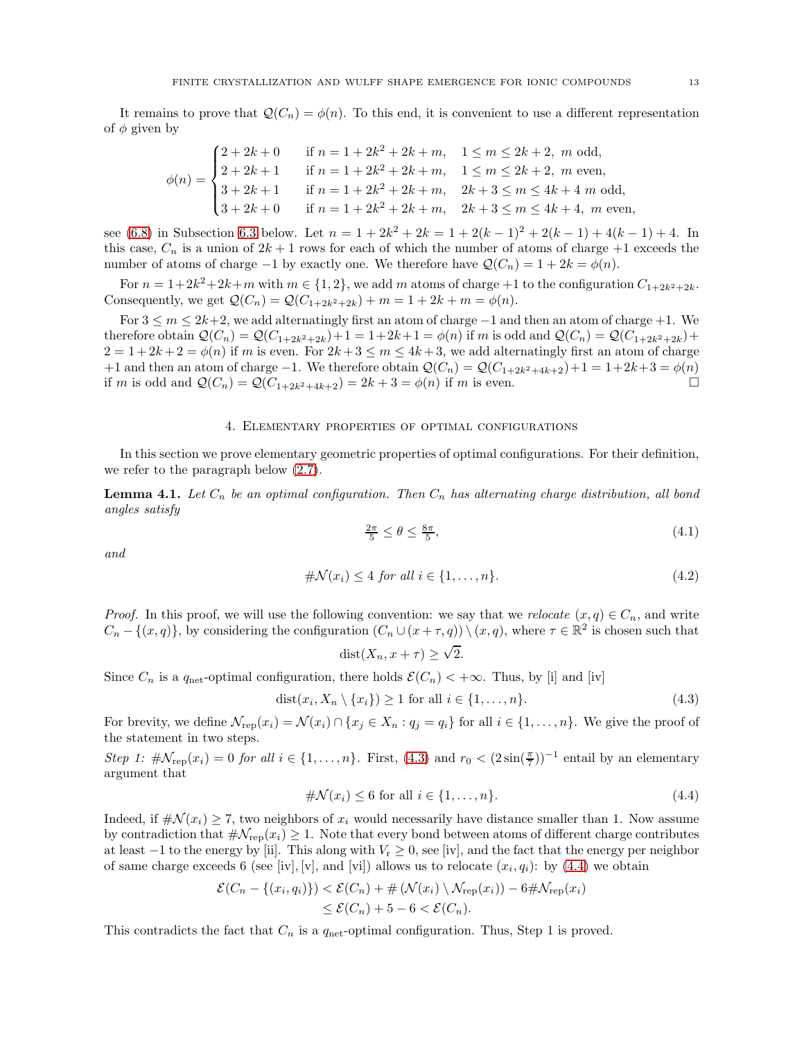It remains to prove that  $\mathcal{Q}(C_n) = \phi(n)$ . To this end, it is convenient to use a different representation of  $\phi$  given by

$$
\phi(n) = \begin{cases}\n2 + 2k + 0 & \text{if } n = 1 + 2k^2 + 2k + m, \quad 1 \le m \le 2k + 2, \ m \text{ odd}, \\
2 + 2k + 1 & \text{if } n = 1 + 2k^2 + 2k + m, \quad 1 \le m \le 2k + 2, \ m \text{ even}, \\
3 + 2k + 1 & \text{if } n = 1 + 2k^2 + 2k + m, \quad 2k + 3 \le m \le 4k + 4 \ m \text{ odd}, \\
3 + 2k + 0 & \text{if } n = 1 + 2k^2 + 2k + m, \quad 2k + 3 \le m \le 4k + 4, \ m \text{ even},\n\end{cases}
$$

see [\(6.8\)](#page-25-0) in Subsection [6.3](#page-25-1) below. Let  $n = 1 + 2k^2 + 2k = 1 + 2(k-1)^2 + 2(k-1) + 4(k-1) + 4$ . In this case,  $C_n$  is a union of  $2k+1$  rows for each of which the number of atoms of charge  $+1$  exceeds the number of atoms of charge −1 by exactly one. We therefore have  $\mathcal{Q}(C_n) = 1 + 2k = \phi(n)$ .

For  $n = 1+2k^2+2k+m$  with  $m \in \{1,2\}$ , we add m atoms of charge  $+1$  to the configuration  $C_{1+2k^2+2k}$ . Consequently, we get  $Q(C_n) = Q(C_{1+2k^2+2k}) + m = 1 + 2k + m = \phi(n)$ .

For  $3 \le m \le 2k+2$ , we add alternatingly first an atom of charge  $-1$  and then an atom of charge  $+1$ . We therefore obtain  $Q(C_n) = Q(C_{1+2k^2+2k}) + 1 = 1+2k+1 = \phi(n)$  if m is odd and  $Q(C_n) = Q(C_{1+2k^2+2k}) +$  $2 = 1 + 2k + 2 = \phi(n)$  if m is even. For  $2k + 3 \le m \le 4k + 3$ , we add alternatingly first an atom of charge +1 and then an atom of charge −1. We therefore obtain  $\mathcal{Q}(C_n) = \mathcal{Q}(C_{1+2k^2+4k+2})+1 = 1+2k+3 = \phi(n)$ <br>if m is odd and  $\mathcal{Q}(C_n) = \mathcal{Q}(C_{1+2k^2+4k+2}) = 2k+3 = \phi(n)$  if m is even if m is odd and  $Q(C_n) = Q(C_{1+2k^2+4k+2}) = 2k + 3 = \phi(n)$  if m is even.

## 4. Elementary properties of optimal configurations

<span id="page-12-0"></span>In this section we prove elementary geometric properties of optimal configurations. For their definition, we refer to the paragraph below [\(2.7\)](#page-5-3).

<span id="page-12-5"></span>**Lemma 4.1.** Let  $C_n$  be an optimal configuration. Then  $C_n$  has alternating charge distribution, all bond angles satisfy

<span id="page-12-4"></span><span id="page-12-3"></span>
$$
\frac{2\pi}{5} \le \theta \le \frac{8\pi}{5},\tag{4.1}
$$

and

$$
\# \mathcal{N}(x_i) \le 4 \text{ for all } i \in \{1, \dots, n\}. \tag{4.2}
$$

*Proof.* In this proof, we will use the following convention: we say that we relocate  $(x, q) \in C_n$ , and write  $C_n - \{(x, q)\}\$ , by considering the configuration  $(C_n \cup (x + \tau, q)) \setminus (x, q)$ , where  $\tau \in \mathbb{R}^2$  is chosen such that

<span id="page-12-2"></span><span id="page-12-1"></span>
$$
dist(X_n, x + \tau) \ge \sqrt{2}.
$$

Since  $C_n$  is a  $q_{\text{net}}$ -optimal configuration, there holds  $\mathcal{E}(C_n) < +\infty$ . Thus, by [i] and [iv]

$$
dist(x_i, X_n \setminus \{x_i\}) \ge 1 \text{ for all } i \in \{1, \dots, n\}. \tag{4.3}
$$

For brevity, we define  $\mathcal{N}_{\text{rep}}(x_i) = \mathcal{N}(x_i) \cap \{x_j \in X_n : q_j = q_i\}$  for all  $i \in \{1, \ldots, n\}$ . We give the proof of the statement in two steps.

Step 1:  $\#\mathcal{N}_{\text{rep}}(x_i) = 0$  for all  $i \in \{1, \ldots, n\}$ . First,  $(4.3)$  and  $r_0 < (2\sin(\frac{\pi}{7}))^{-1}$  entail by an elementary argument that

$$
\# \mathcal{N}(x_i) \le 6 \text{ for all } i \in \{1, \dots, n\}. \tag{4.4}
$$

Indeed, if  $\#\mathcal{N}(x_i) \geq 7$ , two neighbors of  $x_i$  would necessarily have distance smaller than 1. Now assume by contradiction that  $\#\mathcal{N}_{\text{rep}}(x_i) \geq 1$ . Note that every bond between atoms of different charge contributes at least  $-1$  to the energy by [ii]. This along with  $V_r \geq 0$ , see [iv], and the fact that the energy per neighbor of same charge exceeds 6 (see [iv], [v], and [vi]) allows us to relocate  $(x_i, q_i)$ : by  $(4.4)$  we obtain

$$
\mathcal{E}(C_n - \{(x_i, q_i)\}) < \mathcal{E}(C_n) + \#(\mathcal{N}(x_i) \setminus \mathcal{N}_{\text{rep}}(x_i)) - 6 \# \mathcal{N}_{\text{rep}}(x_i)
$$
  

$$
\leq \mathcal{E}(C_n) + 5 - 6 < \mathcal{E}(C_n).
$$

This contradicts the fact that  $C_n$  is a  $q_{\text{net}}$ -optimal configuration. Thus, Step 1 is proved.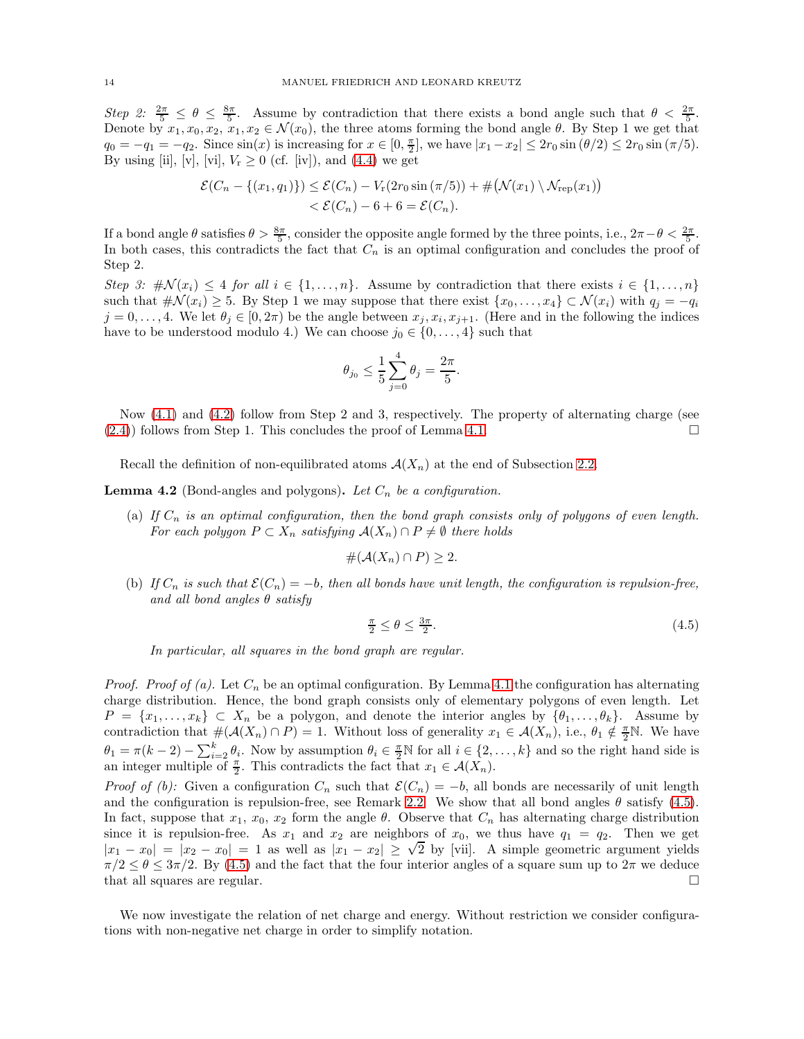Step 2:  $\frac{2\pi}{5} \leq \theta \leq \frac{8\pi}{5}$ . Assume by contradiction that there exists a bond angle such that  $\theta < \frac{2\pi}{5}$ . Denote by  $x_1, x_0, x_2, x_1, x_2 \in \mathcal{N}(x_0)$ , the three atoms forming the bond angle  $\theta$ . By Step 1 we get that  $q_0 = -q_1 = -q_2$ . Since  $\sin(x)$  is increasing for  $x \in [0, \frac{\pi}{2}]$ , we have  $|x_1 - x_2| \leq 2r_0 \sin(\theta/2) \leq 2r_0 \sin(\pi/5)$ . By using [ii], [v], [vi],  $V_r \geq 0$  (cf. [iv]), and [\(4.4\)](#page-12-2) we get

$$
\mathcal{E}(C_n - \{(x_1, q_1)\}) \leq \mathcal{E}(C_n) - V_r(2r_0 \sin(\pi/5)) + \#(\mathcal{N}(x_1) \setminus \mathcal{N}_{\text{rep}}(x_1)) < \mathcal{E}(C_n) - 6 + 6 = \mathcal{E}(C_n).
$$

If a bond angle  $\theta$  satisfies  $\theta > \frac{8\pi}{5}$ , consider the opposite angle formed by the three points, i.e.,  $2\pi - \theta < \frac{2\pi}{5}$ . In both cases, this contradicts the fact that  $C_n$  is an optimal configuration and concludes the proof of Step 2.

Step 3:  $\#\mathcal{N}(x_i) \leq 4$  for all  $i \in \{1,\ldots,n\}$ . Assume by contradiction that there exists  $i \in \{1,\ldots,n\}$ such that  $\#\mathcal{N}(x_i) \geq 5$ . By Step 1 we may suppose that there exist  $\{x_0, \ldots, x_4\} \subset \mathcal{N}(x_i)$  with  $q_j = -q_i$  $j = 0, \ldots, 4$ . We let  $\theta_j \in [0, 2\pi)$  be the angle between  $x_j, x_i, x_{j+1}$ . (Here and in the following the indices have to be understood modulo 4.) We can choose  $j_0 \in \{0, \ldots, 4\}$  such that

$$
\theta_{j_0} \leq \frac{1}{5} \sum_{j=0}^{4} \theta_j = \frac{2\pi}{5}.
$$

Now [\(4.1\)](#page-12-3) and [\(4.2\)](#page-12-4) follow from Step 2 and 3, respectively. The property of alternating charge (see  $(2.4)$  follows from Step 1. This concludes the proof of Lemma [4.1.](#page-12-5)

Recall the definition of non-equilibrated atoms  $A(X_n)$  at the end of Subsection [2.2.](#page-4-0)

<span id="page-13-0"></span>**Lemma 4.2** (Bond-angles and polygons). Let  $C_n$  be a configuration.

(a) If  $C_n$  is an optimal configuration, then the bond graph consists only of polygons of even length. For each polygon  $P \subset X_n$  satisfying  $\mathcal{A}(X_n) \cap P \neq \emptyset$  there holds

$$
\#(\mathcal{A}(X_n) \cap P) \geq 2.
$$

(b) If  $C_n$  is such that  $\mathcal{E}(C_n) = -b$ , then all bonds have unit length, the configuration is repulsion-free, and all bond angles  $\theta$  satisfy

<span id="page-13-1"></span>
$$
\frac{\pi}{2} \le \theta \le \frac{3\pi}{2}.\tag{4.5}
$$

In particular, all squares in the bond graph are regular.

*Proof.* Proof of (a). Let  $C_n$  be an optimal configuration. By Lemma [4.1](#page-12-5) the configuration has alternating charge distribution. Hence, the bond graph consists only of elementary polygons of even length. Let  $P = \{x_1, \ldots, x_k\} \subset X_n$  be a polygon, and denote the interior angles by  $\{\theta_1, \ldots, \theta_k\}$ . Assume by contradiction that  $\#(\mathcal{A}(X_n) \cap P) = 1$ . Without loss of generality  $x_1 \in \mathcal{A}(X_n)$ , i.e.,  $\theta_1 \notin \frac{\pi}{2} \mathbb{N}$ . We have  $\theta_1 = \pi(k-2) - \sum_{i=2}^k \theta_i$ . Now by assumption  $\theta_i \in \frac{\pi}{2} \mathbb{N}$  for all  $i \in \{2, \ldots, k\}$  and so the right hand side is an integer multiple of  $\frac{\pi}{2}$ . This contradicts the fact that  $x_1 \in \mathcal{A}(X_n)$ .

Proof of (b): Given a configuration  $C_n$  such that  $\mathcal{E}(C_n) = -b$ , all bonds are necessarily of unit length and the configuration is repulsion-free, see Remark [2.2.](#page-6-6) We show that all bond angles  $\theta$  satisfy [\(4.5\)](#page-13-1). In fact, suppose that  $x_1, x_0, x_2$  form the angle  $\theta$ . Observe that  $C_n$  has alternating charge distribution since it is repulsion-free. As  $x_1$  and  $x_2$  are neighbors of  $x_0$ , we thus have  $q_1 = q_2$ . Then we get  $|x_1 - x_0| = |x_2 - x_0| = 1$  as well as  $|x_1 - x_2| \ge \sqrt{2}$  by [vii]. A simple geometric argument yields  $\pi/2 \le \theta \le 3\pi/2$ . By [\(4.5\)](#page-13-1) and the fact that the four interior angles of a square sum up to  $2\pi$  we deduce that all squares are regular. that all squares are regular.

We now investigate the relation of net charge and energy. Without restriction we consider configurations with non-negative net charge in order to simplify notation.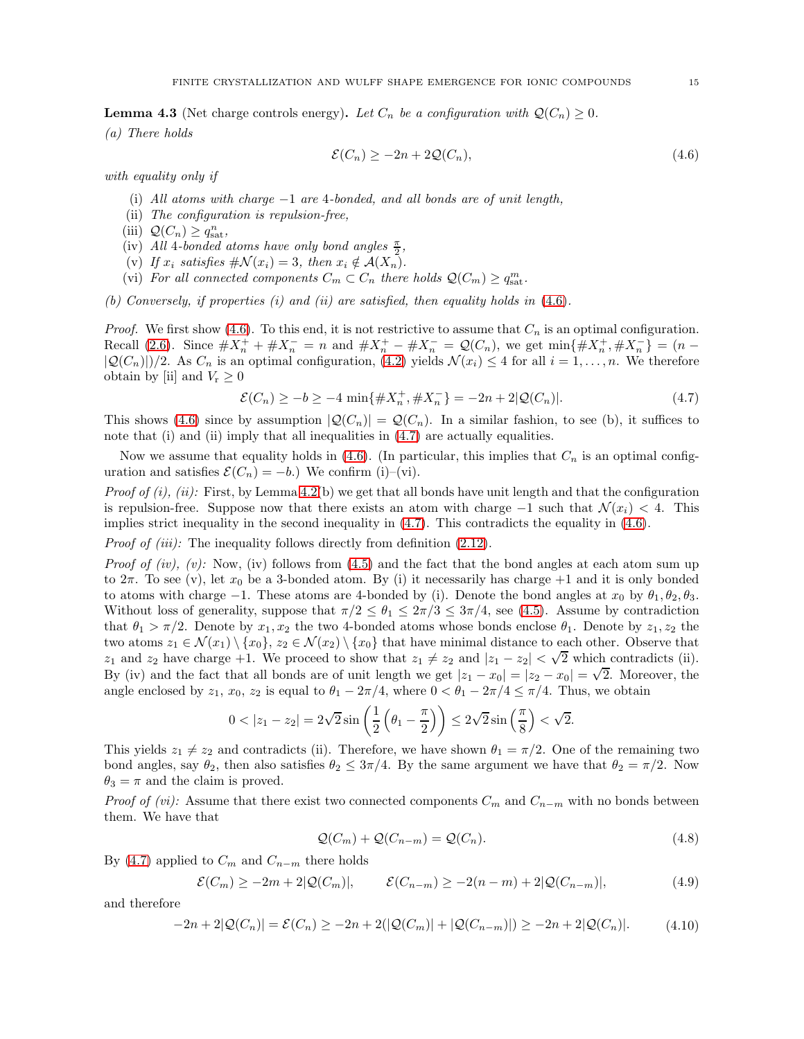<span id="page-14-0"></span>**Lemma 4.3** (Net charge controls energy). Let  $C_n$  be a configuration with  $\mathcal{Q}(C_n) \geq 0$ .

(a) There holds

<span id="page-14-2"></span><span id="page-14-1"></span>
$$
\mathcal{E}(C_n) \ge -2n + 2\mathcal{Q}(C_n),\tag{4.6}
$$

with equality only if

- (i) All atoms with charge  $-1$  are 4-bonded, and all bonds are of unit length,
- (ii) The configuration is repulsion-free,
- (iii)  $\mathcal{Q}(C_n) \geq q_{\text{sat}}^n$ ,
- (iv) All 4-bonded atoms have only bond angles  $\frac{\pi}{2}$ ,
- (v) If  $x_i$  satisfies  $\#\mathcal{N}(x_i) = 3$ , then  $x_i \notin \mathcal{A}(X_n)$ .
- (vi) For all connected components  $C_m \subset C_n$  there holds  $\mathcal{Q}(C_m) \geq q_{\text{sat}}^m$ .

(b) Conversely, if properties  $(i)$  and  $(ii)$  are satisfied, then equality holds in  $(4.6)$ .

*Proof.* We first show [\(4.6\)](#page-14-1). To this end, it is not restrictive to assume that  $C_n$  is an optimal configuration. Recall [\(2.6\)](#page-5-5). Since  $\#X_n^+ + \#X_n^- = n$  and  $\#X_n^+ - \#X_n^- = \mathcal{Q}(C_n)$ , we get  $\min{\{\#X_n^+, \#X_n^-\}} = (n - \frac{1}{n})$  $|\mathcal{Q}(C_n)|/2$ . As  $C_n$  is an optimal configuration, [\(4.2\)](#page-12-4) yields  $\mathcal{N}(x_i) \leq 4$  for all  $i = 1, ..., n$ . We therefore obtain by [ii] and  $V_r \geq 0$ 

$$
\mathcal{E}(C_n) \ge -b \ge -4 \min\{\#X_n^+, \#X_n^-\} = -2n + 2|\mathcal{Q}(C_n)|. \tag{4.7}
$$

This shows [\(4.6\)](#page-14-1) since by assumption  $|Q(C_n)| = Q(C_n)$ . In a similar fashion, to see (b), it suffices to note that (i) and (ii) imply that all inequalities in  $(4.7)$  are actually equalities.

Now we assume that equality holds in [\(4.6\)](#page-14-1). (In particular, this implies that  $C_n$  is an optimal configuration and satisfies  $\mathcal{E}(C_n) = -b$ .) We confirm (i)–(vi).

Proof of  $(i)$ ,  $(ii)$ : First, by Lemma [4.2\(](#page-13-0)b) we get that all bonds have unit length and that the configuration is repulsion-free. Suppose now that there exists an atom with charge  $-1$  such that  $\mathcal{N}(x_i) < 4$ . This implies strict inequality in the second inequality in [\(4.7\)](#page-14-2). This contradicts the equality in [\(4.6\)](#page-14-1).

Proof of (iii): The inequality follows directly from definition [\(2.12\)](#page-7-6).

*Proof of (iv), (v):* Now, (iv) follows from [\(4.5\)](#page-13-1) and the fact that the bond angles at each atom sum up to  $2\pi$ . To see (v), let  $x_0$  be a 3-bonded atom. By (i) it necessarily has charge  $+1$  and it is only bonded to atoms with charge  $-1$ . These atoms are 4-bonded by (i). Denote the bond angles at  $x_0$  by  $\theta_1, \theta_2, \theta_3$ . Without loss of generality, suppose that  $\pi/2 \leq \theta_1 \leq 2\pi/3 \leq 3\pi/4$ , see [\(4.5\)](#page-13-1). Assume by contradiction that  $\theta_1 > \pi/2$ . Denote by  $x_1, x_2$  the two 4-bonded atoms whose bonds enclose  $\theta_1$ . Denote by  $z_1, z_2$  the two atoms  $z_1 \in \mathcal{N}(x_1) \setminus \{x_0\}, z_2 \in \mathcal{N}(x_2) \setminus \{x_0\}$  that have minimal distance to each other. Observe that z<sub>1</sub> and z<sub>2</sub> have charge +1. We proceed to show that  $z_1 \neq z_2$  and  $|z_1 - z_2| < \sqrt{2}$  which contradicts (ii). By (iv) and the fact that all bonds are of unit length we get  $|z_1 - x_0| = |z_2 - x_0| = \sqrt{2}$ . Moreover, the angle enclosed by  $z_1$ ,  $x_0$ ,  $z_2$  is equal to  $\theta_1 - 2\pi/4$ , where  $0 < \theta_1 - 2\pi/4 \leq \pi/4$ . Thus, we obtain

$$
0 < |z_1 - z_2| = 2\sqrt{2}\sin\left(\frac{1}{2}\left(\theta_1 - \frac{\pi}{2}\right)\right) \le 2\sqrt{2}\sin\left(\frac{\pi}{8}\right) < \sqrt{2}.
$$

This yields  $z_1 \neq z_2$  and contradicts (ii). Therefore, we have shown  $\theta_1 = \pi/2$ . One of the remaining two bond angles, say  $\theta_2$ , then also satisfies  $\theta_2 \leq 3\pi/4$ . By the same argument we have that  $\theta_2 = \pi/2$ . Now  $\theta_3 = \pi$  and the claim is proved.

*Proof of (vi):* Assume that there exist two connected components  $C_m$  and  $C_{n-m}$  with no bonds between them. We have that

<span id="page-14-5"></span><span id="page-14-4"></span><span id="page-14-3"></span>
$$
\mathcal{Q}(C_m) + \mathcal{Q}(C_{n-m}) = \mathcal{Q}(C_n). \tag{4.8}
$$

By [\(4.7\)](#page-14-2) applied to  $C_m$  and  $C_{n-m}$  there holds

$$
\mathcal{E}(C_m) \ge -2m + 2|\mathcal{Q}(C_m)|, \qquad \mathcal{E}(C_{n-m}) \ge -2(n-m) + 2|\mathcal{Q}(C_{n-m})|, \tag{4.9}
$$

and therefore

$$
-2n + 2|Q(C_n)| = \mathcal{E}(C_n) \ge -2n + 2(|Q(C_m)| + |Q(C_{n-m})|) \ge -2n + 2|Q(C_n)|.
$$
 (4.10)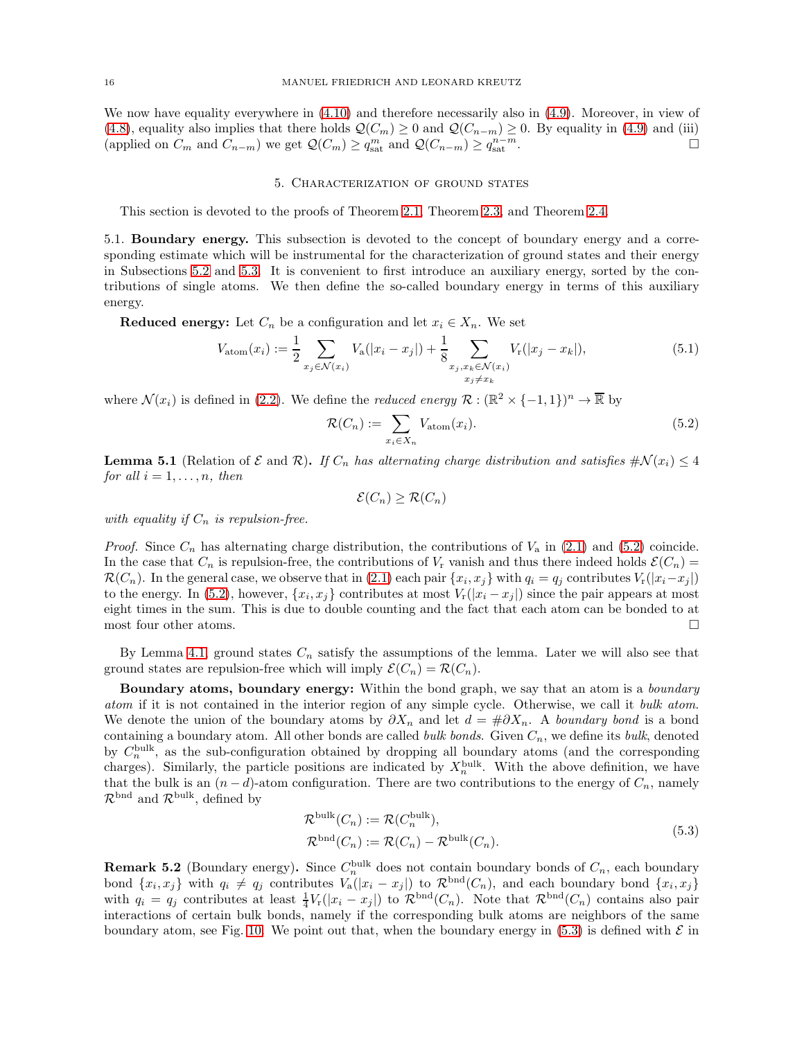<span id="page-15-1"></span>We now have equality everywhere in [\(4.10\)](#page-14-3) and therefore necessarily also in [\(4.9\)](#page-14-4). Moreover, in view of [\(4.8\)](#page-14-5), equality also implies that there holds  $\mathcal{Q}(C_m) \ge 0$  and  $\mathcal{Q}(C_{n-m}) \ge 0$ . By equality in [\(4.9\)](#page-14-4) and (iii) (applied on  $C_m$  and  $C_{n-m}$ ) we get  $\mathcal{O}(C_m) \ge a^m$  and  $\mathcal{O}(C_{n-m}) \ge a^{n-m}$ . (applied on  $C_m$  and  $C_{n-m}$ ) we get  $\mathcal{Q}(C_m) \geq q_{\text{sat}}^m$  and  $\mathcal{Q}(C_{n-m}) \geq q_{\text{sat}}^{n-m}$ .

#### 5. Characterization of ground states

<span id="page-15-5"></span>This section is devoted to the proofs of Theorem [2.1,](#page-6-2) Theorem [2.3,](#page-6-3) and Theorem [2.4.](#page-7-1)

5.1. Boundary energy. This subsection is devoted to the concept of boundary energy and a corresponding estimate which will be instrumental for the characterization of ground states and their energy in Subsections [5.2](#page-17-0) and [5.3.](#page-19-0) It is convenient to first introduce an auxiliary energy, sorted by the contributions of single atoms. We then define the so-called boundary energy in terms of this auxiliary energy.

**Reduced energy:** Let  $C_n$  be a configuration and let  $x_i \in X_n$ . We set

$$
V_{\text{atom}}(x_i) := \frac{1}{2} \sum_{x_j \in \mathcal{N}(x_i)} V_{\text{a}}(|x_i - x_j|) + \frac{1}{8} \sum_{\substack{x_j, x_k \in \mathcal{N}(x_i) \\ x_j \neq x_k}} V_{\text{r}}(|x_j - x_k|), \tag{5.1}
$$

where  $\mathcal{N}(x_i)$  is defined in [\(2.2\)](#page-4-2). We define the *reduced energy*  $\mathcal{R}: (\mathbb{R}^2 \times \{-1,1\})^n \to \overline{\mathbb{R}}$  by

<span id="page-15-6"></span>
$$
\mathcal{R}(C_n) := \sum_{x_i \in X_n} V_{\text{atom}}(x_i). \tag{5.2}
$$

<span id="page-15-4"></span>**Lemma 5.1** (Relation of  $\mathcal E$  and  $\mathcal R$ ). If  $C_n$  has alternating charge distribution and satisfies  $\#\mathcal N(x_i) \leq 4$ for all  $i = 1, \ldots, n$ , then

<span id="page-15-2"></span>
$$
\mathcal{E}(C_n) \geq \mathcal{R}(C_n)
$$

with equality if  $C_n$  is repulsion-free.

*Proof.* Since  $C_n$  has alternating charge distribution, the contributions of  $V_a$  in [\(2.1\)](#page-3-2) and [\(5.2\)](#page-15-2) coincide. In the case that  $C_n$  is repulsion-free, the contributions of  $V_r$  vanish and thus there indeed holds  $\mathcal{E}(C_n)$  $\mathcal{R}(C_n)$ . In the general case, we observe that in [\(2.1\)](#page-3-2) each pair  $\{x_i, x_j\}$  with  $q_i = q_j$  contributes  $V_r(|x_i - x_j|)$ to the energy. In [\(5.2\)](#page-15-2), however,  $\{x_i, x_j\}$  contributes at most  $V_r(|x_i - x_j|)$  since the pair appears at most eight times in the sum. This is due to double counting and the fact that each atom can be bonded to at most four other atoms.

By Lemma [4.1,](#page-12-5) ground states  $C_n$  satisfy the assumptions of the lemma. Later we will also see that ground states are repulsion-free which will imply  $\mathcal{E}(C_n) = \mathcal{R}(C_n)$ .

Boundary atoms, boundary energy: Within the bond graph, we say that an atom is a *boundary* atom if it is not contained in the interior region of any simple cycle. Otherwise, we call it bulk atom. We denote the union of the boundary atoms by  $\partial X_n$  and let  $d = #\partial X_n$ . A boundary bond is a bond containing a boundary atom. All other bonds are called *bulk bonds*. Given  $C_n$ , we define its *bulk*, denoted by  $C_n^{\text{bulk}}$ , as the sub-configuration obtained by dropping all boundary atoms (and the corresponding charges). Similarly, the particle positions are indicated by  $X_n^{\text{bulk}}$ . With the above definition, we have that the bulk is an  $(n-d)$ -atom configuration. There are two contributions to the energy of  $C_n$ , namely  $\mathcal{R}^{\text{bnd}}$  and  $\mathcal{R}^{\text{bulk}}$ , defined by

<span id="page-15-3"></span>
$$
\mathcal{R}^{\text{bulk}}(C_n) := \mathcal{R}(C_n^{\text{bulk}}),
$$
  
\n
$$
\mathcal{R}^{\text{bnd}}(C_n) := \mathcal{R}(C_n) - \mathcal{R}^{\text{bulk}}(C_n).
$$
\n(5.3)

<span id="page-15-0"></span>**Remark 5.2** (Boundary energy). Since  $C_n^{\text{bulk}}$  does not contain boundary bonds of  $C_n$ , each boundary bond  $\{x_i, x_j\}$  with  $q_i \neq q_j$  contributes  $V_a(|x_i - x_j|)$  to  $\mathcal{R}^{bnd}(C_n)$ , and each boundary bond  $\{x_i, x_j\}$ with  $q_i = q_j$  contributes at least  $\frac{1}{4}V_r(|x_i - x_j|)$  to  $\mathcal{R}^{bnd}(C_n)$ . Note that  $\mathcal{R}^{bnd}(C_n)$  contains also pair interactions of certain bulk bonds, namely if the corresponding bulk atoms are neighbors of the same boundary atom, see Fig. [10.](#page-16-1) We point out that, when the boundary energy in  $(5.3)$  is defined with  $\mathcal E$  in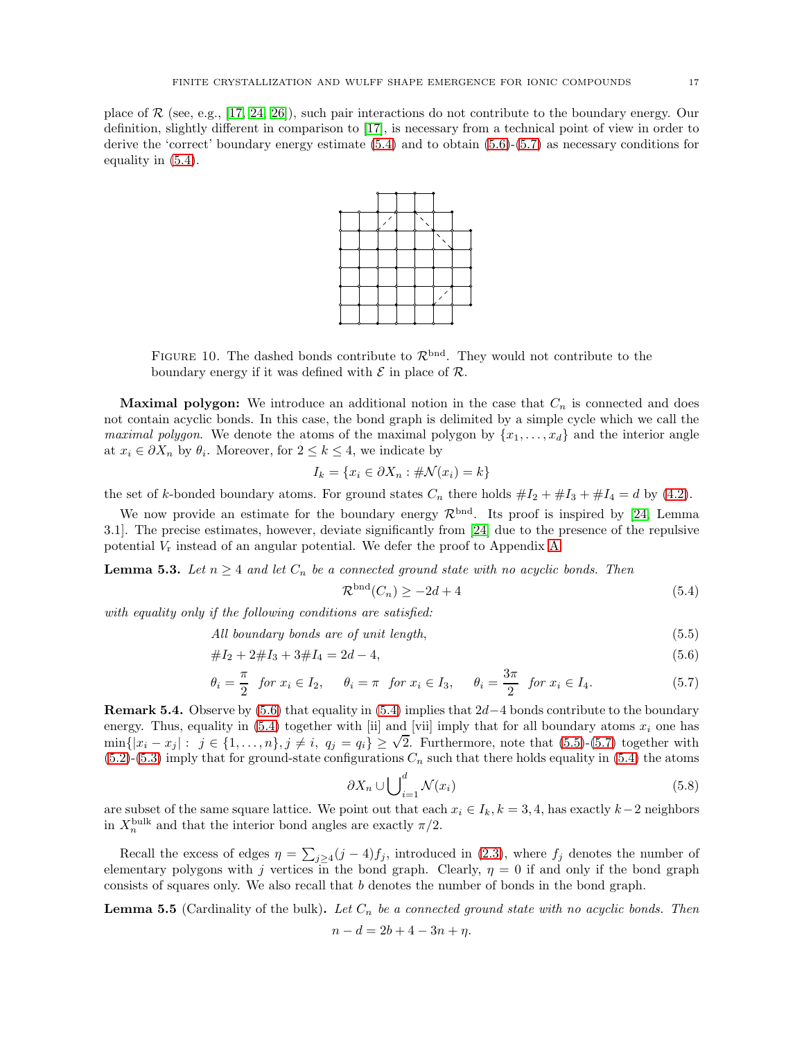place of  $\mathcal R$  (see, e.g., [\[17,](#page-44-25) [24,](#page-44-7) [26\]](#page-44-8)), such pair interactions do not contribute to the boundary energy. Our definition, slightly different in comparison to [\[17\]](#page-44-25), is necessary from a technical point of view in order to derive the 'correct' boundary energy estimate [\(5.4\)](#page-16-2) and to obtain [\(5.6\)](#page-16-3)-[\(5.7\)](#page-16-4) as necessary conditions for equality in [\(5.4\)](#page-16-2).



<span id="page-16-1"></span>FIGURE 10. The dashed bonds contribute to  $\mathcal{R}^{bnd}$ . They would not contribute to the boundary energy if it was defined with  $\mathcal E$  in place of  $\mathcal R$ .

**Maximal polygon:** We introduce an additional notion in the case that  $C_n$  is connected and does not contain acyclic bonds. In this case, the bond graph is delimited by a simple cycle which we call the *maximal polygon.* We denote the atoms of the maximal polygon by  $\{x_1, \ldots, x_d\}$  and the interior angle at  $x_i \in \partial X_n$  by  $\theta_i$ . Moreover, for  $2 \leq k \leq 4$ , we indicate by

$$
I_k = \{x_i \in \partial X_n : \# \mathcal{N}(x_i) = k\}
$$

the set of k-bonded boundary atoms. For ground states  $C_n$  there holds  $\#I_2 + \#I_3 + \#I_4 = d$  by [\(4.2\)](#page-12-4).

We now provide an estimate for the boundary energy  $\mathcal{R}^{\text{bnd}}$ . Its proof is inspired by [\[24,](#page-44-7) Lemma 3.1]. The precise estimates, however, deviate significantly from [\[24\]](#page-44-7) due to the presence of the repulsive potential  $V_r$  instead of an angular potential. We defer the proof to Appendix [A.](#page-37-0)

<span id="page-16-0"></span>**Lemma 5.3.** Let  $n \geq 4$  and let  $C_n$  be a connected ground state with no acyclic bonds. Then

<span id="page-16-5"></span><span id="page-16-4"></span><span id="page-16-3"></span><span id="page-16-2"></span>
$$
\mathcal{R}^{\text{bnd}}(C_n) \ge -2d + 4\tag{5.4}
$$

with equality only if the following conditions are satisfied:

All boundary bonds are of unit length,  $(5.5)$ 

$$
#I_2 + 2#I_3 + 3#I_4 = 2d - 4,\tag{5.6}
$$

$$
\theta_i = \frac{\pi}{2} \quad \text{for } x_i \in I_2, \qquad \theta_i = \pi \quad \text{for } x_i \in I_3, \qquad \theta_i = \frac{3\pi}{2} \quad \text{for } x_i \in I_4. \tag{5.7}
$$

<span id="page-16-6"></span>**Remark 5.4.** Observe by [\(5.6\)](#page-16-3) that equality in [\(5.4\)](#page-16-2) implies that  $2d-4$  bonds contribute to the boundary energy. Thus, equality in [\(5.4\)](#page-16-2) together with [ii] and [vii] imply that for all boundary atoms  $x_i$  one has  $\min\{|x_i - x_j| : j \in \{1, \ldots, n\}, j \neq i, q_j = q_i\} \geq \sqrt{2}$ . Furthermore, note that [\(5.5\)](#page-16-5)-[\(5.7\)](#page-16-4) together with  $(5.2)$ -[\(5.3\)](#page-15-3) imply that for ground-state configurations  $C_n$  such that there holds equality in [\(5.4\)](#page-16-2) the atoms

<span id="page-16-8"></span>
$$
\partial X_n \cup \bigcup_{i=1}^d \mathcal{N}(x_i) \tag{5.8}
$$

are subset of the same square lattice. We point out that each  $x_i \in I_k$ ,  $k = 3, 4$ , has exactly  $k-2$  neighbors in  $X_n^{\text{bulk}}$  and that the interior bond angles are exactly  $\pi/2$ .

Recall the excess of edges  $\eta = \sum_{j\geq 4} (j-4)f_j$ , introduced in [\(2.3\)](#page-4-1), where  $f_j$  denotes the number of elementary polygons with j vertices in the bond graph. Clearly,  $\eta = 0$  if and only if the bond graph consists of squares only. We also recall that b denotes the number of bonds in the bond graph.

<span id="page-16-7"></span>**Lemma 5.5** (Cardinality of the bulk). Let  $C_n$  be a connected ground state with no acyclic bonds. Then

$$
n - d = 2b + 4 - 3n + \eta.
$$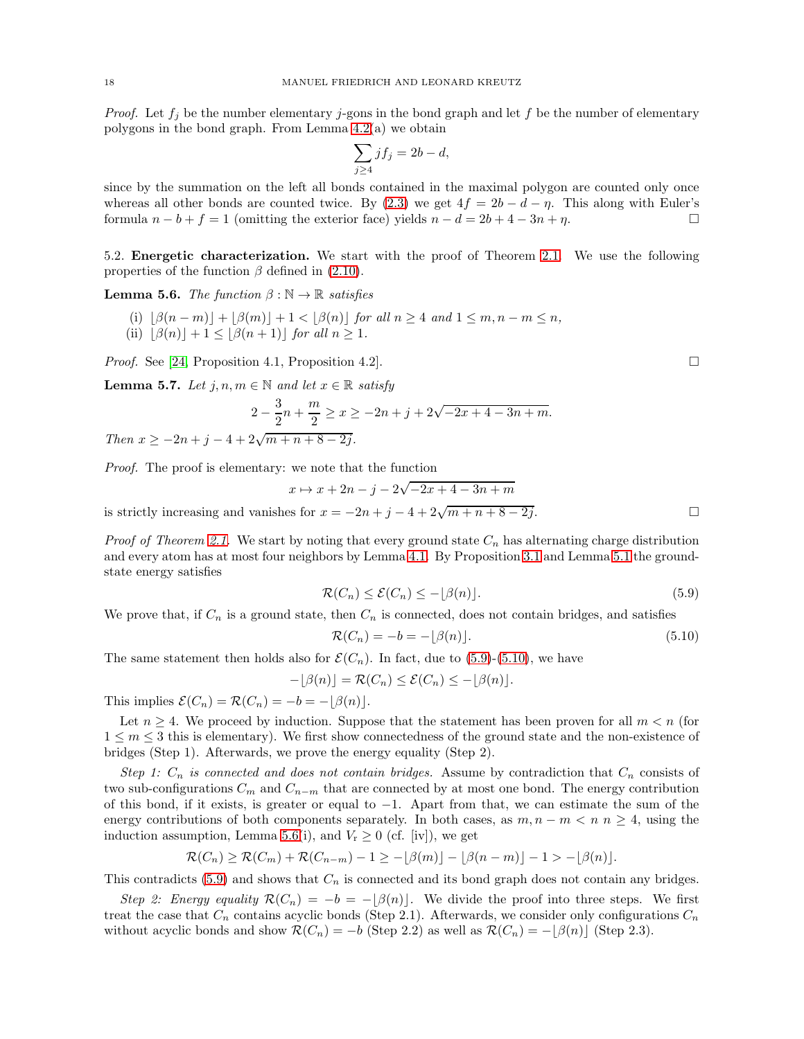*Proof.* Let  $f_j$  be the number elementary j-gons in the bond graph and let f be the number of elementary polygons in the bond graph. From Lemma [4.2\(](#page-13-0)a) we obtain

$$
\sum_{j\geq 4} jf_j = 2b - d,
$$

since by the summation on the left all bonds contained in the maximal polygon are counted only once whereas all other bonds are counted twice. By [\(2.3\)](#page-4-1) we get  $4f = 2b - d - \eta$ . This along with Euler's formula  $n - b + f = 1$  (omitting the exterior face) vields  $n - d = 2b + 4 - 3n + n$ . formula  $n - b + f = 1$  (omitting the exterior face) yields  $n - d = 2b + 4 - 3n + \eta$ .

<span id="page-17-0"></span>5.2. Energetic characterization. We start with the proof of Theorem [2.1.](#page-6-2) We use the following properties of the function  $\beta$  defined in [\(2.10\)](#page-6-5).

<span id="page-17-3"></span>**Lemma 5.6.** The function  $\beta : \mathbb{N} \to \mathbb{R}$  satisfies

- (i)  $|\beta(n-m)| + |\beta(m)| + 1 < |\beta(n)|$  for all  $n \geq 4$  and  $1 \leq m, n-m \leq n$ ,
- (ii)  $|\beta(n)| + 1 \leq |\beta(n+1)|$  for all  $n \geq 1$ .

*Proof.* See [\[24,](#page-44-7) Proposition 4.1, Proposition 4.2].

<span id="page-17-4"></span>**Lemma 5.7.** Let  $j, n, m \in \mathbb{N}$  and let  $x \in \mathbb{R}$  satisfy

$$
2 - \frac{3}{2}n + \frac{m}{2} \ge x \ge -2n + j + 2\sqrt{-2x + 4 - 3n + m}.
$$
  
Then  $x \ge -2n + j - 4 + 2\sqrt{m + n + 8 - 2j}$ .

Proof. The proof is elementary: we note that the function

$$
x \mapsto x + 2n - j - 2\sqrt{-2x + 4 - 3n + m}
$$

is strictly increasing and vanishes for  $x = -2n + j - 4 + 2\sqrt{m + n + 8 - 2j}$ .

*Proof of Theorem [2.1.](#page-6-2)* We start by noting that every ground state  $C_n$  has alternating charge distribution and every atom has at most four neighbors by Lemma [4.1.](#page-12-5) By Proposition [3.1](#page-9-4) and Lemma [5.1](#page-15-4) the groundstate energy satisfies

$$
\mathcal{R}(C_n) \le \mathcal{E}(C_n) \le -\lfloor \beta(n) \rfloor. \tag{5.9}
$$

We prove that, if  $C_n$  is a ground state, then  $C_n$  is connected, does not contain bridges, and satisfies

$$
\mathcal{R}(C_n) = -b = -\lfloor \beta(n) \rfloor. \tag{5.10}
$$

The same statement then holds also for  $\mathcal{E}(C_n)$ . In fact, due to [\(5.9\)](#page-17-1)-[\(5.10\)](#page-17-2), we have

$$
-\lfloor \beta(n) \rfloor = \mathcal{R}(C_n) \le \mathcal{E}(C_n) \le -\lfloor \beta(n) \rfloor.
$$

This implies  $\mathcal{E}(C_n) = \mathcal{R}(C_n) = -b = -|\beta(n)|$ .

Let  $n \geq 4$ . We proceed by induction. Suppose that the statement has been proven for all  $m < n$  (for  $1 \leq m \leq 3$  this is elementary). We first show connectedness of the ground state and the non-existence of bridges (Step 1). Afterwards, we prove the energy equality (Step 2).

Step 1:  $C_n$  is connected and does not contain bridges. Assume by contradiction that  $C_n$  consists of two sub-configurations  $C_m$  and  $C_{n-m}$  that are connected by at most one bond. The energy contribution of this bond, if it exists, is greater or equal to −1. Apart from that, we can estimate the sum of the energy contributions of both components separately. In both cases, as  $m, n - m < n$  n  $\geq 4$ , using the induction assumption, Lemma [5.6\(](#page-17-3)i), and  $V_r \geq 0$  (cf. [iv]), we get

$$
\mathcal{R}(C_n) \geq \mathcal{R}(C_m) + \mathcal{R}(C_{n-m}) - 1 \geq -\lfloor \beta(m) \rfloor - \lfloor \beta(n-m) \rfloor - 1 > -\lfloor \beta(n) \rfloor.
$$

This contradicts [\(5.9\)](#page-17-1) and shows that  $C_n$  is connected and its bond graph does not contain any bridges.

Step 2: Energy equality  $\mathcal{R}(C_n) = -b = -\lfloor \beta(n) \rfloor$ . We divide the proof into three steps. We first treat the case that  $C_n$  contains acyclic bonds (Step 2.1). Afterwards, we consider only configurations  $C_n$ without acyclic bonds and show  $\mathcal{R}(C_n) = -b$  (Step 2.2) as well as  $\mathcal{R}(C_n) = -[\beta(n)]$  (Step 2.3).

<span id="page-17-2"></span><span id="page-17-1"></span>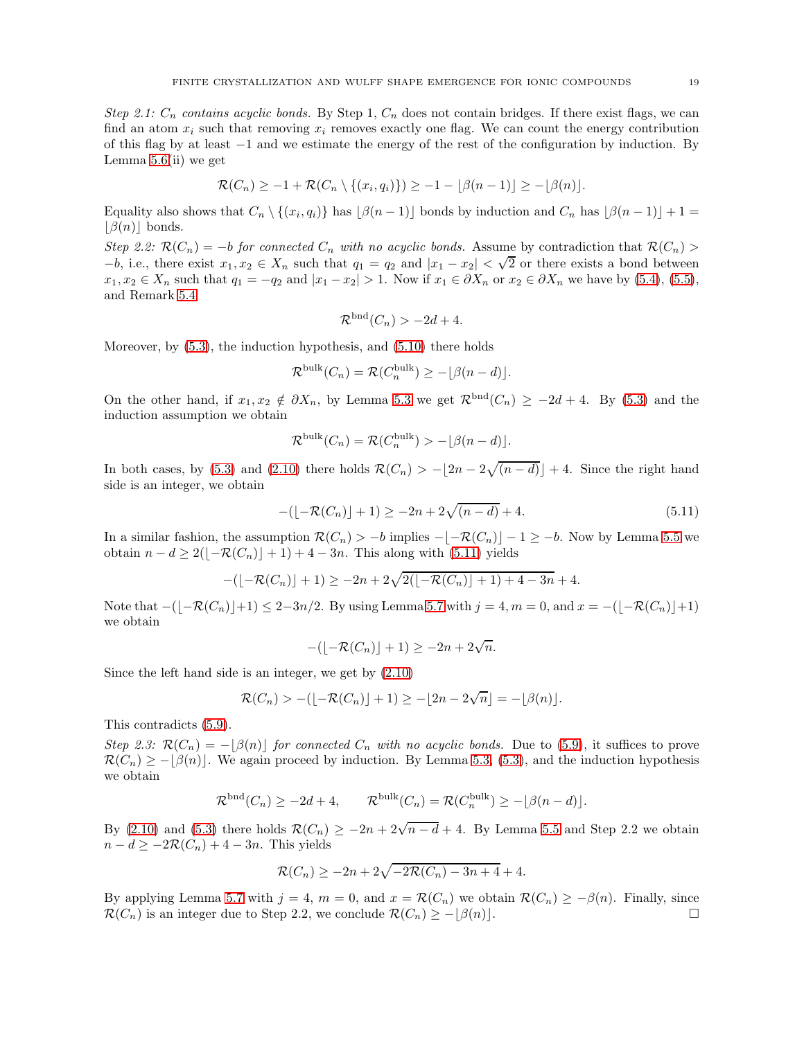Step 2.1:  $C_n$  contains acyclic bonds. By Step 1,  $C_n$  does not contain bridges. If there exist flags, we can find an atom  $x_i$  such that removing  $x_i$  removes exactly one flag. We can count the energy contribution of this flag by at least −1 and we estimate the energy of the rest of the configuration by induction. By Lemma  $5.6$ (ii) we get

$$
\mathcal{R}(C_n) \geq -1 + \mathcal{R}(C_n \setminus \{(x_i, q_i)\}) \geq -1 - \lfloor \beta(n-1) \rfloor \geq -\lfloor \beta(n) \rfloor.
$$

Equality also shows that  $C_n \setminus \{(x_i, q_i)\}\$  has  $\lfloor \beta(n-1) \rfloor$  bonds by induction and  $C_n$  has  $\lfloor \beta(n-1) \rfloor + 1 =$  $|\beta(n)|$  bonds.

Step 2.2:  $\mathcal{R}(C_n) = -b$  for connected  $C_n$  with no acyclic bonds. Assume by contradiction that  $\mathcal{R}(C_n)$  $-b$ , i.e., there exist  $x_1, x_2 \in X_n$  such that  $q_1 = q_2$  and  $|x_1 - x_2| < \sqrt{2}$  or there exists a bond between  $x_1, x_2 \in X_n$  such that  $q_1 = -q_2$  and  $|x_1 - x_2| > 1$ . Now if  $x_1 \in \partial X_n$  or  $x_2 \in \partial X_n$  we have by [\(5.4\)](#page-16-2), [\(5.5\)](#page-16-5), and Remark [5.4](#page-16-6)

<span id="page-18-0"></span>
$$
\mathcal{R}^{\text{bnd}}(C_n) > -2d + 4.
$$

Moreover, by [\(5.3\)](#page-15-3), the induction hypothesis, and [\(5.10\)](#page-17-2) there holds

$$
\mathcal{R}^{\text{bulk}}(C_n) = \mathcal{R}(C_n^{\text{bulk}}) \ge -\lfloor \beta(n-d) \rfloor.
$$

On the other hand, if  $x_1, x_2 \notin \partial X_n$ , by Lemma [5.3](#page-16-0) we get  $\mathcal{R}^{bnd}(C_n) \geq -2d+4$ . By [\(5.3\)](#page-15-3) and the induction assumption we obtain

$$
\mathcal{R}^{\text{bulk}}(C_n) = \mathcal{R}(C_n^{\text{bulk}}) > -\lfloor \beta(n-d) \rfloor.
$$

In both cases, by [\(5.3\)](#page-15-3) and [\(2.10\)](#page-6-5) there holds  $\mathcal{R}(C_n) > -\lfloor 2n - 2\sqrt{(n-d)} \rfloor + 4$ . Since the right hand side is an integer, we obtain

$$
-(\lfloor -\mathcal{R}(C_n)\rfloor + 1) \ge -2n + 2\sqrt{(n-d)} + 4. \tag{5.11}
$$

In a similar fashion, the assumption  $\mathcal{R}(C_n) > -b$  implies  $-[-\mathcal{R}(C_n)] - 1 \geq -b$ . Now by Lemma [5.5](#page-16-7) we obtain  $n - d \geq 2(\lfloor -\mathcal{R}(C_n) \rfloor + 1) + 4 - 3n$ . This along with [\(5.11\)](#page-18-0) yields

$$
-(\lfloor -\mathcal{R}(C_n)\rfloor + 1) \ge -2n + 2\sqrt{2(\lfloor -\mathcal{R}(C_n)\rfloor + 1) + 4 - 3n} + 4.
$$

Note that  $-(\frac{|\mathcal{R}(C_n)|+1)}{2-3n/2}$ . By using Lemma [5.7](#page-17-4) with  $j=4, m=0$ , and  $x=-\frac{|\mathcal{R}(C_n)|+1}{2}$ we obtain

$$
-(\lfloor -\mathcal{R}(C_n)\rfloor + 1) \ge -2n + 2\sqrt{n}.
$$

Since the left hand side is an integer, we get by [\(2.10\)](#page-6-5)

$$
\mathcal{R}(C_n) > -(\lfloor -\mathcal{R}(C_n)\rfloor + 1) \ge -\lfloor 2n - 2\sqrt{n} \rfloor = -\lfloor \beta(n) \rfloor.
$$

This contradicts [\(5.9\)](#page-17-1).

Step 2.3:  $\mathcal{R}(C_n) = -\lfloor \beta(n) \rfloor$  for connected  $C_n$  with no acyclic bonds. Due to [\(5.9\)](#page-17-1), it suffices to prove  $\mathcal{R}(C_n) \geq -|\beta(n)|$ . We again proceed by induction. By Lemma [5.3,](#page-16-0) [\(5.3\)](#page-15-3), and the induction hypothesis we obtain

$$
\mathcal{R}^{\text{bnd}}(C_n) \ge -2d + 4
$$
,  $\mathcal{R}^{\text{bulk}}(C_n) = \mathcal{R}(C_n^{\text{bulk}}) \ge -\lfloor \beta(n-d) \rfloor$ .

By [\(2.10\)](#page-6-5) and [\(5.3\)](#page-15-3) there holds  $\mathcal{R}(C_n) \geq -2n + 2\sqrt{n-d} + 4$ . By Lemma [5.5](#page-16-7) and Step 2.2 we obtain  $n - d \geq -2\mathcal{R}(C_n) + 4 - 3n$ . This yields

$$
\mathcal{R}(C_n) \ge -2n + 2\sqrt{-2\mathcal{R}(C_n) - 3n + 4} + 4.
$$

By applying Lemma [5.7](#page-17-4) with  $j = 4$ ,  $m = 0$ , and  $x = \mathcal{R}(C_n)$  we obtain  $\mathcal{R}(C_n) \ge -\beta(n)$ . Finally, since  $\mathcal{R}(C_n)$  is an integer due to Step 2.2, we conclude  $\mathcal{R}(C_n) \ge -|\beta(n)|$ .  $\mathcal{R}(C_n)$  is an integer due to Step 2.2, we conclude  $\mathcal{R}(C_n) \geq -\lfloor \beta(n) \rfloor$ .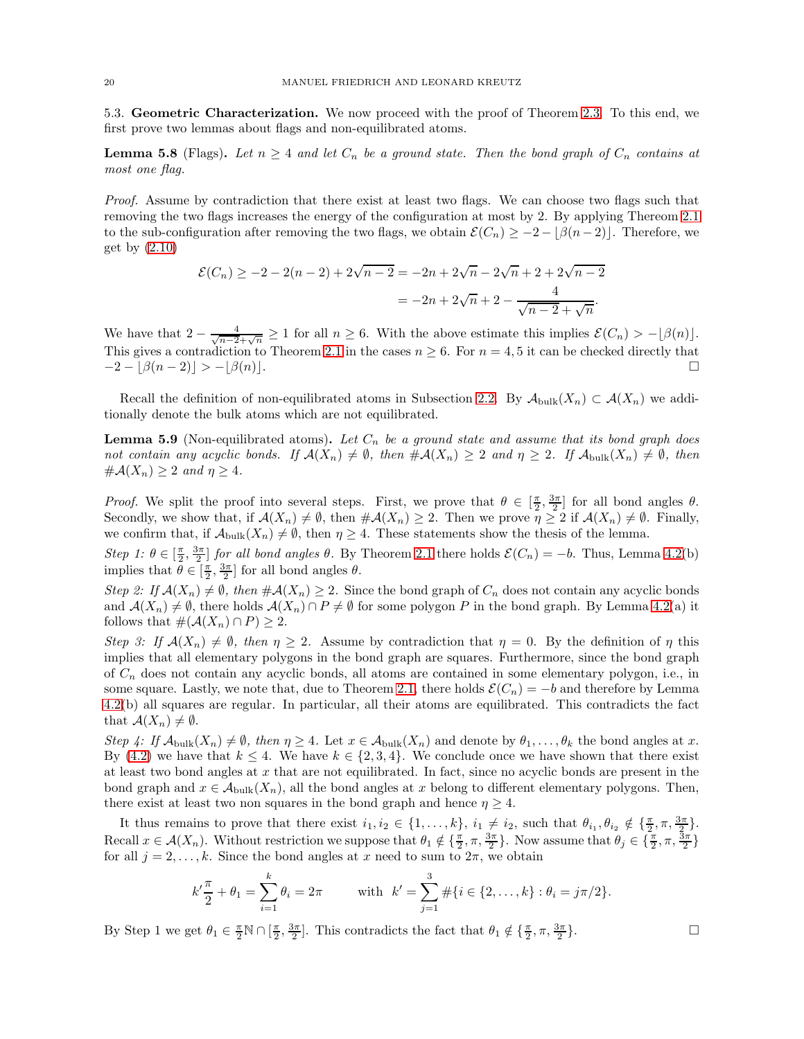<span id="page-19-0"></span>5.3. Geometric Characterization. We now proceed with the proof of Theorem [2.3.](#page-6-3) To this end, we first prove two lemmas about flags and non-equilibrated atoms.

<span id="page-19-1"></span>**Lemma 5.8** (Flags). Let  $n \geq 4$  and let  $C_n$  be a ground state. Then the bond graph of  $C_n$  contains at most one flag.

Proof. Assume by contradiction that there exist at least two flags. We can choose two flags such that removing the two flags increases the energy of the configuration at most by 2. By applying Thereom [2.1](#page-6-2) to the sub-configuration after removing the two flags, we obtain  $\mathcal{E}(C_n) \geq -2 - |\beta(n-2)|$ . Therefore, we get by  $(2.10)$ 

$$
\mathcal{E}(C_n) \ge -2 - 2(n-2) + 2\sqrt{n-2} = -2n + 2\sqrt{n-2}\sqrt{n+2} + 2\sqrt{n-2}
$$

$$
= -2n + 2\sqrt{n+2} - \frac{4}{\sqrt{n-2} + \sqrt{n}}.
$$

We have that  $2 - \frac{4}{\sqrt{n-2} + \sqrt{n}} \ge 1$  for all  $n \ge 6$ . With the above estimate this implies  $\mathcal{E}(C_n) > -\lfloor \beta(n) \rfloor$ . This gives a contradiction to Theorem [2.1](#page-6-2) in the cases  $n \geq 6$ . For  $n = 4, 5$  it can be checked directly that  $-2 - |\beta(n-2)| > -|\beta(n)|.$ 

Recall the definition of non-equilibrated atoms in Subsection [2.2.](#page-4-0) By  $\mathcal{A}_{\text{bulk}}(X_n) \subset \mathcal{A}(X_n)$  we additionally denote the bulk atoms which are not equilibrated.

<span id="page-19-2"></span>**Lemma 5.9** (Non-equilibrated atoms). Let  $C_n$  be a ground state and assume that its bond graph does not contain any acyclic bonds. If  $\mathcal{A}(X_n) \neq \emptyset$ , then  $\#\mathcal{A}(X_n) \geq 2$  and  $\eta \geq 2$ . If  $\mathcal{A}_{\text{bulk}}(X_n) \neq \emptyset$ , then  $\#\mathcal{A}(X_n) \geq 2$  and  $\eta \geq 4$ .

*Proof.* We split the proof into several steps. First, we prove that  $\theta \in \left[\frac{\pi}{2}, \frac{3\pi}{2}\right]$  for all bond angles  $\theta$ . Secondly, we show that, if  $\mathcal{A}(X_n) \neq \emptyset$ , then  $\#\mathcal{A}(X_n) \geq 2$ . Then we prove  $\eta \geq 2$  if  $\mathcal{A}(X_n) \neq \emptyset$ . Finally, we confirm that, if  $\mathcal{A}_{\text{bulk}}(X_n) \neq \emptyset$ , then  $\eta \geq 4$ . These statements show the thesis of the lemma.

Step 1:  $\theta \in [\frac{\pi}{2}, \frac{3\pi}{2}]$  for all bond angles  $\theta$ . By Theorem [2.1](#page-6-2) there holds  $\mathcal{E}(C_n) = -b$ . Thus, Lemma [4.2\(](#page-13-0)b) implies that  $\theta \in [\frac{\pi}{2}, \frac{3\pi}{2}]$  for all bond angles  $\theta$ .

Step 2: If  $\mathcal{A}(X_n) \neq \emptyset$ , then  $\#\mathcal{A}(X_n) \geq 2$ . Since the bond graph of  $C_n$  does not contain any acyclic bonds and  $\mathcal{A}(X_n) \neq \emptyset$ , there holds  $\mathcal{A}(X_n) \cap P \neq \emptyset$  for some polygon P in the bond graph. By Lemma [4.2\(](#page-13-0)a) it follows that  $\#(\mathcal{A}(X_n) \cap P) \geq 2$ .

Step 3: If  $\mathcal{A}(X_n) \neq \emptyset$ , then  $\eta \geq 2$ . Assume by contradiction that  $\eta = 0$ . By the definition of  $\eta$  this implies that all elementary polygons in the bond graph are squares. Furthermore, since the bond graph of  $C_n$  does not contain any acyclic bonds, all atoms are contained in some elementary polygon, i.e., in some square. Lastly, we note that, due to Theorem [2.1,](#page-6-2) there holds  $\mathcal{E}(C_n) = -b$  and therefore by Lemma [4.2\(](#page-13-0)b) all squares are regular. In particular, all their atoms are equilibrated. This contradicts the fact that  $\mathcal{A}(X_n) \neq \emptyset$ .

Step 4: If  $\mathcal{A}_{\text{bulk}}(X_n) \neq \emptyset$ , then  $\eta \geq 4$ . Let  $x \in \mathcal{A}_{\text{bulk}}(X_n)$  and denote by  $\theta_1, \ldots, \theta_k$  the bond angles at x. By [\(4.2\)](#page-12-4) we have that  $k \leq 4$ . We have  $k \in \{2,3,4\}$ . We conclude once we have shown that there exist at least two bond angles at  $x$  that are not equilibrated. In fact, since no acyclic bonds are present in the bond graph and  $x \in A_{\text{bulk}}(X_n)$ , all the bond angles at x belong to different elementary polygons. Then, there exist at least two non squares in the bond graph and hence  $\eta \geq 4$ .

It thus remains to prove that there exist  $i_1, i_2 \in \{1, \ldots, k\}$ ,  $i_1 \neq i_2$ , such that  $\theta_{i_1}, \theta_{i_2} \notin \{\frac{\pi}{2}, \pi, \frac{3\pi}{2}\}$ . Recall  $x \in \mathcal{A}(X_n)$ . Without restriction we suppose that  $\theta_1 \notin \{\frac{\pi}{2}, \pi, \frac{3\pi}{2}\}\$ . Now assume that  $\theta_j \in \{\frac{\pi}{2}, \pi, \frac{3\pi}{2}\}\$ for all  $j = 2, \ldots, k$ . Since the bond angles at x need to sum to  $2\pi$ , we obtain

$$
k'\frac{\pi}{2} + \theta_1 = \sum_{i=1}^k \theta_i = 2\pi
$$
 with  $k' = \sum_{j=1}^3 \# \{i \in \{2, ..., k\} : \theta_i = j\pi/2\}.$ 

By Step 1 we get  $\theta_1 \in \frac{\pi}{2} \mathbb{N} \cap [\frac{\pi}{2}, \frac{3\pi}{2}]$ . This contradicts the fact that  $\theta_1 \notin {\frac{\pi}{2}, \pi, \frac{3\pi}{2}}$ }.

$$
\sqcup
$$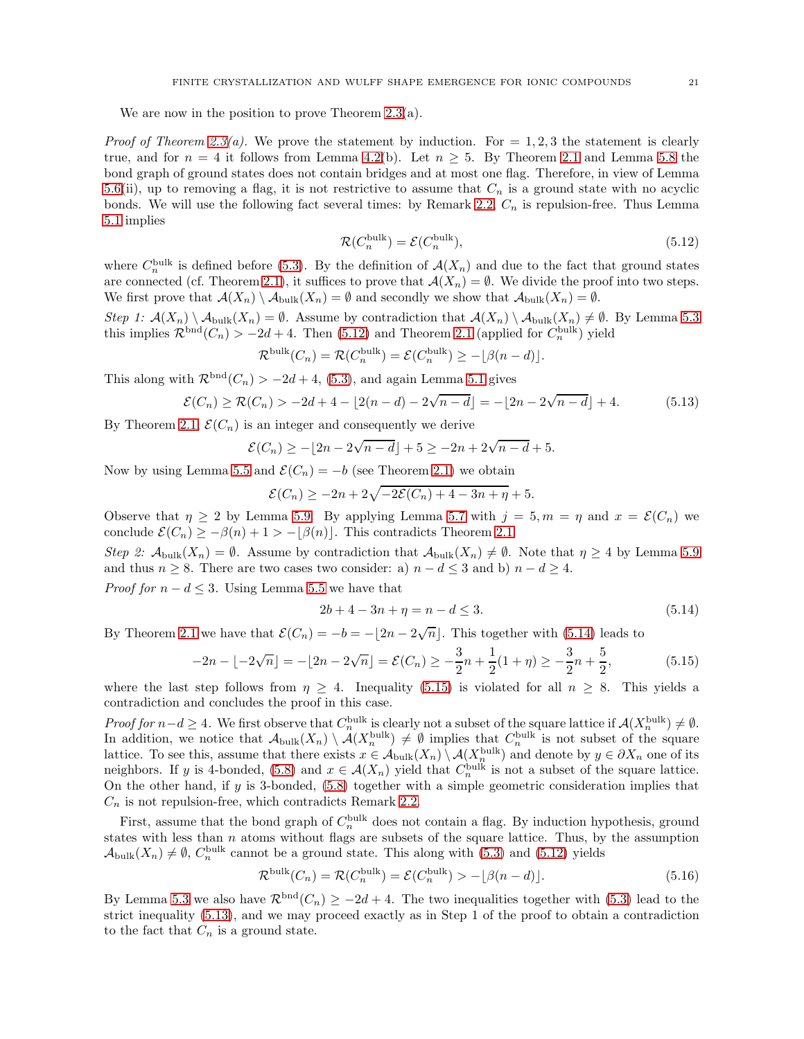We are now in the position to prove Theorem  $2.3(a)$ .

*Proof of Theorem [2.3\(](#page-6-3)a).* We prove the statement by induction. For  $= 1, 2, 3$  the statement is clearly true, and for  $n = 4$  it follows from Lemma [4.2\(](#page-13-0)b). Let  $n \geq 5$ . By Theorem [2.1](#page-6-2) and Lemma [5.8](#page-19-1) the bond graph of ground states does not contain bridges and at most one flag. Therefore, in view of Lemma [5.6\(](#page-17-3)ii), up to removing a flag, it is not restrictive to assume that  $C_n$  is a ground state with no acyclic bonds. We will use the following fact several times: by Remark [2.2,](#page-6-6)  $C_n$  is repulsion-free. Thus Lemma [5.1](#page-15-4) implies

<span id="page-20-3"></span><span id="page-20-0"></span>
$$
\mathcal{R}(C_n^{\text{bulk}}) = \mathcal{E}(C_n^{\text{bulk}}),\tag{5.12}
$$

where  $C_n^{\text{bulk}}$  is defined before [\(5.3\)](#page-15-3). By the definition of  $\mathcal{A}(X_n)$  and due to the fact that ground states are connected (cf. Theorem [2.1\)](#page-6-2), it suffices to prove that  $\mathcal{A}(X_n) = \emptyset$ . We divide the proof into two steps. We first prove that  $\mathcal{A}(X_n) \setminus \mathcal{A}_{\text{bulk}}(X_n) = \emptyset$  and secondly we show that  $\mathcal{A}_{\text{bulk}}(X_n) = \emptyset$ .

Step 1:  $\mathcal{A}(X_n) \setminus \mathcal{A}_{\text{bulk}}(X_n) = \emptyset$ . Assume by contradiction that  $\mathcal{A}(X_n) \setminus \mathcal{A}_{\text{bulk}}(X_n) \neq \emptyset$ . By Lemma [5.3](#page-16-0) this implies  $\mathcal{R}^{bnd}(C_n) > -2d + 4$ . Then [\(5.12\)](#page-20-0) and Theorem [2.1](#page-6-2) (applied for  $C_n^{\text{bulk}}$ ) yield

$$
\mathcal{R}^{\text{bulk}}(C_n) = \mathcal{R}(C_n^{\text{bulk}}) = \mathcal{E}(C_n^{\text{bulk}}) \ge -\lfloor \beta(n-d) \rfloor.
$$

This along with  $\mathcal{R}^{bnd}(C_n) > -2d+4$ , [\(5.3\)](#page-15-3), and again Lemma [5.1](#page-15-4) gives

$$
\mathcal{E}(C_n) \ge \mathcal{R}(C_n) > -2d + 4 - \lfloor 2(n-d) - 2\sqrt{n-d} \rfloor = -\lfloor 2n - 2\sqrt{n-d} \rfloor + 4. \tag{5.13}
$$

By Theorem [2.1,](#page-6-2)  $\mathcal{E}(C_n)$  is an integer and consequently we derive

$$
\mathcal{E}(C_n) \ge -\lfloor 2n - 2\sqrt{n-d} \rfloor + 5 \ge -2n + 2\sqrt{n-d} + 5.
$$

Now by using Lemma [5.5](#page-16-7) and  $\mathcal{E}(C_n) = -b$  (see Theorem [2.1\)](#page-6-2) we obtain

$$
\mathcal{E}(C_n) \ge -2n + 2\sqrt{-2\mathcal{E}(C_n) + 4 - 3n + \eta} + 5.
$$

Observe that  $\eta \ge 2$  by Lemma [5.9.](#page-19-2) By applying Lemma [5.7](#page-17-4) with  $j = 5, m = \eta$  and  $x = \mathcal{E}(C_n)$  we conclude  $\mathcal{E}(C_n) \geq -\beta(n) + 1 > -\lfloor \beta(n) \rfloor$ . This contradicts Theorem [2.1.](#page-6-2)

Step 2:  $\mathcal{A}_{\text{bulk}}(X_n) = \emptyset$ . Assume by contradiction that  $\mathcal{A}_{\text{bulk}}(X_n) \neq \emptyset$ . Note that  $\eta \geq 4$  by Lemma [5.9](#page-19-2) and thus  $n \geq 8$ . There are two cases two consider: a)  $n - d \leq 3$  and b)  $n - d \geq 4$ .

*Proof for*  $n - d \leq 3$ . Using Lemma [5.5](#page-16-7) we have that

<span id="page-20-2"></span><span id="page-20-1"></span>
$$
2b + 4 - 3n + \eta = n - d \le 3. \tag{5.14}
$$

By Theorem [2.1](#page-6-2) we have that  $\mathcal{E}(C_n) = -b = -\lfloor 2n - 2\sqrt{n} \rfloor$ . This together with [\(5.14\)](#page-20-1) leads to

$$
-2n - \lfloor -2\sqrt{n} \rfloor = -\lfloor 2n - 2\sqrt{n} \rfloor = \mathcal{E}(C_n) \ge -\frac{3}{2}n + \frac{1}{2}(1+\eta) \ge -\frac{3}{2}n + \frac{5}{2},\tag{5.15}
$$

where the last step follows from  $\eta \geq 4$ . Inequality [\(5.15\)](#page-20-2) is violated for all  $n \geq 8$ . This yields a contradiction and concludes the proof in this case.

Proof for  $n-d \geq 4$ . We first observe that  $C_n^{\text{bulk}}$  is clearly not a subset of the square lattice if  $\mathcal{A}(X_n^{\text{bulk}}) \neq \emptyset$ . In addition, we notice that  $\mathcal{A}_{\text{bulk}}(X_n) \setminus \mathcal{A}(X_n^{\text{bulk}}) \neq \emptyset$  implies that  $C_n^{\text{bulk}}$  is not subset of the square lattice. To see this, assume that there exists  $x \in A_{\text{bulk}}(X_n) \setminus A(X_n^{\text{bulk}})$  and denote by  $y \in \partial X_n$  one of its neighbors. If y is 4-bonded, [\(5.8\)](#page-16-8) and  $x \in \mathcal{A}(X_n)$  yield that  $C_n^{\text{bulk}}$  is not a subset of the square lattice. On the other hand, if y is 3-bonded, [\(5.8\)](#page-16-8) together with a simple geometric consideration implies that  $C_n$  is not repulsion-free, which contradicts Remark [2.2.](#page-6-6)

First, assume that the bond graph of  $C_n^{\text{bulk}}$  does not contain a flag. By induction hypothesis, ground states with less than  $n$  atoms without flags are subsets of the square lattice. Thus, by the assumption  $\mathcal{A}_{\text{bulk}}(X_n) \neq \emptyset$ ,  $C_n^{\text{bulk}}$  cannot be a ground state. This along with [\(5.3\)](#page-15-3) and [\(5.12\)](#page-20-0) yields

<span id="page-20-4"></span>
$$
\mathcal{R}^{\text{bulk}}(C_n) = \mathcal{R}(C_n^{\text{bulk}}) = \mathcal{E}(C_n^{\text{bulk}}) > -\lfloor \beta(n-d) \rfloor.
$$
 (5.16)

By Lemma [5.3](#page-16-0) we also have  $\mathcal{R}^{bnd}(C_n) \geq -2d+4$ . The two inequalities together with [\(5.3\)](#page-15-3) lead to the strict inequality [\(5.13\)](#page-20-3), and we may proceed exactly as in Step 1 of the proof to obtain a contradiction to the fact that  $C_n$  is a ground state.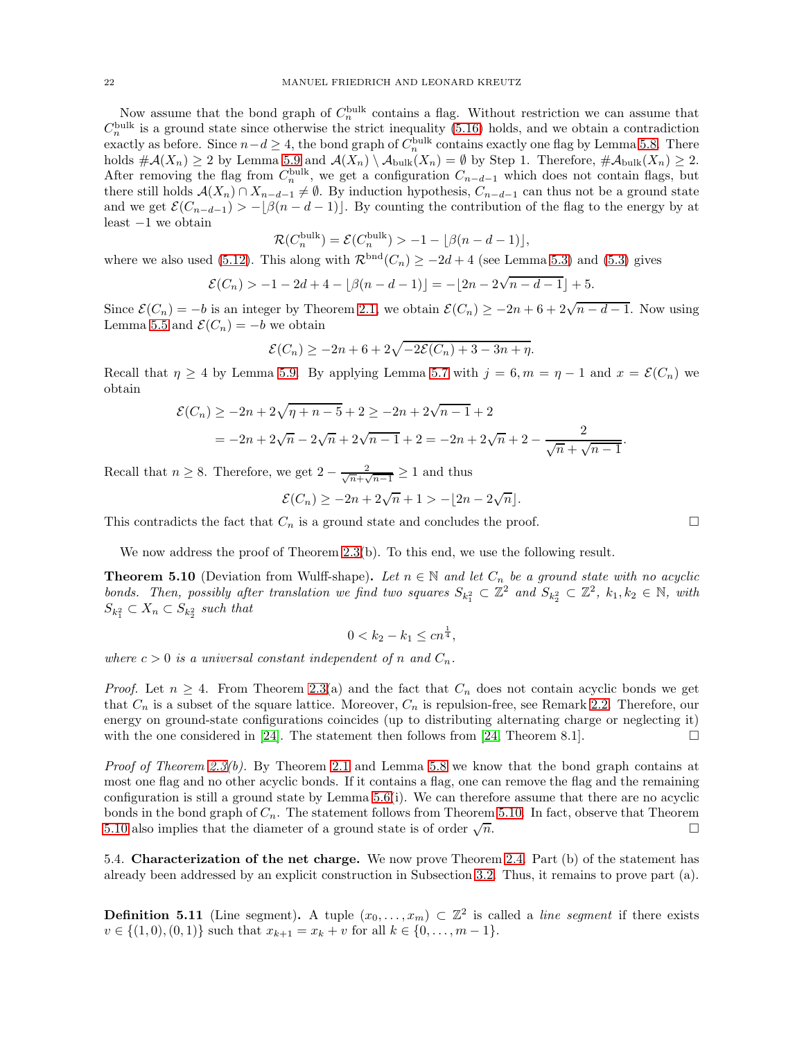Now assume that the bond graph of  $C_n^{\text{bulk}}$  contains a flag. Without restriction we can assume that  $C_n^{\text{bulk}}$  is a ground state since otherwise the strict inequality [\(5.16\)](#page-20-4) holds, and we obtain a contradiction exactly as before. Since  $n-d \geq 4$ , the bond graph of  $C_n^{\text{bulk}}$  contains exactly one flag by Lemma [5.8.](#page-19-1) There holds  $\#\mathcal{A}(X_n) \geq 2$  by Lemma [5.9](#page-19-2) and  $\mathcal{A}(X_n) \setminus \mathcal{A}_{\text{bulk}}(X_n) = \emptyset$  by Step 1. Therefore,  $\#\mathcal{A}_{\text{bulk}}(X_n) \geq 2$ . After removing the flag from  $C_n^{\text{bulk}}$ , we get a configuration  $C_{n-d-1}$  which does not contain flags, but there still holds  $\mathcal{A}(X_n) \cap X_{n-d-1} \neq \emptyset$ . By induction hypothesis,  $C_{n-d-1}$  can thus not be a ground state and we get  $\mathcal{E}(C_{n-d-1}) > -\lfloor \beta(n-d-1) \rfloor$ . By counting the contribution of the flag to the energy by at least −1 we obtain

$$
\mathcal{R}(C_n^{\text{bulk}}) = \mathcal{E}(C_n^{\text{bulk}}) > -1 - \lfloor \beta(n - d - 1) \rfloor,
$$

where we also used [\(5.12\)](#page-20-0). This along with  $\mathcal{R}^{bnd}(C_n) \geq -2d + 4$  (see Lemma [5.3\)](#page-16-0) and [\(5.3\)](#page-15-3) gives

$$
\mathcal{E}(C_n) > -1 - 2d + 4 - \lfloor \beta(n - d - 1) \rfloor = -\lfloor 2n - 2\sqrt{n - d - 1} \rfloor + 5.
$$

Since  $\mathcal{E}(C_n) = -b$  is an integer by Theorem [2.1,](#page-6-2) we obtain  $\mathcal{E}(C_n) \ge -2n + 6 + 2\sqrt{n-d-1}$ . Now using Lemma [5.5](#page-16-7) and  $\mathcal{E}(C_n) = -b$  we obtain

$$
\mathcal{E}(C_n) \ge -2n + 6 + 2\sqrt{-2\mathcal{E}(C_n) + 3 - 3n + \eta}.
$$

Recall that  $\eta \geq 4$  by Lemma [5.9.](#page-19-2) By applying Lemma [5.7](#page-17-4) with  $j = 6, m = \eta - 1$  and  $x = \mathcal{E}(C_n)$  we obtain

$$
\mathcal{E}(C_n) \ge -2n + 2\sqrt{\eta + n - 5} + 2 \ge -2n + 2\sqrt{n - 1} + 2
$$
  
=  $-2n + 2\sqrt{n} - 2\sqrt{n} + 2\sqrt{n - 1} + 2 = -2n + 2\sqrt{n} + 2 - \frac{2}{\sqrt{n} + \sqrt{n - 1}}.$ 

Recall that  $n \geq 8$ . Therefore, we get  $2 - \frac{2}{\sqrt{n} + \sqrt{n}}$  $\frac{2}{n+\sqrt{n-1}} \geq 1$  and thus

$$
\mathcal{E}(C_n) \ge -2n + 2\sqrt{n} + 1 > -\lfloor 2n - 2\sqrt{n} \rfloor.
$$

This contradicts the fact that  $C_n$  is a ground state and concludes the proof.

We now address the proof of Theorem [2.3\(](#page-6-3)b). To this end, we use the following result.

<span id="page-21-0"></span>**Theorem 5.10** (Deviation from Wulff-shape). Let  $n \in \mathbb{N}$  and let  $C_n$  be a ground state with no acyclic bonds. Then, possibly after translation we find two squares  $S_{k_1^2} \subset \mathbb{Z}^2$  and  $S_{k_2^2} \subset \mathbb{Z}^2$ ,  $k_1, k_2 \in \mathbb{N}$ , with  $S_{k_1^2} \subset X_n \subset S_{k_2^2}$  such that

$$
0 < k_2 - k_1 \leq c n^{\frac{1}{4}},
$$

where  $c > 0$  is a universal constant independent of n and  $C_n$ .

*Proof.* Let  $n \geq 4$ . From Theorem [2.3\(](#page-6-3)a) and the fact that  $C_n$  does not contain acyclic bonds we get that  $C_n$  is a subset of the square lattice. Moreover,  $C_n$  is repulsion-free, see Remark [2.2.](#page-6-6) Therefore, our energy on ground-state configurations coincides (up to distributing alternating charge or neglecting it) with the one considered in [\[24\]](#page-44-7). The statement then follows from [\[24,](#page-44-7) Theorem 8.1].

*Proof of Theorem [2.3\(](#page-6-3)b).* By Theorem [2.1](#page-6-2) and Lemma [5.8](#page-19-1) we know that the bond graph contains at most one flag and no other acyclic bonds. If it contains a flag, one can remove the flag and the remaining configuration is still a ground state by Lemma [5.6\(](#page-17-3)i). We can therefore assume that there are no acyclic bonds in the bond graph of  $C_n$ . The statement follows from Theorem [5.10.](#page-21-0) In fact, observe that Theorem [5.10](#page-21-0) also implies that the diameter of a ground state is of order  $\sqrt{n}$ .  $\overline{n}$ .

5.4. Characterization of the net charge. We now prove Theorem [2.4.](#page-7-1) Part (b) of the statement has already been addressed by an explicit construction in Subsection [3.2.](#page-9-2) Thus, it remains to prove part (a).

**Definition 5.11** (Line segment). A tuple  $(x_0, \ldots, x_m) \subset \mathbb{Z}^2$  is called a line segment if there exists  $v \in \{(1,0), (0,1)\}\$  such that  $x_{k+1} = x_k + v$  for all  $k \in \{0, \ldots, m-1\}.$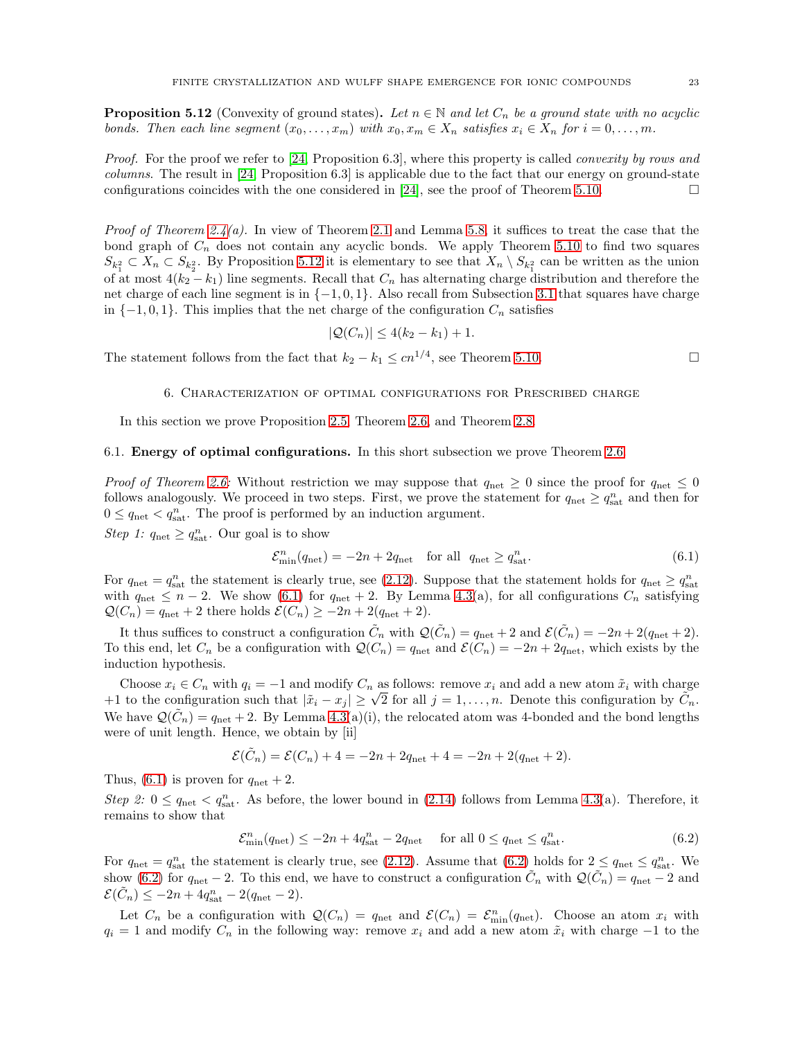<span id="page-22-1"></span>**Proposition 5.12** (Convexity of ground states). Let  $n \in \mathbb{N}$  and let  $C_n$  be a ground state with no acyclic bonds. Then each line segment  $(x_0, \ldots, x_m)$  with  $x_0, x_m \in X_n$  satisfies  $x_i \in X_n$  for  $i = 0, \ldots, m$ .

Proof. For the proof we refer to [\[24,](#page-44-7) Proposition 6.3], where this property is called *convexity by rows and* columns. The result in [\[24,](#page-44-7) Proposition 6.3] is applicable due to the fact that our energy on ground-state configurations coincides with the one considered in [\[24\]](#page-44-7), see the proof of Theorem [5.10.](#page-21-0)

*Proof of Theorem [2.4\(](#page-7-1)a).* In view of Theorem [2.1](#page-6-2) and Lemma [5.8,](#page-19-1) it suffices to treat the case that the bond graph of  $C_n$  does not contain any acyclic bonds. We apply Theorem [5.10](#page-21-0) to find two squares  $S_{k_1^2} \subset X_n \subset S_{k_2^2}$ . By Proposition [5.12](#page-22-1) it is elementary to see that  $X_n \setminus S_{k_1^2}$  can be written as the union of at most  $4(k_2 - k_1)$  line segments. Recall that  $C_n$  has alternating charge distribution and therefore the net charge of each line segment is in {−1, 0, 1}. Also recall from Subsection [3.1](#page-9-1) that squares have charge in  $\{-1, 0, 1\}$ . This implies that the net charge of the configuration  $C_n$  satisfies

$$
|\mathcal{Q}(C_n)| \leq 4(k_2 - k_1) + 1.
$$

<span id="page-22-0"></span>The statement follows from the fact that  $k_2 - k_1 \leq cn^{1/4}$ , see Theorem [5.10.](#page-21-0)

6. Characterization of optimal configurations for Prescribed charge

In this section we prove Proposition [2.5,](#page-7-4) Theorem [2.6,](#page-7-5) and Theorem [2.8.](#page-8-3)

## 6.1. Energy of optimal configurations. In this short subsection we prove Theorem [2.6.](#page-7-5)

*Proof of Theorem [2.6:](#page-7-5)* Without restriction we may suppose that  $q_{\text{net}} \geq 0$  since the proof for  $q_{\text{net}} \leq 0$ follows analogously. We proceed in two steps. First, we prove the statement for  $q_{\text{net}} \ge q_{\text{sat}}^n$  and then for  $0 \leq q_{\text{net}} < q_{\text{sat}}^n$ . The proof is performed by an induction argument.

Step 1:  $q_{\text{net}} \geq q_{\text{sat}}^n$ . Our goal is to show

$$
\mathcal{E}_{\min}^n(q_{\text{net}}) = -2n + 2q_{\text{net}} \quad \text{for all} \quad q_{\text{net}} \ge q_{\text{sat}}^n. \tag{6.1}
$$

For  $q_{\text{net}} = q_{\text{sat}}^n$  the statement is clearly true, see [\(2.12\)](#page-7-6). Suppose that the statement holds for  $q_{\text{net}} \ge q_{\text{sat}}^n$ with  $q_{\text{net}} \leq n-2$ . We show [\(6.1\)](#page-22-2) for  $q_{\text{net}} + 2$ . By Lemma [4.3\(](#page-14-0)a), for all configurations  $C_n$  satisfying  $\mathcal{Q}(C_n) = q_{\text{net}} + 2$  there holds  $\mathcal{E}(C_n) \geq -2n + 2(q_{\text{net}} + 2)$ .

It thus suffices to construct a configuration  $\tilde{C}_n$  with  $\mathcal{Q}(\tilde{C}_n) = q_{\text{net}} + 2$  and  $\mathcal{E}(\tilde{C}_n) = -2n + 2(q_{\text{net}} + 2)$ . To this end, let  $C_n$  be a configuration with  $\mathcal{Q}(C_n) = q_{\text{net}}$  and  $\mathcal{E}(C_n) = -2n + 2q_{\text{net}}$ , which exists by the induction hypothesis.

Choose  $x_i \in C_n$  with  $q_i = -1$  and modify  $C_n$  as follows: remove  $x_i$  and add a new atom  $\tilde{x}_i$  with charge +1 to the configuration such that  $|\tilde{x}_i - x_j| \geq \sqrt{2}$  for all  $j = 1, ..., n$ . Denote this configuration by  $\tilde{C}_n$ . We have  $\mathcal{Q}(\tilde{C}_n) = q_{\text{net}} + 2$ . By Lemma [4.3\(](#page-14-0)a)(i), the relocated atom was 4-bonded and the bond lengths were of unit length. Hence, we obtain by [ii]

$$
\mathcal{E}(\tilde{C}_n) = \mathcal{E}(C_n) + 4 = -2n + 2q_{\text{net}} + 4 = -2n + 2(q_{\text{net}} + 2).
$$

Thus, [\(6.1\)](#page-22-2) is proven for  $q_{\text{net}} + 2$ .

Step 2:  $0 \le q_{\text{net}} < q_{\text{sat}}^n$ . As before, the lower bound in [\(2.14\)](#page-7-3) follows from Lemma [4.3\(](#page-14-0)a). Therefore, it remains to show that

<span id="page-22-3"></span>
$$
\mathcal{E}_{\min}^n(q_{\text{net}}) \le -2n + 4q_{\text{sat}}^n - 2q_{\text{net}} \quad \text{for all } 0 \le q_{\text{net}} \le q_{\text{sat}}^n. \tag{6.2}
$$

For  $q_{\text{net}} = q_{\text{sat}}^n$  the statement is clearly true, see [\(2.12\)](#page-7-6). Assume that [\(6.2\)](#page-22-3) holds for  $2 \le q_{\text{net}} \le q_{\text{sat}}^n$ . We show [\(6.2\)](#page-22-3) for  $q_{\text{net}} - 2$ . To this end, we have to construct a configuration  $\tilde{C}_n$  with  $\mathcal{Q}(\tilde{C}_n) = q_{\text{net}} - 2$  and  $\mathcal{E}(\tilde{C}_n) \leq -2n + 4q_{\text{sat}}^n - 2(q_{\text{net}} - 2).$ 

Let  $C_n$  be a configuration with  $\mathcal{Q}(C_n) = q_{\text{net}}$  and  $\mathcal{E}(C_n) = \mathcal{E}_{\text{min}}^n(q_{\text{net}})$ . Choose an atom  $x_i$  with  $q_i = 1$  and modify  $C_n$  in the following way: remove  $x_i$  and add a new atom  $\tilde{x}_i$  with charge  $-1$  to the

<span id="page-22-2"></span>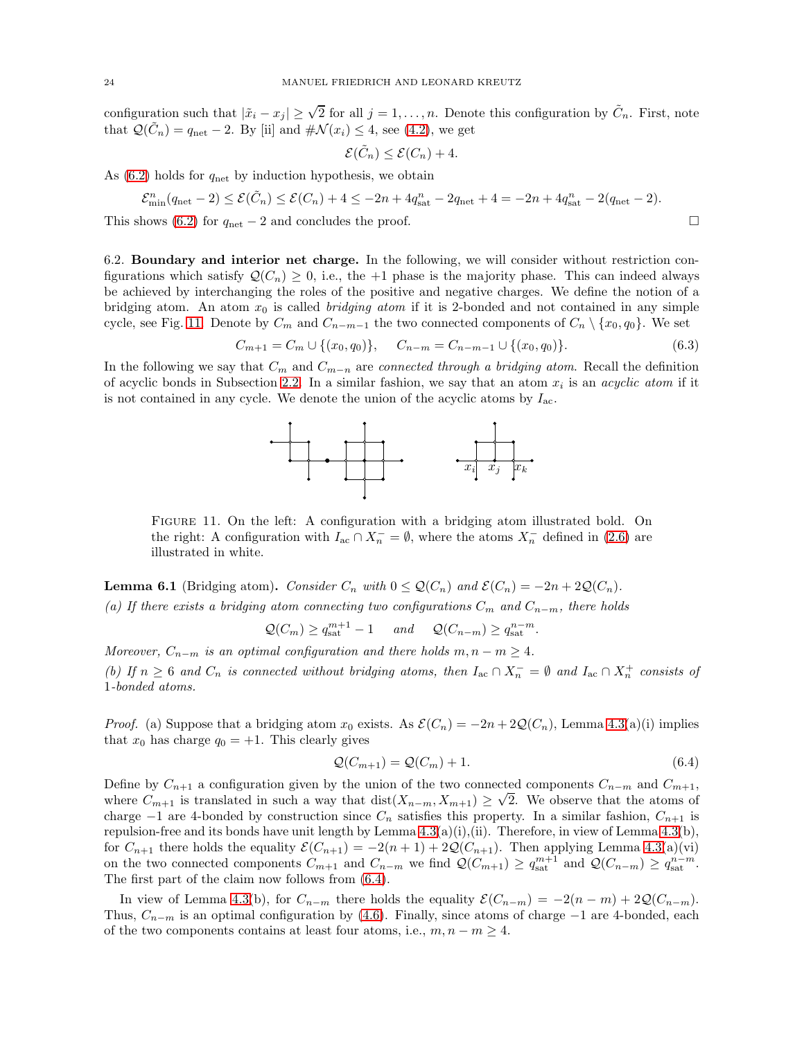configuration such that  $|\tilde{x}_i - x_j| \geq \sqrt{2}$  for all  $j = 1, ..., n$ . Denote this configuration by  $\tilde{C}_n$ . First, note that  $\mathcal{Q}(\tilde{C}_n) = q_{\text{net}} - 2$ . By [ii] and  $\#\mathcal{N}(x_i) \leq 4$ , see [\(4.2\)](#page-12-4), we get

<span id="page-23-3"></span>
$$
\mathcal{E}(\tilde{C}_n) \leq \mathcal{E}(C_n) + 4.
$$

As  $(6.2)$  holds for  $q_{\text{net}}$  by induction hypothesis, we obtain

$$
\mathcal{E}_{\min}^n(q_{\text{net}} - 2) \le \mathcal{E}(\tilde{C}_n) \le \mathcal{E}(C_n) + 4 \le -2n + 4q_{\text{sat}}^n - 2q_{\text{net}} + 4 = -2n + 4q_{\text{sat}}^n - 2(q_{\text{net}} - 2).
$$

<span id="page-23-4"></span>This shows [\(6.2\)](#page-22-3) for  $q_{\text{net}} - 2$  and concludes the proof.  $\Box$ 

6.2. Boundary and interior net charge. In the following, we will consider without restriction configurations which satisfy  $\mathcal{Q}(C_n) \geq 0$ , i.e., the +1 phase is the majority phase. This can indeed always be achieved by interchanging the roles of the positive and negative charges. We define the notion of a bridging atom. An atom  $x_0$  is called *bridging atom* if it is 2-bonded and not contained in any simple cycle, see Fig. [11.](#page-23-0) Denote by  $C_m$  and  $C_{n-m-1}$  the two connected components of  $C_n \setminus \{x_0, q_0\}$ . We set

$$
C_{m+1} = C_m \cup \{(x_0, q_0)\}, \quad C_{n-m} = C_{n-m-1} \cup \{(x_0, q_0)\}.
$$
 (6.3)

In the following we say that  $C_m$  and  $C_{m-n}$  are *connected through a bridging atom*. Recall the definition of acyclic bonds in Subsection [2.2.](#page-4-0) In a similar fashion, we say that an atom  $x_i$  is an *acyclic atom* if it is not contained in any cycle. We denote the union of the acyclic atoms by  $I_{ac}$ .



<span id="page-23-0"></span>Figure 11. On the left: A configuration with a bridging atom illustrated bold. On the right: A configuration with  $I_{ac} \cap X_n^- = \emptyset$ , where the atoms  $X_n^-$  defined in [\(2.6\)](#page-5-5) are illustrated in white.

<span id="page-23-2"></span>**Lemma 6.1** (Bridging atom). Consider  $C_n$  with  $0 \leq \mathcal{Q}(C_n)$  and  $\mathcal{E}(C_n) = -2n + 2\mathcal{Q}(C_n)$ .

(a) If there exists a bridging atom connecting two configurations  $C_m$  and  $C_{n-m}$ , there holds

 $Q(C_m) \geq q_{\text{sat}}^{m+1} - 1$  and  $Q(C_{n-m}) \geq q_{\text{sat}}^{n-m}$ .

Moreover,  $C_{n-m}$  is an optimal configuration and there holds  $m, n-m \geq 4$ .

(b) If  $n \geq 6$  and  $C_n$  is connected without bridging atoms, then  $I_{ac} \cap X_n^- = \emptyset$  and  $I_{ac} \cap X_n^+$  consists of 1-bonded atoms.

*Proof.* (a) Suppose that a bridging atom  $x_0$  exists. As  $\mathcal{E}(C_n) = -2n + 2\mathcal{Q}(C_n)$ , Lemma [4.3\(](#page-14-0)a)(i) implies that  $x_0$  has charge  $q_0 = +1$ . This clearly gives

<span id="page-23-1"></span>
$$
\mathcal{Q}(C_{m+1}) = \mathcal{Q}(C_m) + 1. \tag{6.4}
$$

Define by  $C_{n+1}$  a configuration given by the union of the two connected components  $C_{n-m}$  and  $C_{m+1}$ , where  $C_{m+1}$  is translated in such a way that  $dist(X_{n-m}, X_{m+1}) \geq \sqrt{2}$ . We observe that the atoms of charge  $-1$  are 4-bonded by construction since  $C_n$  satisfies this property. In a similar fashion,  $C_{n+1}$  is repulsion-free and its bonds have unit length by Lemma  $4.3(a)(i),(ii)$ . Therefore, in view of Lemma  $4.3(b)$ , for  $C_{n+1}$  there holds the equality  $\mathcal{E}(C_{n+1}) = -2(n+1) + 2\mathcal{Q}(C_{n+1})$ . Then applying Lemma [4.3\(](#page-14-0)a)(vi) on the two connected components  $C_{m+1}$  and  $C_{n-m}$  we find  $\mathcal{Q}(C_{m+1}) \geq q_{\text{sat}}^{m+1}$  and  $\mathcal{Q}(C_{n-m}) \geq q_{\text{sat}}^{n-m}$ . The first part of the claim now follows from [\(6.4\)](#page-23-1).

In view of Lemma [4.3\(](#page-14-0)b), for  $C_{n-m}$  there holds the equality  $\mathcal{E}(C_{n-m}) = -2(n-m) + 2\mathcal{Q}(C_{n-m}).$ Thus,  $C_{n-m}$  is an optimal configuration by [\(4.6\)](#page-14-1). Finally, since atoms of charge  $-1$  are 4-bonded, each of the two components contains at least four atoms, i.e.,  $m, n - m \geq 4$ .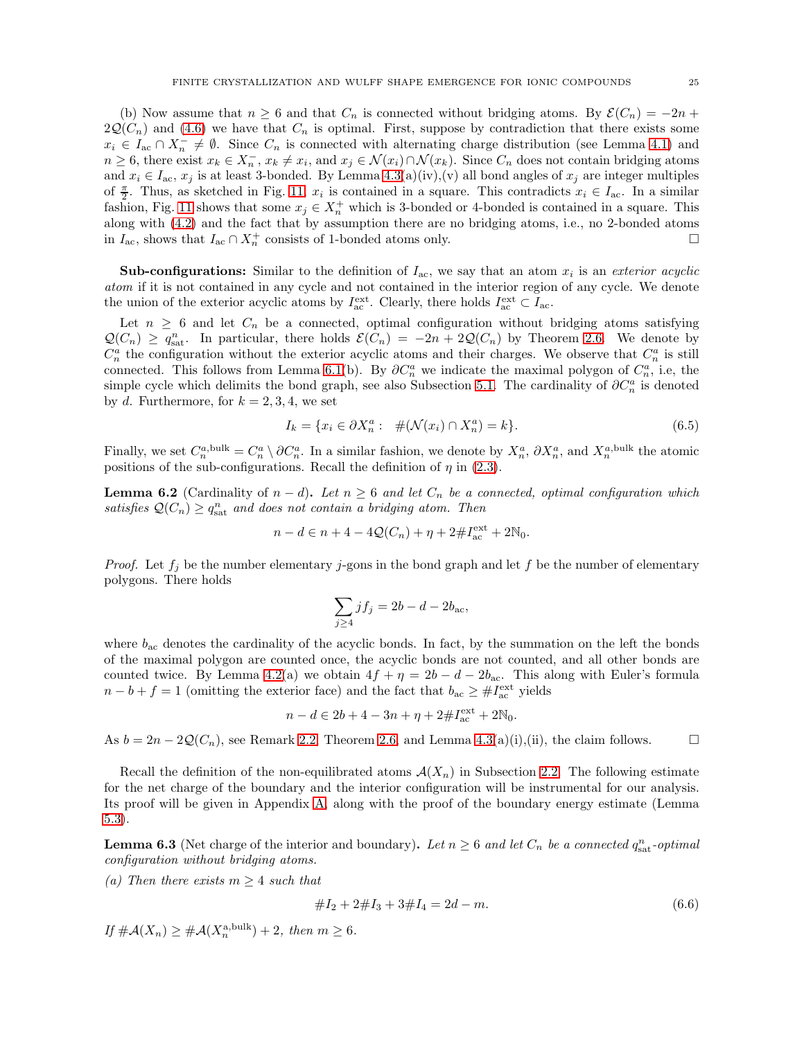(b) Now assume that  $n \geq 6$  and that  $C_n$  is connected without bridging atoms. By  $\mathcal{E}(C_n) = -2n +$  $2Q(C_n)$  and [\(4.6\)](#page-14-1) we have that  $C_n$  is optimal. First, suppose by contradiction that there exists some  $x_i \in I_{ac} \cap X_n^- \neq \emptyset$ . Since  $C_n$  is connected with alternating charge distribution (see Lemma [4.1\)](#page-12-5) and  $n \geq 6$ , there exist  $x_k \in X_n^-$ ,  $x_k \neq x_i$ , and  $x_j \in \mathcal{N}(x_i) \cap \mathcal{N}(x_k)$ . Since  $C_n$  does not contain bridging atoms and  $x_i \in I_{ac}$ ,  $x_j$  is at least 3-bonded. By Lemma [4.3\(](#page-14-0)a)(iv),(v) all bond angles of  $x_j$  are integer multiples of  $\frac{\pi}{2}$ . Thus, as sketched in Fig. [11,](#page-23-0)  $x_i$  is contained in a square. This contradicts  $x_i \in I_{ac}$ . In a similar fashion, Fig. [11](#page-23-0) shows that some  $x_j \in X_n^+$  which is 3-bonded or 4-bonded is contained in a square. This along with [\(4.2\)](#page-12-4) and the fact that by assumption there are no bridging atoms, i.e., no 2-bonded atoms in  $I_{\text{ac}}$ , shows that  $I_{\text{ac}} \cap X_{n}^{+}$  consists of 1-bonded atoms only. □

**Sub-configurations:** Similar to the definition of  $I_{ac}$ , we say that an atom  $x_i$  is an exterior acyclic atom if it is not contained in any cycle and not contained in the interior region of any cycle. We denote the union of the exterior acyclic atoms by  $I_{ac}^{\text{ext}}$ . Clearly, there holds  $I_{ac}^{\text{ext}} \subset I_{ac}$ .

Let  $n \geq 6$  and let  $C_n$  be a connected, optimal configuration without bridging atoms satisfying  $\mathcal{Q}(C_n) \geq q_{\text{sat}}^n$ . In particular, there holds  $\mathcal{E}(C_n) = -2n + 2\mathcal{Q}(C_n)$  by Theorem [2.6.](#page-7-5) We denote by  $C_n^a$  the configuration without the exterior acyclic atoms and their charges. We observe that  $C_n^a$  is still connected. This follows from Lemma [6.1\(](#page-23-2)b). By  $\partial C_n^a$  we indicate the maximal polygon of  $C_n^a$ , i.e, the simple cycle which delimits the bond graph, see also Subsection [5.1.](#page-15-5) The cardinality of  $\partial C_n^a$  is denoted by d. Furthermore, for  $k = 2, 3, 4$ , we set

<span id="page-24-3"></span>
$$
I_k = \{ x_i \in \partial X_n^a : \#(\mathcal{N}(x_i) \cap X_n^a) = k \}.
$$
\n(6.5)

Finally, we set  $C_n^{a, bulk} = C_n^a \setminus \partial C_n^a$ . In a similar fashion, we denote by  $X_n^a$ ,  $\partial X_n^a$ , and  $X_n^{a, bulk}$  the atomic positions of the sub-configurations. Recall the definition of  $\eta$  in [\(2.3\)](#page-4-1).

<span id="page-24-2"></span>**Lemma 6.2** (Cardinality of  $n - d$ ). Let  $n \ge 6$  and let  $C_n$  be a connected, optimal configuration which satisfies  $\mathcal{Q}(C_n) \geq q_{\text{sat}}^n$  and does not contain a bridging atom. Then

$$
n - d \in n + 4 - 4Q(C_n) + \eta + 2 \# I_{ac}^{\text{ext}} + 2\mathbb{N}_0.
$$

*Proof.* Let  $f_i$  be the number elementary j-gons in the bond graph and let f be the number of elementary polygons. There holds

$$
\sum_{j\geq 4} j f_j = 2b - d - 2b_{\text{ac}},
$$

where  $b_{ac}$  denotes the cardinality of the acyclic bonds. In fact, by the summation on the left the bonds of the maximal polygon are counted once, the acyclic bonds are not counted, and all other bonds are counted twice. By Lemma [4.2\(](#page-13-0)a) we obtain  $4f + \eta = 2b - d - 2b_{ac}$ . This along with Euler's formula  $n - b + f = 1$  (omitting the exterior face) and the fact that  $b_{ac} \geq #I_{ac}^{\text{ext}}$  yields

$$
n - d \in 2b + 4 - 3n + \eta + 2 \# I_{ac}^{\text{ext}} + 2\mathbb{N}_0.
$$

As  $b = 2n - 2Q(C_n)$ , see Remark [2.2,](#page-6-6) Theorem [2.6,](#page-7-5) and Lemma [4.3\(](#page-14-0)a)(i),(ii), the claim follows.

Recall the definition of the non-equilibrated atoms  $\mathcal{A}(X_n)$  in Subsection [2.2.](#page-4-0) The following estimate for the net charge of the boundary and the interior configuration will be instrumental for our analysis. Its proof will be given in Appendix [A,](#page-37-0) along with the proof of the boundary energy estimate (Lemma [5.3\)](#page-16-0).

<span id="page-24-1"></span>**Lemma 6.3** (Net charge of the interior and boundary). Let  $n \geq 6$  and let  $C_n$  be a connected  $q_{\text{sat}}^n$ -optimal configuration without bridging atoms.

(a) Then there exists  $m \geq 4$  such that

<span id="page-24-0"></span>
$$
#I_2 + 2#I_3 + 3#I_4 = 2d - m.
$$
\n
$$
(6.6)
$$

If  $\#\mathcal{A}(X_n) \geq \#\mathcal{A}(X_n^{\text{a,bulk}}) + 2$ , then  $m \geq 6$ .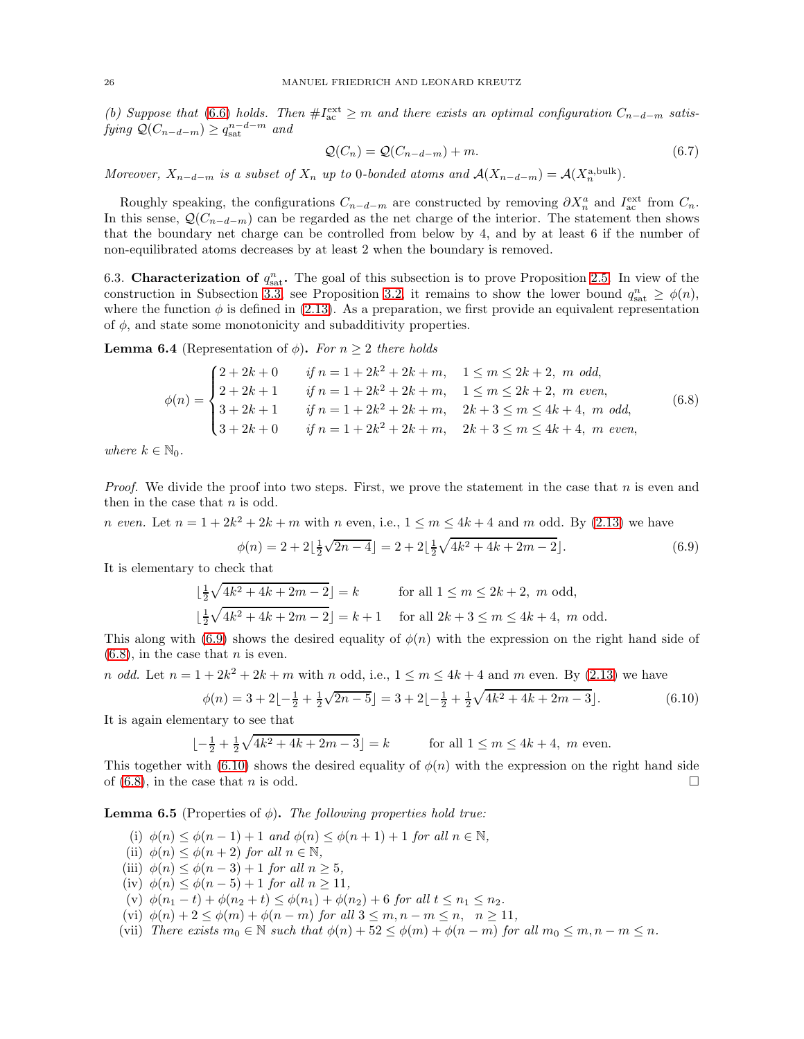(b) Suppose that [\(6.6\)](#page-24-0) holds. Then  $\#I_{ac}^{\text{ext}} \geq m$  and there exists an optimal configuration  $C_{n-d-m}$  satisfying  $Q(C_{n-d-m}) \geq q_{\text{sat}}^{n-d-m}$  and

<span id="page-25-5"></span><span id="page-25-0"></span>
$$
\mathcal{Q}(C_n) = \mathcal{Q}(C_{n-d-m}) + m. \tag{6.7}
$$

Moreover,  $X_{n-d-m}$  is a subset of  $X_n$  up to 0-bonded atoms and  $\mathcal{A}(X_{n-d-m}) = \mathcal{A}(X_n^{\text{a,bulk}})$ .

Roughly speaking, the configurations  $C_{n-d-m}$  are constructed by removing  $\partial X_n^a$  and  $I_{\text{ac}}^{\text{ext}}$  from  $C_n$ . In this sense,  $\mathcal{Q}(C_{n-d-m})$  can be regarded as the net charge of the interior. The statement then shows that the boundary net charge can be controlled from below by 4, and by at least 6 if the number of non-equilibrated atoms decreases by at least 2 when the boundary is removed.

<span id="page-25-1"></span>6.3. Characterization of  $q_{\text{sat}}^n$ . The goal of this subsection is to prove Proposition [2.5.](#page-7-4) In view of the construction in Subsection [3.3,](#page-11-1) see Proposition [3.2,](#page-11-3) it remains to show the lower bound  $q_{\text{sat}}^n \ge \phi(n)$ , where the function  $\phi$  is defined in [\(2.13\)](#page-7-2). As a preparation, we first provide an equivalent representation of  $\phi$ , and state some monotonicity and subadditivity properties.

**Lemma 6.4** (Representation of  $\phi$ ). For  $n \geq 2$  there holds

$$
\phi(n) = \begin{cases}\n2 + 2k + 0 & \text{if } n = 1 + 2k^2 + 2k + m, \quad 1 \le m \le 2k + 2, \ m \text{ odd}, \\
2 + 2k + 1 & \text{if } n = 1 + 2k^2 + 2k + m, \quad 1 \le m \le 2k + 2, \ m \text{ even}, \\
3 + 2k + 1 & \text{if } n = 1 + 2k^2 + 2k + m, \quad 2k + 3 \le m \le 4k + 4, \ m \text{ odd}, \\
3 + 2k + 0 & \text{if } n = 1 + 2k^2 + 2k + m, \quad 2k + 3 \le m \le 4k + 4, \ m \text{ even},\n\end{cases} (6.8)
$$

where  $k \in \mathbb{N}_0$ .

*Proof.* We divide the proof into two steps. First, we prove the statement in the case that n is even and then in the case that  $n$  is odd.

*n* even. Let  $n = 1 + 2k^2 + 2k + m$  with *n* even, i.e.,  $1 \le m \le 4k + 4$  and *m* odd. By [\(2.13\)](#page-7-2) we have

<span id="page-25-3"></span><span id="page-25-2"></span>
$$
\phi(n) = 2 + 2\left\lfloor \frac{1}{2}\sqrt{2n - 4} \right\rfloor = 2 + 2\left\lfloor \frac{1}{2}\sqrt{4k^2 + 4k + 2m - 2} \right\rfloor.
$$
 (6.9)

It is elementary to check that

$$
\lfloor \frac{1}{2}\sqrt{4k^2 + 4k + 2m - 2} \rfloor = k \quad \text{for all } 1 \le m \le 2k + 2, m \text{ odd},
$$
  

$$
\lfloor \frac{1}{2}\sqrt{4k^2 + 4k + 2m - 2} \rfloor = k + 1 \quad \text{for all } 2k + 3 \le m \le 4k + 4, m \text{ odd}.
$$

This along with [\(6.9\)](#page-25-2) shows the desired equality of  $\phi(n)$  with the expression on the right hand side of  $(6.8)$ , in the case that *n* is even.

*n odd.* Let  $n = 1 + 2k^2 + 2k + m$  with *n odd,* i.e.,  $1 \le m \le 4k + 4$  *and m* even. By [\(2.13\)](#page-7-2) we have

$$
\phi(n) = 3 + 2\left[-\frac{1}{2} + \frac{1}{2}\sqrt{2n - 5}\right] = 3 + 2\left[-\frac{1}{2} + \frac{1}{2}\sqrt{4k^2 + 4k + 2m - 3}\right].\tag{6.10}
$$

It is again elementary to see that

$$
\lfloor -\frac{1}{2} + \frac{1}{2}\sqrt{4k^2 + 4k + 2m - 3} \rfloor = k \qquad \text{for all } 1 \le m \le 4k + 4, \ m \text{ even.}
$$

This together with [\(6.10\)](#page-25-3) shows the desired equality of  $\phi(n)$  with the expression on the right hand side of [\(6.8\)](#page-25-0), in the case that *n* is odd.

<span id="page-25-4"></span>**Lemma 6.5** (Properties of  $\phi$ ). The following properties hold true:

- (i)  $\phi(n) \leq \phi(n-1) + 1$  and  $\phi(n) \leq \phi(n+1) + 1$  for all  $n \in \mathbb{N}$ ,
- (ii)  $\phi(n) \leq \phi(n+2)$  for all  $n \in \mathbb{N}$ ,
- (iii)  $\phi(n) \leq \phi(n-3) + 1$  for all  $n > 5$ ,
- (iv)  $\phi(n) \leq \phi(n-5) + 1$  for all  $n \geq 11$ ,
- (v)  $\phi(n_1 t) + \phi(n_2 + t) \leq \phi(n_1) + \phi(n_2) + 6$  for all  $t \leq n_1 \leq n_2$ .
- (vi)  $\phi(n) + 2 \leq \phi(m) + \phi(n-m)$  for all  $3 \leq m, n-m \leq n, n \geq 11$ ,
- (vii) There exists  $m_0 \in \mathbb{N}$  such that  $\phi(n) + 52 \leq \phi(m) + \phi(n-m)$  for all  $m_0 \leq m, n-m \leq n$ .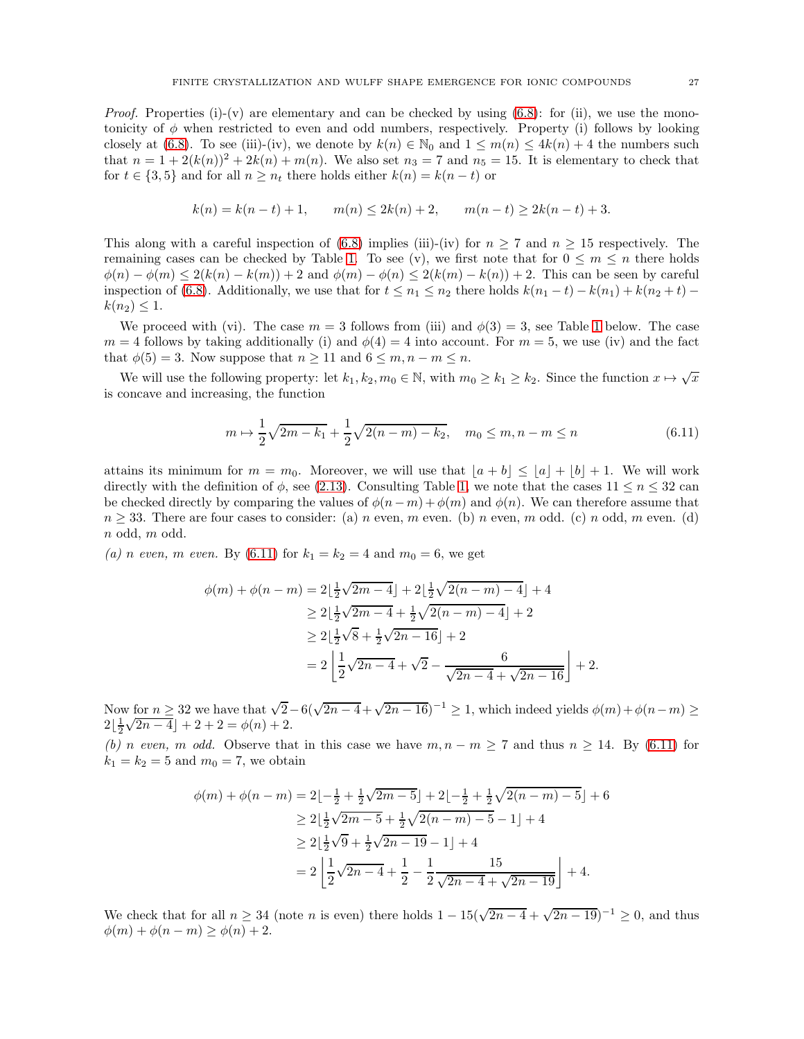*Proof.* Properties (i)-(v) are elementary and can be checked by using  $(6.8)$ : for (ii), we use the monotonicity of  $\phi$  when restricted to even and odd numbers, respectively. Property (i) follows by looking closely at [\(6.8\)](#page-25-0). To see (iii)-(iv), we denote by  $k(n) \in \mathbb{N}_0$  and  $1 \leq m(n) \leq 4k(n) + 4$  the numbers such that  $n = 1 + 2(k(n))^2 + 2k(n) + m(n)$ . We also set  $n_3 = 7$  and  $n_5 = 15$ . It is elementary to check that for  $t \in \{3, 5\}$  and for all  $n \geq n_t$  there holds either  $k(n) = k(n-t)$  or

$$
k(n) = k(n-t) + 1, \qquad m(n) \le 2k(n) + 2, \qquad m(n-t) \ge 2k(n-t) + 3.
$$

This along with a careful inspection of [\(6.8\)](#page-25-0) implies (iii)-(iv) for  $n \geq 7$  and  $n \geq 15$  respectively. The remaining cases can be checked by Table [1.](#page-27-0) To see (v), we first note that for  $0 \leq m \leq n$  there holds  $\phi(n) - \phi(m) \leq 2(k(n) - k(m)) + 2$  and  $\phi(m) - \phi(n) \leq 2(k(m) - k(n)) + 2$ . This can be seen by careful inspection of [\(6.8\)](#page-25-0). Additionally, we use that for  $t \leq n_1 \leq n_2$  there holds  $k(n_1 - t) - k(n_1) + k(n_2 + t)$  $k(n_2) \leq 1$ .

We proceed with (vi). The case  $m = 3$  follows from (iii) and  $\phi(3) = 3$ , see Table [1](#page-27-0) below. The case  $m = 4$  follows by taking additionally (i) and  $\phi(4) = 4$  into account. For  $m = 5$ , we use (iv) and the fact that  $\phi(5) = 3$ . Now suppose that  $n \geq 11$  and  $6 \leq m, n - m \leq n$ .

We will use the following property: let  $k_1, k_2, m_0 \in \mathbb{N}$ , with  $m_0 \geq k_1 \geq k_2$ . Since the function  $x \mapsto \sqrt{x}$ is concave and increasing, the function

<span id="page-26-0"></span>
$$
m \mapsto \frac{1}{2}\sqrt{2m - k_1} + \frac{1}{2}\sqrt{2(n - m) - k_2}, \quad m_0 \le m, n - m \le n
$$
\n(6.11)

attains its minimum for  $m = m_0$ . Moreover, we will use that  $|a + b| \leq |a| + |b| + 1$ . We will work directly with the definition of  $\phi$ , see [\(2.13\)](#page-7-2). Consulting Table [1,](#page-27-0) we note that the cases  $11 \leq n \leq 32$  can be checked directly by comparing the values of  $\phi(n-m) + \phi(m)$  and  $\phi(n)$ . We can therefore assume that  $n \geq 33$ . There are four cases to consider: (a) n even, m even. (b) n even, m odd. (c) n odd, m even. (d) n odd, m odd.

(a) n even, m even. By [\(6.11\)](#page-26-0) for  $k_1 = k_2 = 4$  and  $m_0 = 6$ , we get

$$
\phi(m) + \phi(n-m) = 2\left\lfloor \frac{1}{2}\sqrt{2m-4} \right\rfloor + 2\left\lfloor \frac{1}{2}\sqrt{2(n-m)-4} \right\rfloor + 4
$$
  
\n
$$
\ge 2\left\lfloor \frac{1}{2}\sqrt{2m-4} + \frac{1}{2}\sqrt{2(n-m)-4} \right\rfloor + 2
$$
  
\n
$$
\ge 2\left\lfloor \frac{1}{2}\sqrt{8} + \frac{1}{2}\sqrt{2n-16} \right\rfloor + 2
$$
  
\n
$$
= 2\left\lfloor \frac{1}{2}\sqrt{2n-4} + \sqrt{2} - \frac{6}{\sqrt{2n-4} + \sqrt{2n-16}} \right\rfloor + 2.
$$

Now for  $n \geq 32$  we have that  $\sqrt{2}-6(\sqrt{2n-4}+\sqrt{2n-16})^{-1} \geq 1$ , which indeed yields  $\phi(m)+\phi(n-m) \geq 1$  $2\left[\frac{1}{2}\sqrt{2n-4}\right]+2+2=\phi(n)+2.$ 

(b) n even, m odd. Observe that in this case we have  $m, n - m \geq 7$  and thus  $n \geq 14$ . By [\(6.11\)](#page-26-0) for  $k_1 = k_2 = 5$  and  $m_0 = 7$ , we obtain

$$
\phi(m) + \phi(n-m) = 2\left[-\frac{1}{2} + \frac{1}{2}\sqrt{2m-5}\right] + 2\left[-\frac{1}{2} + \frac{1}{2}\sqrt{2(n-m)-5}\right] + 6
$$
  
\n
$$
\geq 2\left[\frac{1}{2}\sqrt{2m-5} + \frac{1}{2}\sqrt{2(n-m)-5} - 1\right] + 4
$$
  
\n
$$
\geq 2\left[\frac{1}{2}\sqrt{9} + \frac{1}{2}\sqrt{2n-19} - 1\right] + 4
$$
  
\n
$$
= 2\left[\frac{1}{2}\sqrt{2n-4} + \frac{1}{2} - \frac{1}{2}\frac{15}{\sqrt{2n-4} + \sqrt{2n-19}}\right] + 4.
$$

We check that for all  $n \geq 34$  (note n is even) there holds  $1 - 15(\sqrt{2n-4} + \sqrt{2n-19})^{-1} \geq 0$ , and thus  $\phi(m) + \phi(n-m) \geq \phi(n) + 2.$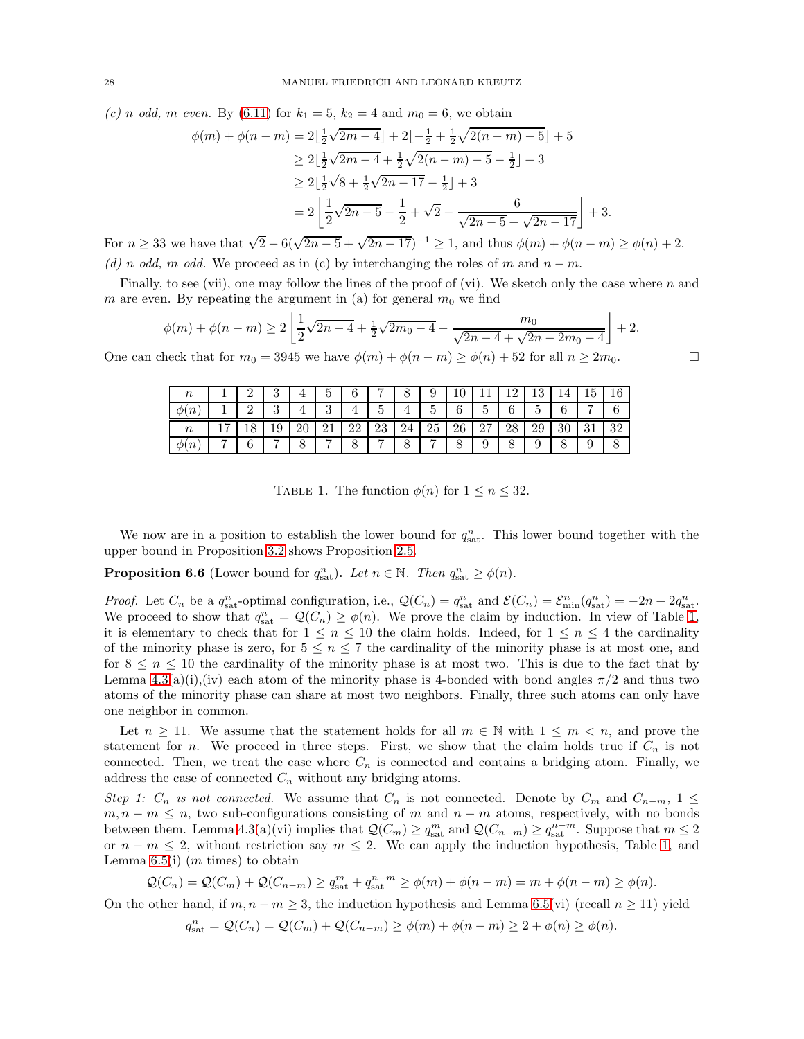(c) n odd, m even. By [\(6.11\)](#page-26-0) for  $k_1 = 5$ ,  $k_2 = 4$  and  $m_0 = 6$ , we obtain

$$
\phi(m) + \phi(n-m) = 2\left\lfloor \frac{1}{2}\sqrt{2m-4} \right\rfloor + 2\left\lfloor -\frac{1}{2} + \frac{1}{2}\sqrt{2(n-m)-5} \right\rfloor + 5
$$
  
\n
$$
\geq 2\left\lfloor \frac{1}{2}\sqrt{2m-4} + \frac{1}{2}\sqrt{2(n-m)-5} - \frac{1}{2} \right\rfloor + 3
$$
  
\n
$$
\geq 2\left\lfloor \frac{1}{2}\sqrt{8} + \frac{1}{2}\sqrt{2n-17} - \frac{1}{2} \right\rfloor + 3
$$
  
\n
$$
= 2\left\lfloor \frac{1}{2}\sqrt{2n-5} - \frac{1}{2} + \sqrt{2} - \frac{6}{\sqrt{2n-5} + \sqrt{2n-17}} \right\rfloor + 3.
$$

For  $n \geq 33$  we have that  $\sqrt{2} - 6(\sqrt{2n-5} + \sqrt{2n-17})^{-1} \geq 1$ , and thus  $\phi(m) + \phi(n-m) \geq \phi(n) + 2$ . (d) n odd, m odd. We proceed as in (c) by interchanging the roles of m and  $n - m$ .

Finally, to see (vii), one may follow the lines of the proof of (vi). We sketch only the case where n and m are even. By repeating the argument in (a) for general  $m_0$  we find

$$
\phi(m) + \phi(n-m) \ge 2\left\lfloor \frac{1}{2}\sqrt{2n-4} + \frac{1}{2}\sqrt{2m_0-4} - \frac{m_0}{\sqrt{2n-4} + \sqrt{2n-2m_0-4}} \right\rfloor + 2.
$$

One can check that for  $m_0 = 3945$  we have  $\phi(m) + \phi(n-m) \ge \phi(n) + 52$  for all  $n \ge 2m_0$ .

| $\, n$ |  | υ             |      | ь<br>υ | O        | −         |    |    |    |             |    | ⊥∪      |         |   |          |
|--------|--|---------------|------|--------|----------|-----------|----|----|----|-------------|----|---------|---------|---|----------|
|        |  | $\Omega$<br>υ |      | υ      | I        | ۔<br>IJ   |    |    |    |             | ◠  |         | ◠       | − |          |
|        |  |               |      |        |          |           |    |    |    |             |    |         |         |   |          |
| $\, n$ |  | .J            | 20 V | ◢      | ററ<br>∠∠ | റാ<br>∠ι∪ | 44 | 25 | 26 | דורו<br>∠ ≀ | 28 | ഹ<br>29 | २८<br>∪ | ◡ | ററ<br>ບ∠ |

<span id="page-27-0"></span>TABLE 1. The function  $\phi(n)$  for  $1 \leq n \leq 32$ .

We now are in a position to establish the lower bound for  $q_{\text{sat}}^n$ . This lower bound together with the upper bound in Proposition [3.2](#page-11-3) shows Proposition [2.5.](#page-7-4)

**Proposition 6.6** (Lower bound for  $q_{\text{sat}}^n$ ). Let  $n \in \mathbb{N}$ . Then  $q_{\text{sat}}^n \ge \phi(n)$ .

*Proof.* Let  $C_n$  be a  $q_{\text{sat}}^n$ -optimal configuration, i.e.,  $\mathcal{Q}(C_n) = q_{\text{sat}}^n$  and  $\mathcal{E}(C_n) = \mathcal{E}_{\text{min}}^n(q_{\text{sat}}^n) = -2n + 2q_{\text{sat}}^n$ . We proceed to show that  $q_{\text{sat}}^n = \mathcal{Q}(C_n) \ge \phi(n)$ . We prove the claim by induction. In view of Table [1,](#page-27-0) it is elementary to check that for  $1 \leq n \leq 10$  the claim holds. Indeed, for  $1 \leq n \leq 4$  the cardinality of the minority phase is zero, for  $5 \le n \le 7$  the cardinality of the minority phase is at most one, and for  $8 \le n \le 10$  the cardinality of the minority phase is at most two. This is due to the fact that by Lemma  $4.3(a)(i),(iv)$  each atom of the minority phase is 4-bonded with bond angles  $\pi/2$  and thus two atoms of the minority phase can share at most two neighbors. Finally, three such atoms can only have one neighbor in common.

Let  $n \geq 11$ . We assume that the statement holds for all  $m \in \mathbb{N}$  with  $1 \leq m \leq n$ , and prove the statement for n. We proceed in three steps. First, we show that the claim holds true if  $C_n$  is not connected. Then, we treat the case where  $C_n$  is connected and contains a bridging atom. Finally, we address the case of connected  $C_n$  without any bridging atoms.

Step 1:  $C_n$  is not connected. We assume that  $C_n$  is not connected. Denote by  $C_m$  and  $C_{n-m}$ ,  $1 \leq$  $m, n - m \leq n$ , two sub-configurations consisting of m and  $n - m$  atoms, respectively, with no bonds between them. Lemma [4.3\(](#page-14-0)a)(vi) implies that  $\mathcal{Q}(C_m) \ge q_{\text{sat}}^m$  and  $\mathcal{Q}(C_{n-m}) \ge q_{\text{sat}}^{n-m}$ . Suppose that  $m \le 2$ or  $n - m \leq 2$ , without restriction say  $m \leq 2$ . We can apply the induction hypothesis, Table [1,](#page-27-0) and Lemma  $6.5(i)$  (*m* times) to obtain

$$
\mathcal{Q}(C_n) = \mathcal{Q}(C_m) + \mathcal{Q}(C_{n-m}) \geq q_{\text{sat}}^m + q_{\text{sat}}^{n-m} \geq \phi(m) + \phi(n-m) = m + \phi(n-m) \geq \phi(n).
$$

On the other hand, if  $m, n - m \geq 3$ , the induction hypothesis and Lemma [6.5\(](#page-25-4)vi) (recall  $n \geq 11$ ) yield

$$
q_{\text{sat}}^n = \mathcal{Q}(C_n) = \mathcal{Q}(C_m) + \mathcal{Q}(C_{n-m}) \ge \phi(m) + \phi(n-m) \ge 2 + \phi(n) \ge \phi(n).
$$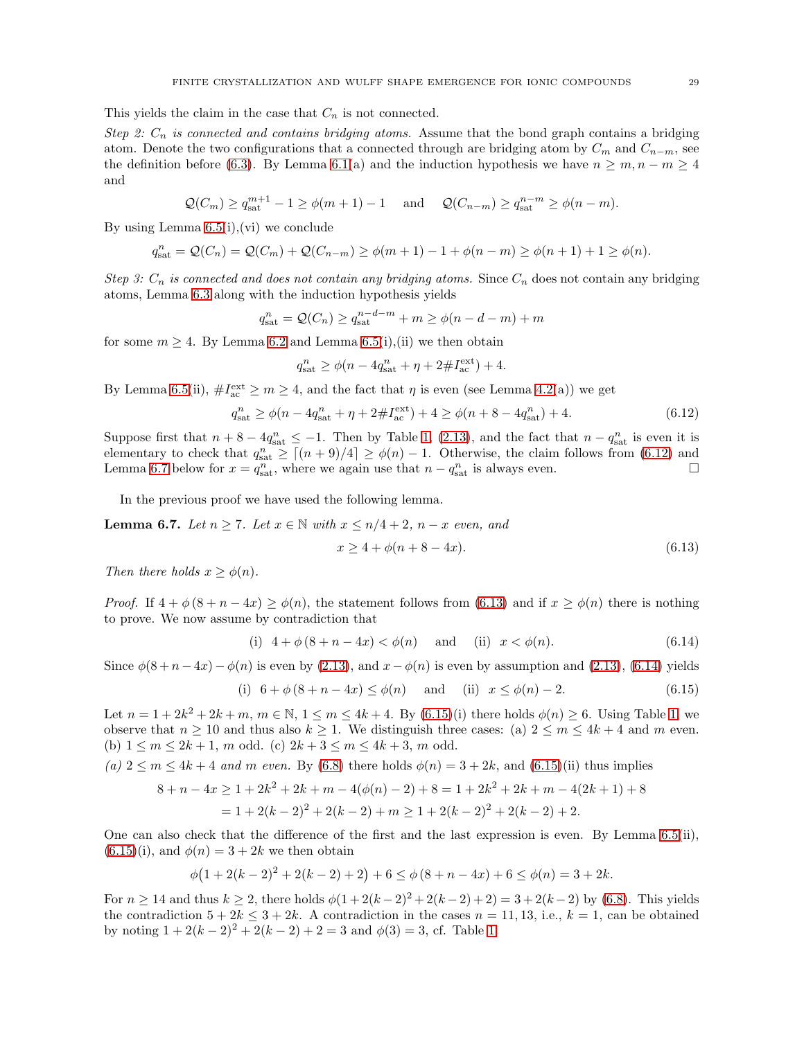This yields the claim in the case that  $C_n$  is not connected.

Step 2:  $C_n$  is connected and contains bridging atoms. Assume that the bond graph contains a bridging atom. Denote the two configurations that a connected through are bridging atom by  $C_m$  and  $C_{n-m}$ , see the definition before [\(6.3\)](#page-23-3). By Lemma [6.1\(](#page-23-2)a) and the induction hypothesis we have  $n \geq m, n - m \geq 4$ and

$$
\mathcal{Q}(C_m) \ge q_{\text{sat}}^{m+1} - 1 \ge \phi(m+1) - 1 \quad \text{and} \quad \mathcal{Q}(C_{n-m}) \ge q_{\text{sat}}^{n-m} \ge \phi(n-m).
$$

By using Lemma [6.5\(](#page-25-4)i),(vi) we conclude

$$
q_{\text{sat}}^n = \mathcal{Q}(C_n) = \mathcal{Q}(C_m) + \mathcal{Q}(C_{n-m}) \ge \phi(m+1) - 1 + \phi(n-m) \ge \phi(n+1) + 1 \ge \phi(n).
$$

Step 3:  $C_n$  is connected and does not contain any bridging atoms. Since  $C_n$  does not contain any bridging atoms, Lemma [6.3](#page-24-1) along with the induction hypothesis yields

$$
q_{\text{sat}}^n = \mathcal{Q}(C_n) \ge q_{\text{sat}}^{n-d-m} + m \ge \phi(n-d-m) + m
$$

for some  $m \geq 4$ . By Lemma [6.2](#page-24-2) and Lemma [6.5\(](#page-25-4)i),(ii) we then obtain

$$
q_{\text{sat}}^{n} \ge \phi(n - 4q_{\text{sat}}^{n} + \eta + 2 \# I_{\text{ac}}^{\text{ext}}) + 4.
$$

By Lemma [6.5\(](#page-25-4)ii),  $\#I_{ac}^{\text{ext}} \ge m \ge 4$ , and the fact that  $\eta$  is even (see Lemma [4.2\(](#page-13-0)a)) we get

$$
q_{\text{sat}}^{n} \ge \phi(n - 4q_{\text{sat}}^{n} + \eta + 2 \# I_{\text{ac}}^{\text{ext}}) + 4 \ge \phi(n + 8 - 4q_{\text{sat}}^{n}) + 4. \tag{6.12}
$$

Suppose first that  $n + 8 - 4q_{\text{sat}}^n \le -1$ . Then by Table [1,](#page-27-0) [\(2.13\)](#page-7-2), and the fact that  $n - q_{\text{sat}}^n$  is even it is elementary to check that  $q_{\text{sat}}^n \geq \lceil (n+9)/4 \rceil \geq \phi(n) - 1$ . Otherwise, the claim follows from [\(6.12\)](#page-28-0) and Lemma [6.7](#page-28-1) below for  $x = q_{\text{sat}}^n$ , where we again use that  $n - q_{\text{sat}}^n$  is always even.

In the previous proof we have used the following lemma.

<span id="page-28-1"></span>**Lemma 6.7.** Let  $n \ge 7$ . Let  $x \in \mathbb{N}$  with  $x \le n/4 + 2$ ,  $n - x$  even, and

<span id="page-28-4"></span><span id="page-28-3"></span><span id="page-28-2"></span><span id="page-28-0"></span>
$$
x \ge 4 + \phi(n + 8 - 4x). \tag{6.13}
$$

Then there holds  $x > \phi(n)$ .

*Proof.* If  $4 + \phi(8 + n - 4x) \ge \phi(n)$ , the statement follows from [\(6.13\)](#page-28-2) and if  $x \ge \phi(n)$  there is nothing to prove. We now assume by contradiction that

(i) 
$$
4 + \phi(8 + n - 4x) < \phi(n)
$$
 and (ii)  $x < \phi(n)$ . (6.14)

Since  $\phi(8+n-4x)-\phi(n)$  is even by [\(2.13\)](#page-7-2), and  $x-\phi(n)$  is even by assumption and (2.13), [\(6.14\)](#page-28-3) yields

(i) 
$$
6 + \phi(8 + n - 4x) \le \phi(n)
$$
 and (ii)  $x \le \phi(n) - 2$ . (6.15)

Let  $n = 1 + 2k^2 + 2k + m$ ,  $m \in \mathbb{N}$ ,  $1 \le m \le 4k + 4$ . By  $(6.15)(i)$  there holds  $\phi(n) \ge 6$ . Using Table [1,](#page-27-0) we observe that  $n \geq 10$  and thus also  $k \geq 1$ . We distinguish three cases: (a)  $2 \leq m \leq 4k + 4$  and m even. (b)  $1 \le m \le 2k+1$ , m odd. (c)  $2k+3 \le m \le 4k+3$ , m odd.

(a)  $2 \le m \le 4k + 4$  and m even. By [\(6.8\)](#page-25-0) there holds  $\phi(n) = 3 + 2k$ , and [\(6.15\)](#page-28-4)(ii) thus implies

$$
8 + n - 4x \ge 1 + 2k^2 + 2k + m - 4(\phi(n) - 2) + 8 = 1 + 2k^2 + 2k + m - 4(2k + 1) + 8
$$
  
= 1 + 2(k - 2)<sup>2</sup> + 2(k - 2) + m \ge 1 + 2(k - 2)<sup>2</sup> + 2(k - 2) + 2.

One can also check that the difference of the first and the last expression is even. By Lemma  $6.5(ii)$ ,  $(6.15)(i)$  $(6.15)(i)$ , and  $\phi(n) = 3 + 2k$  we then obtain

$$
\phi(1+2(k-2)^2+2(k-2)+2)+6\leq \phi(8+n-4x)+6\leq \phi(n)=3+2k.
$$

For  $n \ge 14$  and thus  $k \ge 2$ , there holds  $\phi(1+2(k-2)^2+2(k-2)+2)=3+2(k-2)$  by [\(6.8\)](#page-25-0). This yields the contradiction  $5 + 2k \leq 3 + 2k$ . A contradiction in the cases  $n = 11, 13$ , i.e.,  $k = 1$ , can be obtained by noting  $1 + 2(k-2)^2 + 2(k-2) + 2 = 3$  and  $\phi(3) = 3$ , cf. Table [1.](#page-27-0)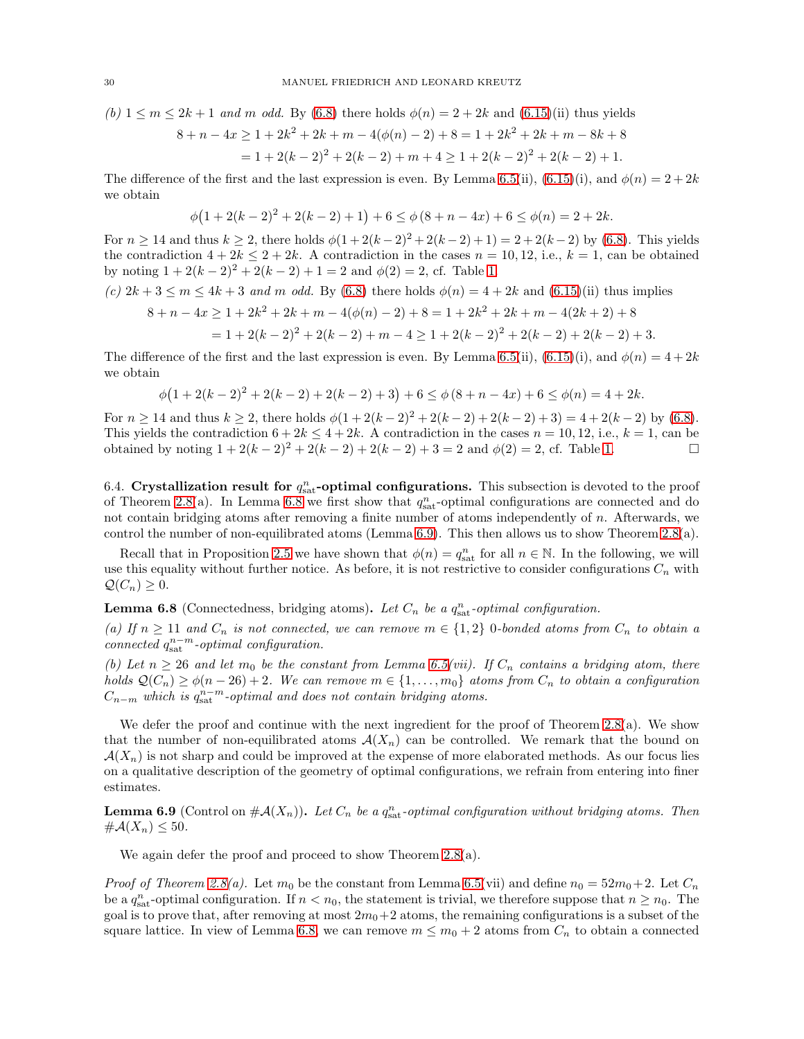(b) 
$$
1 \le m \le 2k + 1
$$
 and m odd. By (6.8) there holds  $\phi(n) = 2 + 2k$  and (6.15)(ii) thus yields

$$
8 + n - 4x \ge 1 + 2k^2 + 2k + m - 4(\phi(n) - 2) + 8 = 1 + 2k^2 + 2k + m - 8k + 8
$$
  
= 1 + 2(k - 2)<sup>2</sup> + 2(k - 2) + m + 4 \ge 1 + 2(k - 2)<sup>2</sup> + 2(k - 2) + 1.

The difference of the first and the last expression is even. By Lemma [6.5\(](#page-25-4)ii), [\(6.15\)](#page-28-4)(i), and  $\phi(n) = 2 + 2k$ we obtain

$$
\phi(1+2(k-2)^2+2(k-2)+1)+6\leq \phi(8+n-4x)+6\leq \phi(n)=2+2k.
$$

For  $n \ge 14$  and thus  $k \ge 2$ , there holds  $\phi(1+2(k-2)^2+2(k-2)+1) = 2+2(k-2)$  by [\(6.8\)](#page-25-0). This yields the contradiction  $4 + 2k \leq 2 + 2k$ . A contradiction in the cases  $n = 10, 12$ , i.e.,  $k = 1$ , can be obtained by noting  $1 + 2(k - 2)^2 + 2(k - 2) + 1 = 2$  and  $\phi(2) = 2$ , cf. Table [1.](#page-27-0)

(c) 
$$
2k + 3 \le m \le 4k + 3
$$
 and m odd. By (6.8) there holds  $\phi(n) = 4 + 2k$  and (6.15)(ii) thus implies

$$
8 + n - 4x \ge 1 + 2k^2 + 2k + m - 4(\phi(n) - 2) + 8 = 1 + 2k^2 + 2k + m - 4(2k + 2) + 8
$$
  
= 1 + 2(k - 2)<sup>2</sup> + 2(k - 2) + m - 4 \ge 1 + 2(k - 2)<sup>2</sup> + 2(k - 2) + 2(k - 2) + 3.

The difference of the first and the last expression is even. By Lemma [6.5\(](#page-25-4)ii), [\(6.15\)](#page-28-4)(i), and  $\phi(n) = 4 + 2k$ we obtain

$$
\phi(1+2(k-2)^2+2(k-2)+2(k-2)+3)+6\leq \phi(8+n-4x)+6\leq \phi(n)=4+2k.
$$

For  $n \ge 14$  and thus  $k \ge 2$ , there holds  $\phi(1+2(k-2)^2+2(k-2)+2(k-2)+3) = 4+2(k-2)$  by [\(6.8\)](#page-25-0). This yields the contradiction  $6 + 2k \le 4 + 2k$ . A contradiction in the cases  $n = 10, 12$ , i.e.,  $k = 1$ , can be obtained by noting  $1 + 2(k - 2)^2 + 2(k - 2) + 2(k - 2) + 3 = 2$  and  $\phi(2) = 2$ , cf. Table 1. obtained by noting  $1 + 2(k - 2)^2 + 2(k - 2) + 2(k - 2) + 3 = 2$  and  $\phi(2) = 2$ , cf. Table [1.](#page-27-0)

6.4. Crystallization result for  $q_{\text{sat}}^n$ -optimal configurations. This subsection is devoted to the proof of Theorem [2.8\(](#page-8-3)a). In Lemma [6.8](#page-29-0) we first show that  $q_{\text{sat}}^n$ -optimal configurations are connected and do not contain bridging atoms after removing a finite number of atoms independently of n. Afterwards, we control the number of non-equilibrated atoms (Lemma [6.9\)](#page-29-1). This then allows us to show Theorem [2.8\(](#page-8-3)a).

Recall that in Proposition [2.5](#page-7-4) we have shown that  $\phi(n) = q_{\text{sat}}^n$  for all  $n \in \mathbb{N}$ . In the following, we will use this equality without further notice. As before, it is not restrictive to consider configurations  $C_n$  with  $\mathcal{Q}(C_n) \geq 0.$ 

<span id="page-29-0"></span>**Lemma 6.8** (Connectedness, bridging atoms). Let  $C_n$  be a  $q_{\text{sat}}^n$ -optimal configuration.

(a) If  $n \geq 11$  and  $C_n$  is not connected, we can remove  $m \in \{1,2\}$  0-bonded atoms from  $C_n$  to obtain a connected  $q_{\text{sat}}^{n-m}$ -optimal configuration.

(b) Let  $n \geq 26$  and let  $m_0$  be the constant from Lemma [6.5\(](#page-25-4)vii). If  $C_n$  contains a bridging atom, there holds  $\mathcal{Q}(C_n) \ge \phi(n-26)+2$ . We can remove  $m \in \{1,\ldots,m_0\}$  atoms from  $C_n$  to obtain a configuration  $C_{n-m}$  which is  $q_{\text{sat}}^{n-m}$ -optimal and does not contain bridging atoms.

We defer the proof and continue with the next ingredient for the proof of Theorem [2.8\(](#page-8-3)a). We show that the number of non-equilibrated atoms  $\mathcal{A}(X_n)$  can be controlled. We remark that the bound on  $\mathcal{A}(X_n)$  is not sharp and could be improved at the expense of more elaborated methods. As our focus lies on a qualitative description of the geometry of optimal configurations, we refrain from entering into finer estimates.

<span id="page-29-1"></span>**Lemma 6.9** (Control on  $\#\mathcal{A}(X_n)$ ). Let  $C_n$  be a  $q_{\text{sat}}^n$ -optimal configuration without bridging atoms. Then  $\#\mathcal{A}(X_n)\leq 50.$ 

We again defer the proof and proceed to show Theorem [2.8\(](#page-8-3)a).

*Proof of Theorem [2.8\(](#page-8-3)a).* Let  $m_0$  be the constant from Lemma [6.5\(](#page-25-4)vii) and define  $n_0 = 52m_0+2$ . Let  $C_n$ be a  $q_{\text{sat}}^n$ -optimal configuration. If  $n < n_0$ , the statement is trivial, we therefore suppose that  $n \ge n_0$ . The goal is to prove that, after removing at most  $2m_0+2$  atoms, the remaining configurations is a subset of the square lattice. In view of Lemma [6.8,](#page-29-0) we can remove  $m \leq m_0 + 2$  atoms from  $C_n$  to obtain a connected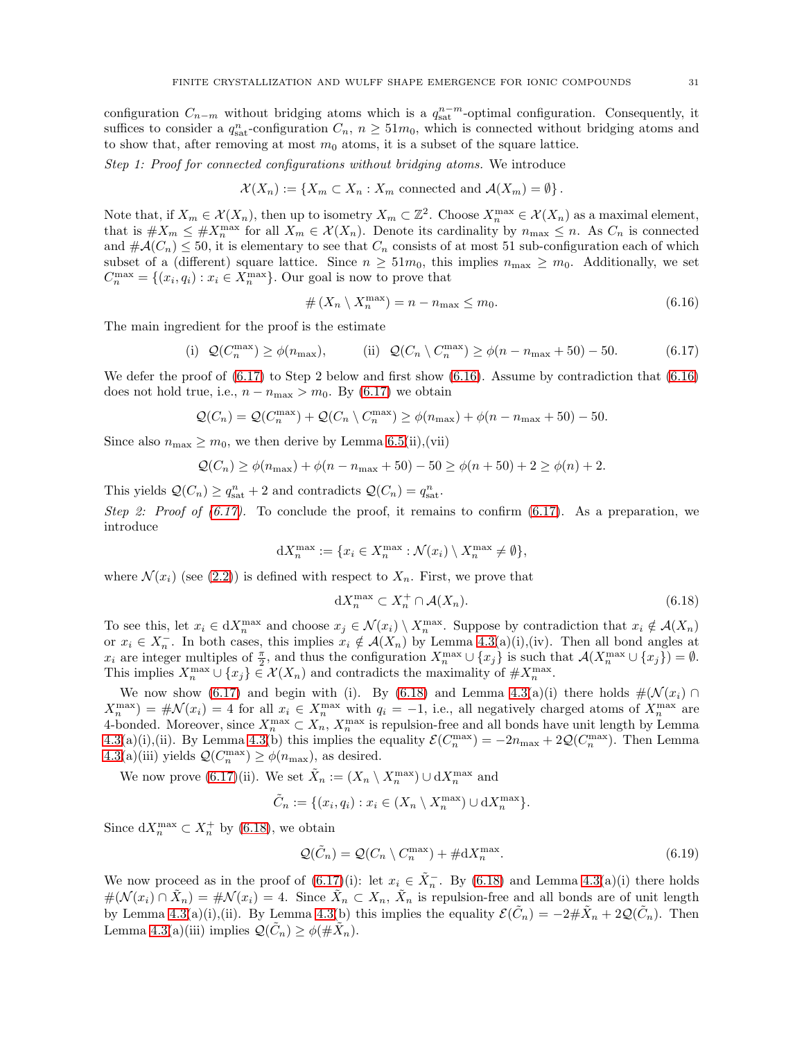configuration  $C_{n-m}$  without bridging atoms which is a  $q_{\text{sat}}^{n-m}$ -optimal configuration. Consequently, it suffices to consider a  $q_{\text{sat}}^n$ -configuration  $C_n$ ,  $n \geq 51m_0$ , which is connected without bridging atoms and to show that, after removing at most  $m_0$  atoms, it is a subset of the square lattice.

Step 1: Proof for connected configurations without bridging atoms. We introduce

$$
\mathcal{X}(X_n) := \{ X_m \subset X_n : X_m \text{ connected and } \mathcal{A}(X_m) = \emptyset \}.
$$

Note that, if  $X_m \in \mathcal{X}(X_n)$ , then up to isometry  $X_m \subset \mathbb{Z}^2$ . Choose  $X_n^{\max} \in \mathcal{X}(X_n)$  as a maximal element, that is  $\#X_m \leq \#X_n^{\max}$  for all  $X_m \in \mathcal{X}(X_n)$ . Denote its cardinality by  $n_{\max} \leq n$ . As  $C_n$  is connected and  $\#\mathcal{A}(C_n) \leq 50$ , it is elementary to see that  $C_n$  consists of at most 51 sub-configuration each of which subset of a (different) square lattice. Since  $n \geq 51m_0$ , this implies  $n_{\text{max}} \geq m_0$ . Additionally, we set  $C_n^{\max} = \{(x_i, q_i) : x_i \in X_n^{\max}\}\.$  Our goal is now to prove that

<span id="page-30-1"></span><span id="page-30-0"></span>
$$
\# \left( X_n \setminus X_n^{\max} \right) = n - n_{\max} \le m_0. \tag{6.16}
$$

The main ingredient for the proof is the estimate

(i) 
$$
Q(C_n^{\max}) \ge \phi(n_{\max}),
$$
 (ii)  $Q(C_n \setminus C_n^{\max}) \ge \phi(n - n_{\max} + 50) - 50.$  (6.17)

We defer the proof of  $(6.17)$  to Step 2 below and first show  $(6.16)$ . Assume by contradiction that  $(6.16)$ does not hold true, i.e.,  $n - n_{\text{max}} > m_0$ . By [\(6.17\)](#page-30-0) we obtain

$$
Q(C_n) = Q(C_n^{\max}) + Q(C_n \setminus C_n^{\max}) \ge \phi(n_{\max}) + \phi(n - n_{\max} + 50) - 50.
$$

Since also  $n_{\text{max}} \geq m_0$ , we then derive by Lemma [6.5\(](#page-25-4)ii),(vii)

$$
Q(C_n) \ge \phi(n_{\max}) + \phi(n - n_{\max} + 50) - 50 \ge \phi(n + 50) + 2 \ge \phi(n) + 2.
$$

This yields  $\mathcal{Q}(C_n) \geq q_{\text{sat}}^n + 2$  and contradicts  $\mathcal{Q}(C_n) = q_{\text{sat}}^n$ .

Step 2: Proof of  $(6.17)$ . To conclude the proof, it remains to confirm  $(6.17)$ . As a preparation, we introduce

$$
\mathrm{d}X_n^{\max}:=\{x_i\in X_n^{\max}:\mathcal{N}(x_i)\setminus X_n^{\max}\neq\emptyset\},
$$

where  $\mathcal{N}(x_i)$  (see [\(2.2\)](#page-4-2)) is defined with respect to  $X_n$ . First, we prove that

<span id="page-30-2"></span>
$$
dX_n^{\max} \subset X_n^+ \cap \mathcal{A}(X_n). \tag{6.18}
$$

To see this, let  $x_i \in dX_n^{\max}$  and choose  $x_j \in \mathcal{N}(x_i) \setminus X_n^{\max}$ . Suppose by contradiction that  $x_i \notin \mathcal{A}(X_n)$ or  $x_i \in X_n^-$ . In both cases, this implies  $x_i \notin \mathcal{A}(X_n)$  by Lemma [4.3\(](#page-14-0)a)(i),(iv). Then all bond angles at  $x_i$  are integer multiples of  $\frac{\pi}{2}$ , and thus the configuration  $X_n^{\max} \cup \{x_j\}$  is such that  $\mathcal{A}(X_n^{\max} \cup \{x_j\}) = \emptyset$ . This implies  $X_n^{\max} \cup \{x_j\} \in \mathcal{X}(X_n)$  and contradicts the maximality of  $\#X_n^{\max}$ .

We now show [\(6.17\)](#page-30-0) and begin with (i). By [\(6.18\)](#page-30-2) and Lemma [4.3\(](#page-14-0)a)(i) there holds  $\#(\mathcal{N}(x_i) \cap$  $X_n^{\max}$  =  $\#\mathcal{N}(x_i) = 4$  for all  $x_i \in X_n^{\max}$  with  $q_i = -1$ , i.e., all negatively charged atoms of  $X_n^{\max}$  are 4-bonded. Moreover, since  $X_n^{\max} \subset X_n$ ,  $X_n^{\max}$  is repulsion-free and all bonds have unit length by Lemma [4.3\(](#page-14-0)a)(i),(ii). By Lemma [4.3\(](#page-14-0)b) this implies the equality  $\mathcal{E}(C_n^{\max}) = -2n_{\max} + 2\mathcal{Q}(C_n^{\max})$ . Then Lemma  $4.3(a)(iii)$  $4.3(a)(iii)$  yields  $\mathcal{Q}(C_n^{\max}) \ge \phi(n_{\max})$ , as desired.

We now prove [\(6.17\)](#page-30-0)(ii). We set  $\tilde{X}_n := (X_n \setminus X_n^{\max}) \cup dX_n^{\max}$  and

$$
\tilde{C}_n := \{ (x_i, q_i) : x_i \in (X_n \setminus X_n^{\max}) \cup dX_n^{\max} \}.
$$

Since  $dX_n^{\max} \subset X_n^+$  by [\(6.18\)](#page-30-2), we obtain

<span id="page-30-3"></span>
$$
\mathcal{Q}(\tilde{C}_n) = \mathcal{Q}(C_n \setminus C_n^{\max}) + \# dX_n^{\max}.
$$
\n(6.19)

We now proceed as in the proof of  $(6.17)(i)$ : let  $x_i \in \tilde{X}_n^-$ . By  $(6.18)$  and Lemma [4.3\(](#page-14-0)a)(i) there holds  $\#(\mathcal{N}(x_i) \cap \tilde{X}_n) = \# \mathcal{N}(x_i) = 4.$  Since  $\tilde{X}_n \subset X_n$ ,  $\tilde{X}_n$  is repulsion-free and all bonds are of unit length by Lemma [4.3\(](#page-14-0)a)(i),(ii). By Lemma 4.3(b) this implies the equality  $\mathcal{E}(\tilde{C}_n) = -2 \# \tilde{X}_n + 2\mathcal{Q}(\tilde{C}_n)$ . Then Lemma [4.3\(](#page-14-0)a)(iii) implies  $\mathcal{Q}(\tilde{C}_n) \ge \phi(\#\tilde{X}_n)$ .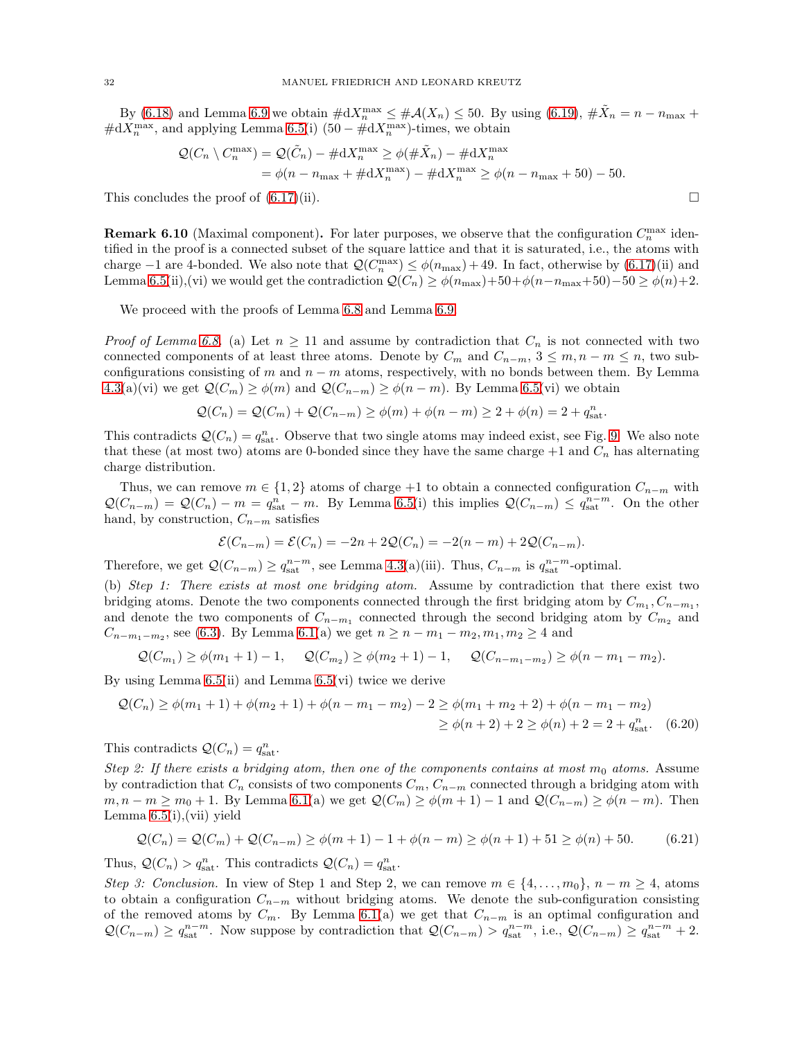By [\(6.18\)](#page-30-2) and Lemma [6.9](#page-29-1) we obtain  $\#\mathrm{d}X_n^{\max} \leq \#\mathcal{A}(X_n) \leq 50$ . By using [\(6.19\)](#page-30-3),  $\#\tilde{X}_n = n - n_{\max} +$  $\#\mathrm{d}X_n^{\max}$ , and applying Lemma [6.5\(](#page-25-4)i) (50 –  $\#\mathrm{d}X_n^{\max}$ )-times, we obtain

$$
\mathcal{Q}(C_n \setminus C_n^{\max}) = \mathcal{Q}(\tilde{C}_n) - \#dX_n^{\max} \ge \phi(\#\tilde{X}_n) - \#dX_n^{\max}
$$
  
=  $\phi(n - n_{\max} + \#dX_n^{\max}) - \#dX_n^{\max} \ge \phi(n - n_{\max} + 50) - 50.$ 

This concludes the proof of  $(6.17)(ii)$ .

<span id="page-31-0"></span>**Remark 6.10** (Maximal component). For later purposes, we observe that the configuration  $C_n^{\max}$  identified in the proof is a connected subset of the square lattice and that it is saturated, i.e., the atoms with charge  $-1$  are 4-bonded. We also note that  $\mathcal{Q}(C_n^{\max}) \leq \phi(n_{\max}) + 49$ . In fact, otherwise by  $(6.17)(ii)$  and Lemma [6.5\(](#page-25-4)ii),(vi) we would get the contradiction  $\mathcal{Q}(C_n) \ge \phi(n_{\max})+50+\phi(n-n_{\max}+50)-50 \ge \phi(n)+2$ .

We proceed with the proofs of Lemma [6.8](#page-29-0) and Lemma [6.9.](#page-29-1)

*Proof of Lemma [6.8.](#page-29-0)* (a) Let  $n \geq 11$  and assume by contradiction that  $C_n$  is not connected with two connected components of at least three atoms. Denote by  $C_m$  and  $C_{n-m}$ ,  $3 \le m, n-m \le n$ , two subconfigurations consisting of m and  $n - m$  atoms, respectively, with no bonds between them. By Lemma [4.3\(](#page-14-0)a)(vi) we get  $\mathcal{Q}(C_m) \ge \phi(m)$  and  $\mathcal{Q}(C_{n-m}) \ge \phi(n-m)$ . By Lemma [6.5\(](#page-25-4)vi) we obtain

$$
\mathcal{Q}(C_n) = \mathcal{Q}(C_m) + \mathcal{Q}(C_{n-m}) \ge \phi(m) + \phi(n-m) \ge 2 + \phi(n) = 2 + q_{\text{sat}}^n.
$$

This contradicts  $\mathcal{Q}(C_n) = q_{\text{sat}}^n$ . Observe that two single atoms may indeed exist, see Fig. [9.](#page-11-0) We also note that these (at most two) atoms are 0-bonded since they have the same charge  $+1$  and  $C_n$  has alternating charge distribution.

Thus, we can remove  $m \in \{1,2\}$  atoms of charge +1 to obtain a connected configuration  $C_{n-m}$  with  $\mathcal{Q}(C_{n-m}) = \mathcal{Q}(C_n) - m = q_{\text{sat}}^n - m$ . By Lemma [6.5\(](#page-25-4)i) this implies  $\mathcal{Q}(C_{n-m}) \leq q_{\text{sat}}^{n-m}$ . On the other hand, by construction,  $C_{n-m}$  satisfies

<span id="page-31-1"></span>
$$
\mathcal{E}(C_{n-m}) = \mathcal{E}(C_n) = -2n + 2\mathcal{Q}(C_n) = -2(n-m) + 2\mathcal{Q}(C_{n-m}).
$$

Therefore, we get  $\mathcal{Q}(C_{n-m}) \ge q_{\text{sat}}^{n-m}$ , see Lemma [4.3\(](#page-14-0)a)(iii). Thus,  $C_{n-m}$  is  $q_{\text{sat}}^{n-m}$ -optimal.

(b) Step 1: There exists at most one bridging atom. Assume by contradiction that there exist two bridging atoms. Denote the two components connected through the first bridging atom by  $C_{m_1}, C_{n-m_1}$ , and denote the two components of  $C_{n-m_1}$  connected through the second bridging atom by  $C_{m_2}$  and  $C_{n-m_1-m_2}$ , see [\(6.3\)](#page-23-3). By Lemma [6.1\(](#page-23-2)a) we get  $n \ge n - m_1 - m_2, m_1, m_2 \ge 4$  and

$$
Q(C_{m_1}) \ge \phi(m_1 + 1) - 1
$$
,  $Q(C_{m_2}) \ge \phi(m_2 + 1) - 1$ ,  $Q(C_{n-m_1-m_2}) \ge \phi(n-m_1-m_2)$ .

By using Lemma  $6.5(ii)$  and Lemma  $6.5(vi)$  twice we derive

$$
\mathcal{Q}(C_n) \ge \phi(m_1 + 1) + \phi(m_2 + 1) + \phi(n - m_1 - m_2) - 2 \ge \phi(m_1 + m_2 + 2) + \phi(n - m_1 - m_2)
$$
  
 
$$
\ge \phi(n + 2) + 2 \ge \phi(n) + 2 = 2 + q_{\text{sat}}^n. \quad (6.20)
$$

This contradicts  $Q(C_n) = q_{\text{sat}}^n$ .

Step 2: If there exists a bridging atom, then one of the components contains at most  $m_0$  atoms. Assume by contradiction that  $C_n$  consists of two components  $C_m$ ,  $C_{n-m}$  connected through a bridging atom with  $m, n - m \ge m_0 + 1$ . By Lemma [6.1\(](#page-23-2)a) we get  $\mathcal{Q}(C_m) \ge \phi(m+1) - 1$  and  $\mathcal{Q}(C_{n-m}) \ge \phi(n-m)$ . Then Lemma [6.5\(](#page-25-4)i),(vii) yield

<span id="page-31-2"></span>
$$
Q(C_n) = Q(C_m) + Q(C_{n-m}) \ge \phi(m+1) - 1 + \phi(n-m) \ge \phi(n+1) + 51 \ge \phi(n) + 50. \tag{6.21}
$$

Thus,  $\mathcal{Q}(C_n) > q_{\text{sat}}^n$ . This contradicts  $\mathcal{Q}(C_n) = q_{\text{sat}}^n$ .

Step 3: Conclusion. In view of Step 1 and Step 2, we can remove  $m \in \{4, \ldots, m_0\}, n - m \ge 4$ , atoms to obtain a configuration  $C_{n-m}$  without bridging atoms. We denote the sub-configuration consisting of the removed atoms by  $C_m$ . By Lemma [6.1\(](#page-23-2)a) we get that  $C_{n-m}$  is an optimal configuration and  $\mathcal{Q}(C_{n-m}) \geq q_{\text{sat}}^{n-m}$ . Now suppose by contradiction that  $\mathcal{Q}(C_{n-m}) > q_{\text{sat}}^{n-m}$ , i.e.,  $\mathcal{Q}(C_{n-m}) \geq q_{\text{sat}}^{n-m} + 2$ .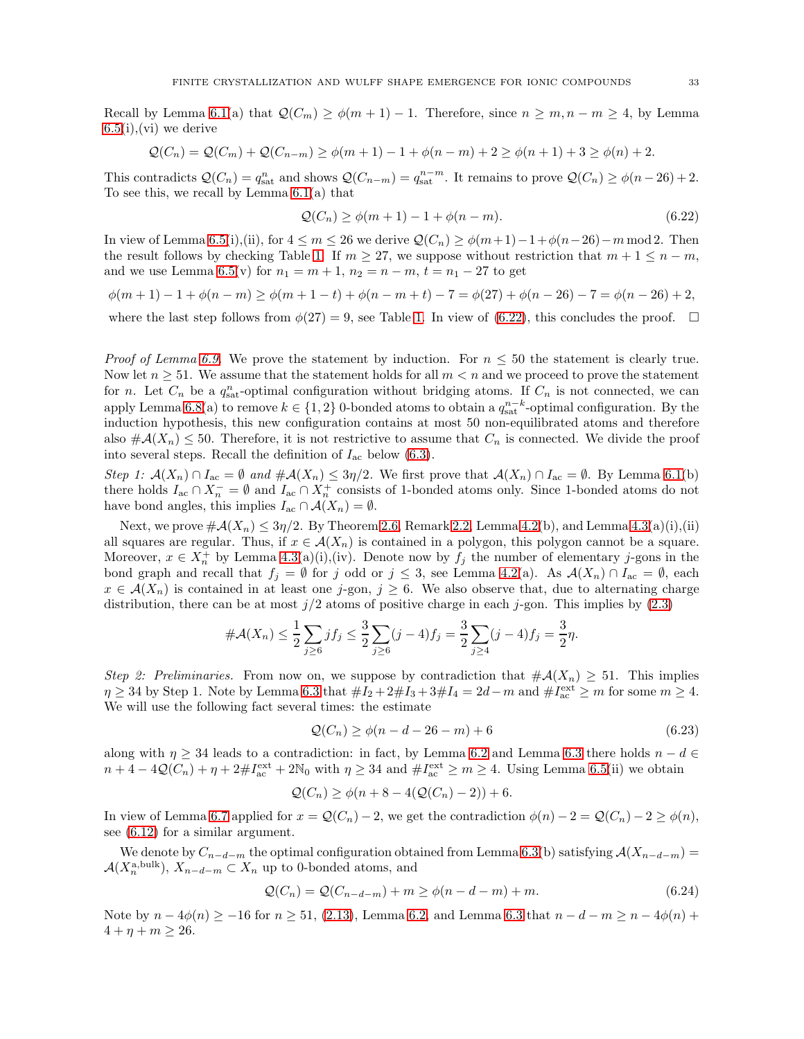Recall by Lemma [6.1\(](#page-23-2)a) that  $\mathcal{Q}(C_m) \geq \phi(m+1) - 1$ . Therefore, since  $n \geq m, n - m \geq 4$ , by Lemma  $6.5(i),$  $6.5(i),$ (vi) we derive

$$
Q(C_n) = Q(C_m) + Q(C_{n-m}) \ge \phi(m+1) - 1 + \phi(n-m) + 2 \ge \phi(n+1) + 3 \ge \phi(n) + 2.
$$

This contradicts  $\mathcal{Q}(C_n) = q_{\text{sat}}^n$  and shows  $\mathcal{Q}(C_{n-m}) = q_{\text{sat}}^{n-m}$ . It remains to prove  $\mathcal{Q}(C_n) \ge \phi(n-26) + 2$ . To see this, we recall by Lemma [6.1\(](#page-23-2)a) that

<span id="page-32-0"></span>
$$
Q(C_n) \ge \phi(m+1) - 1 + \phi(n-m). \tag{6.22}
$$

In view of Lemma [6.5\(](#page-25-4)i),(ii), for  $4 \leq m \leq 26$  we derive  $\mathcal{Q}(C_n) \geq \phi(m+1)-1+\phi(n-26)-m \mod 2$ . Then the result follows by checking Table [1.](#page-27-0) If  $m \geq 27$ , we suppose without restriction that  $m + 1 \leq n - m$ , and we use Lemma [6.5\(](#page-25-4)v) for  $n_1 = m + 1$ ,  $n_2 = n - m$ ,  $t = n_1 - 27$  to get

$$
\phi(m+1)-1+\phi(n-m) \ge \phi(m+1-t)+\phi(n-m+t)-7 = \phi(27)+\phi(n-26)-7 = \phi(n-26)+2,
$$

where the last step follows from  $\phi(27) = 9$ , see Table [1.](#page-27-0) In view of [\(6.22\)](#page-32-0), this concludes the proof.  $\Box$ 

*Proof of Lemma [6.9.](#page-29-1)* We prove the statement by induction. For  $n \leq 50$  the statement is clearly true. Now let  $n \geq 51$ . We assume that the statement holds for all  $m < n$  and we proceed to prove the statement for *n*. Let  $C_n$  be a  $q_{\text{sat}}^n$ -optimal configuration without bridging atoms. If  $C_n$  is not connected, we can apply Lemma [6.8\(](#page-29-0)a) to remove  $k \in \{1,2\}$  0-bonded atoms to obtain a  $q_{\text{sat}}^{n-k}$ -optimal configuration. By the induction hypothesis, this new configuration contains at most 50 non-equilibrated atoms and therefore also  $\#\mathcal{A}(X_n) \leq 50$ . Therefore, it is not restrictive to assume that  $C_n$  is connected. We divide the proof into several steps. Recall the definition of  $I_{ac}$  below [\(6.3\)](#page-23-3).

Step 1:  $\mathcal{A}(X_n) \cap I_{ac} = \emptyset$  and  $\#\mathcal{A}(X_n) \leq 3\eta/2$ . We first prove that  $\mathcal{A}(X_n) \cap I_{ac} = \emptyset$ . By Lemma [6.1\(](#page-23-2)b) there holds  $I_{ac} \cap X_{n}^{-} = \emptyset$  and  $I_{ac} \cap X_{n}^{+}$  consists of 1-bonded atoms only. Since 1-bonded atoms do not have bond angles, this implies  $I_{ac} \cap A(X_n) = \emptyset$ .

Next, we prove  $\#\mathcal{A}(X_n) \leq 3\eta/2$ . By Theorem [2.6,](#page-7-5) Remark [2.2,](#page-6-6) Lemma [4.2\(](#page-13-0)b), and Lemma [4.3\(](#page-14-0)a)(i),(ii) all squares are regular. Thus, if  $x \in \mathcal{A}(X_n)$  is contained in a polygon, this polygon cannot be a square. Moreover,  $x \in X_n^+$  by Lemma [4.3\(](#page-14-0)a)(i),(iv). Denote now by  $f_j$  the number of elementary j-gons in the bond graph and recall that  $f_j = \emptyset$  for j odd or  $j \leq 3$ , see Lemma [4.2\(](#page-13-0)a). As  $\mathcal{A}(X_n) \cap I_{ac} = \emptyset$ , each  $x \in \mathcal{A}(X_n)$  is contained in at least one j-gon,  $j \geq 6$ . We also observe that, due to alternating charge distribution, there can be at most  $j/2$  atoms of positive charge in each j-gon. This implies by  $(2.3)$ 

$$
\#\mathcal{A}(X_n) \le \frac{1}{2} \sum_{j \ge 6} j f_j \le \frac{3}{2} \sum_{j \ge 6} (j-4) f_j = \frac{3}{2} \sum_{j \ge 4} (j-4) f_j = \frac{3}{2} \eta.
$$

Step 2: Preliminaries. From now on, we suppose by contradiction that  $\#\mathcal{A}(X_n) \geq 51$ . This implies  $\eta \geq 34$  by Step 1. Note by Lemma [6.3](#page-24-1) that  $\#I_2 + 2\#I_3 + 3\#I_4 = 2d - m$  and  $\#I_{ac}^{\text{ext}} \geq m$  for some  $m \geq 4$ . We will use the following fact several times: the estimate

<span id="page-32-2"></span>
$$
Q(C_n) \ge \phi(n - d - 26 - m) + 6
$$
\n(6.23)

along with  $\eta \geq 34$  leads to a contradiction: in fact, by Lemma [6.2](#page-24-2) and Lemma [6.3](#page-24-1) there holds  $n - d \in$  $n+4-4\mathcal{Q}(C_n)+\eta+2\#I_{ac}^{\text{ext}}+2\mathbb{N}_0$  with  $\eta\geq 34$  and  $\#I_{ac}^{\text{ext}}\geq m\geq 4$ . Using Lemma [6.5\(](#page-25-4)ii) we obtain

<span id="page-32-1"></span>
$$
Q(C_n) \ge \phi(n + 8 - 4(Q(C_n) - 2)) + 6.
$$

In view of Lemma [6.7](#page-28-1) applied for  $x = \mathcal{Q}(C_n) - 2$ , we get the contradiction  $\phi(n) - 2 = \mathcal{Q}(C_n) - 2 \ge \phi(n)$ , see [\(6.12\)](#page-28-0) for a similar argument.

We denote by  $C_{n-d-m}$  the optimal configuration obtained from Lemma [6.3\(](#page-24-1)b) satisfying  $\mathcal{A}(X_{n-d-m})$  $\mathcal{A}(X_n^{\text{a,bulk}}), X_{n-d-m} \subset X_n$  up to 0-bonded atoms, and

$$
\mathcal{Q}(C_n) = \mathcal{Q}(C_{n-d-m}) + m \ge \phi(n-d-m) + m. \tag{6.24}
$$

Note by  $n - 4\phi(n) \ge -16$  for  $n \ge 51$ , [\(2.13\)](#page-7-2), Lemma [6.2,](#page-24-2) and Lemma [6.3](#page-24-1) that  $n - d - m \ge n - 4\phi(n) +$  $4 + \eta + m \geq 26.$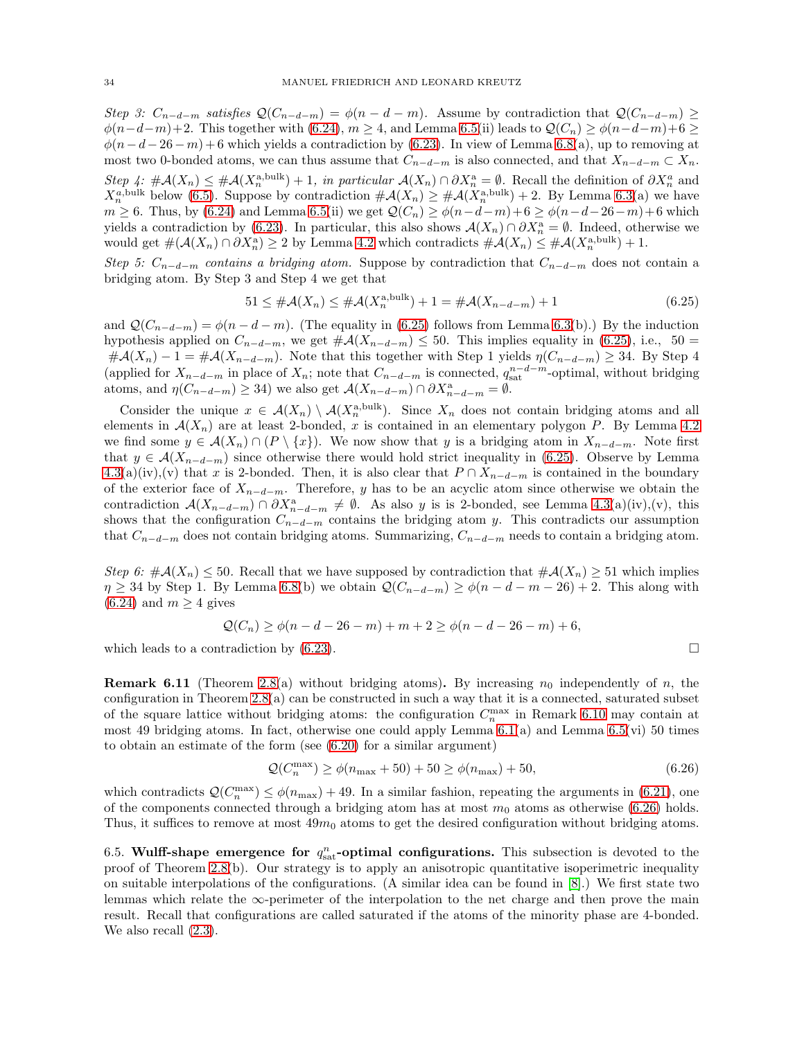Step 3:  $C_{n-d-m}$  satisfies  $\mathcal{Q}(C_{n-d-m}) = \phi(n-d-m)$ . Assume by contradiction that  $\mathcal{Q}(C_{n-d-m}) \geq$  $\phi(n-d-m)+2$ . This together with [\(6.24\)](#page-32-1),  $m \geq 4$ , and Lemma [6.5\(](#page-25-4)ii) leads to  $\mathcal{Q}(C_n) \geq \phi(n-d-m)+6 \geq 4$  $\phi(n-d-26-m)+6$  which yields a contradiction by [\(6.23\)](#page-32-2). In view of Lemma [6.8\(](#page-29-0)a), up to removing at most two 0-bonded atoms, we can thus assume that  $C_{n-d-m}$  is also connected, and that  $X_{n-d-m} \subset X_n$ . Step 4:  $\#\mathcal{A}(X_n) \leq \#\mathcal{A}(X_n^{\text{a,bulk}}) + 1$ , in particular  $\mathcal{A}(X_n) \cap \partial X_n^{\text{a}} = \emptyset$ . Recall the definition of  $\partial X_n^{\text{a}}$  and  $X_n^{a, \text{bulk}}$  below [\(6.5\)](#page-24-3). Suppose by contradiction  $\#\mathcal{A}(X_n) \geq \#\mathcal{A}(X_n^{\text{a,bulk}}) + 2$ . By Lemma [6.3\(](#page-24-1)a) we have  $m \geq 6$ . Thus, by [\(6.24\)](#page-32-1) and Lemma [6.5\(](#page-25-4)ii) we get  $\mathcal{Q}(C_n) \geq \phi(n-d-m)+6 \geq \phi(n-d-26-m)+6$  which yields a contradiction by [\(6.23\)](#page-32-2). In particular, this also shows  $\mathcal{A}(X_n) \cap \partial X_n^{\mathbf{a}} = \emptyset$ . Indeed, otherwise we would get  $\#(\mathcal{A}(X_n) \cap \partial X_n^{\mathbf{a}}) \ge 2$  by Lemma [4.2](#page-13-0) which contradicts  $\#\mathcal{A}(X_n) \le \#\mathcal{A}(X_n^{\mathbf{a}, \text{bulk}}) + 1$ .

Step 5:  $C_{n-d-m}$  contains a bridging atom. Suppose by contradiction that  $C_{n-d-m}$  does not contain a bridging atom. By Step 3 and Step 4 we get that

<span id="page-33-0"></span>
$$
51 \leq #\mathcal{A}(X_n) \leq #\mathcal{A}(X_n^{\text{a,bulk}}) + 1 = #\mathcal{A}(X_{n-d-m}) + 1
$$
\n(6.25)

and  $\mathcal{Q}(C_{n-d-m}) = \phi(n-d-m)$ . (The equality in [\(6.25\)](#page-33-0) follows from Lemma [6.3\(](#page-24-1)b).) By the induction hypothesis applied on  $C_{n-d-m}$ , we get  $\#\mathcal{A}(X_{n-d-m}) \leq 50$ . This implies equality in [\(6.25\)](#page-33-0), i.e., 50 =  $\#\mathcal{A}(X_n) - 1 = \#\mathcal{A}(X_{n-d-m})$ . Note that this together with Step 1 yields  $\eta(C_{n-d-m}) \geq 34$ . By Step 4 (applied for  $X_{n-d-m}$  in place of  $X_n$ ; note that  $C_{n-d-m}$  is connected,  $q_{\text{sat}}^{n-d-m}$ -optimal, without bridging atoms, and  $\eta(C_{n-d-m}) \geq 34$ ) we also get  $\mathcal{A}(X_{n-d-m}) \cap \partial X_{n-d-m}^{\mathbf{a}} = \emptyset$ .

Consider the unique  $x \in \mathcal{A}(X_n) \setminus \mathcal{A}(X_n^{\text{a,bulk}})$ . Since  $X_n$  does not contain bridging atoms and all elements in  $\mathcal{A}(X_n)$  are at least 2-bonded, x is contained in an elementary polygon P. By Lemma [4.2](#page-13-0) we find some  $y \in \mathcal{A}(X_n) \cap (P \setminus \{x\})$ . We now show that y is a bridging atom in  $X_{n-d-m}$ . Note first that  $y \in \mathcal{A}(X_{n-d-m})$  since otherwise there would hold strict inequality in [\(6.25\)](#page-33-0). Observe by Lemma  $4.3(a)(iv),(v)$  $4.3(a)(iv),(v)$  that x is 2-bonded. Then, it is also clear that  $P \cap X_{n-d-m}$  is contained in the boundary of the exterior face of  $X_{n-d-m}$ . Therefore, y has to be an acyclic atom since otherwise we obtain the contradiction  $\mathcal{A}(X_{n-d-m}) \cap \partial X_{n-d-m}^a \neq \emptyset$ . As also y is is 2-bonded, see Lemma [4.3\(](#page-14-0)a)(iv),(v), this shows that the configuration  $C_{n-d-m}$  contains the bridging atom y. This contradicts our assumption that  $C_{n-d-m}$  does not contain bridging atoms. Summarizing,  $C_{n-d-m}$  needs to contain a bridging atom.

Step 6:  $\#\mathcal{A}(X_n) \leq 50$ . Recall that we have supposed by contradiction that  $\#\mathcal{A}(X_n) \geq 51$  which implies  $\eta \geq 34$  by Step 1. By Lemma [6.8\(](#page-29-0)b) we obtain  $\mathcal{Q}(C_{n-d-m}) \geq \phi(n-d-m-26)+2$ . This along with  $(6.24)$  and  $m \geq 4$  gives

$$
Q(C_n) \ge \phi(n - d - 26 - m) + m + 2 \ge \phi(n - d - 26 - m) + 6,
$$

which leads to a contradiction by  $(6.23)$ .

<span id="page-33-2"></span>**Remark 6.11** (Theorem [2.8\(](#page-8-3)a) without bridging atoms). By increasing  $n_0$  independently of n, the configuration in Theorem  $2.8(a)$  can be constructed in such a way that it is a connected, saturated subset of the square lattice without bridging atoms: the configuration  $C_n^{\max}$  in Remark [6.10](#page-31-0) may contain at most 49 bridging atoms. In fact, otherwise one could apply Lemma [6.1\(](#page-23-2)a) and Lemma [6.5\(](#page-25-4)vi) 50 times to obtain an estimate of the form (see [\(6.20\)](#page-31-1) for a similar argument)

<span id="page-33-1"></span>
$$
\mathcal{Q}(C_n^{\max}) \ge \phi(n_{\max} + 50) + 50 \ge \phi(n_{\max}) + 50, \tag{6.26}
$$

which contradicts  $\mathcal{Q}(C_n^{\max}) \leq \phi(n_{\max}) + 49$ . In a similar fashion, repeating the arguments in [\(6.21\)](#page-31-2), one of the components connected through a bridging atom has at most  $m_0$  atoms as otherwise [\(6.26\)](#page-33-1) holds. Thus, it suffices to remove at most  $49m_0$  atoms to get the desired configuration without bridging atoms.

6.5. Wulff-shape emergence for  $q_{\text{sat}}^n$ -optimal configurations. This subsection is devoted to the proof of Theorem [2.8\(](#page-8-3)b). Our strategy is to apply an anisotropic quantitative isoperimetric inequality on suitable interpolations of the configurations. (A similar idea can be found in [\[8\]](#page-44-28).) We first state two lemmas which relate the  $\infty$ -perimeter of the interpolation to the net charge and then prove the main result. Recall that configurations are called saturated if the atoms of the minority phase are 4-bonded. We also recall [\(2.3\)](#page-4-1).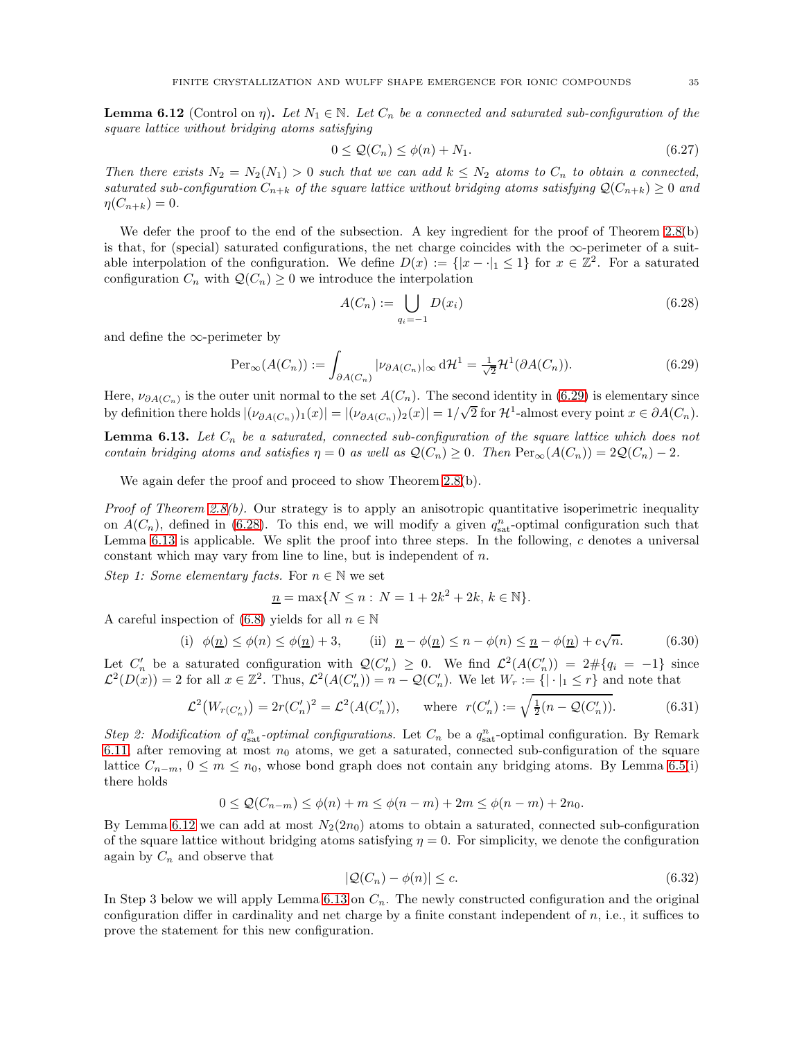<span id="page-34-3"></span>**Lemma 6.12** (Control on  $\eta$ ). Let  $N_1 \in \mathbb{N}$ . Let  $C_n$  be a connected and saturated sub-configuration of the square lattice without bridging atoms satisfying

<span id="page-34-7"></span>
$$
0 \le \mathcal{Q}(C_n) \le \phi(n) + N_1. \tag{6.27}
$$

Then there exists  $N_2 = N_2(N_1) > 0$  such that we can add  $k \leq N_2$  atoms to  $C_n$  to obtain a connected, saturated sub-configuration  $C_{n+k}$  of the square lattice without bridging atoms satisfying  $\mathcal{Q}(C_{n+k}) \geq 0$  and  $\eta(C_{n+k})=0.$ 

We defer the proof to the end of the subsection. A key ingredient for the proof of Theorem [2.8\(](#page-8-3)b) is that, for (special) saturated configurations, the net charge coincides with the  $\infty$ -perimeter of a suitable interpolation of the configuration. We define  $D(x) := \{|x - \cdot|_1 \leq 1\}$  for  $x \in \mathbb{Z}^2$ . For a saturated configuration  $C_n$  with  $\mathcal{Q}(C_n) \geq 0$  we introduce the interpolation

<span id="page-34-1"></span><span id="page-34-0"></span>
$$
A(C_n) := \bigcup_{q_i = -1} D(x_i)
$$
\n(6.28)

and define the  $\infty$ -perimeter by

$$
\operatorname{Per}_{\infty}(A(C_n)) := \int_{\partial A(C_n)} |\nu_{\partial A(C_n)}|_{\infty} d\mathcal{H}^1 = \frac{1}{\sqrt{2}} \mathcal{H}^1(\partial A(C_n)).
$$
\n(6.29)

Here,  $\nu_{\partial A(C_n)}$  is the outer unit normal to the set  $A(C_n)$ . The second identity in [\(6.29\)](#page-34-0) is elementary since by definition there holds  $|(\nu_{\partial A(C_n)})_1(x)| = |(\nu_{\partial A(C_n)})_2(x)| = 1/\sqrt{2}$  for  $\mathcal{H}^1$ -almost every point  $x \in \partial A(C_n)$ .

<span id="page-34-2"></span>**Lemma 6.13.** Let  $C_n$  be a saturated, connected sub-configuration of the square lattice which does not contain bridging atoms and satisfies  $\eta = 0$  as well as  $\mathcal{Q}(C_n) \geq 0$ . Then  $\text{Per}_{\infty}(A(C_n)) = 2\mathcal{Q}(C_n) - 2$ .

We again defer the proof and proceed to show Theorem [2.8\(](#page-8-3)b).

*Proof of Theorem [2.8\(](#page-8-3)b).* Our strategy is to apply an anisotropic quantitative isoperimetric inequality on  $A(C_n)$ , defined in [\(6.28\)](#page-34-1). To this end, we will modify a given  $q_{\text{sat}}^n$ -optimal configuration such that Lemma [6.13](#page-34-2) is applicable. We split the proof into three steps. In the following,  $c$  denotes a universal constant which may vary from line to line, but is independent of  $n$ .

Step 1: Some elementary facts. For  $n \in \mathbb{N}$  we set

<span id="page-34-4"></span>
$$
\underline{n} = \max\{N \le n : N = 1 + 2k^2 + 2k, k \in \mathbb{N}\}.
$$

A careful inspection of [\(6.8\)](#page-25-0) yields for all  $n \in \mathbb{N}$ 

(i) 
$$
\phi(\underline{n}) \le \phi(n) \le \phi(\underline{n}) + 3
$$
, (ii)  $\underline{n} - \phi(\underline{n}) \le n - \phi(n) \le \underline{n} - \phi(\underline{n}) + c\sqrt{n}$ . (6.30)

Let  $C'_n$  be a saturated configuration with  $\mathcal{Q}(C'_n) \geq 0$ . We find  $\mathcal{L}^2(A(C'_n)) = 2 \# \{q_i = -1\}$  since  $\mathcal{L}^2(D(x)) = 2$  for all  $x \in \mathbb{Z}^2$ . Thus,  $\mathcal{L}^2(A(C'_n)) = n - \mathcal{Q}(C'_n)$ . We let  $W_r := \{|\cdot|_1 \leq r\}$  and note that

$$
\mathcal{L}^2\big(W_{r(C'_n)}\big) = 2r(C'_n)^2 = \mathcal{L}^2(A(C'_n)), \quad \text{where } r(C'_n) := \sqrt{\frac{1}{2}(n - \mathcal{Q}(C'_n))}. \tag{6.31}
$$

Step 2: Modification of  $q_{\text{sat}}^n$ -optimal configurations. Let  $C_n$  be a  $q_{\text{sat}}^n$ -optimal configuration. By Remark [6.11,](#page-33-2) after removing at most  $n_0$  atoms, we get a saturated, connected sub-configuration of the square lattice  $C_{n-m}$ ,  $0 \le m \le n_0$ , whose bond graph does not contain any bridging atoms. By Lemma [6.5\(](#page-25-4)i) there holds

$$
0 \le Q(C_{n-m}) \le \phi(n) + m \le \phi(n-m) + 2m \le \phi(n-m) + 2n_0.
$$

By Lemma [6.12](#page-34-3) we can add at most  $N_2(2n_0)$  atoms to obtain a saturated, connected sub-configuration of the square lattice without bridging atoms satisfying  $\eta = 0$ . For simplicity, we denote the configuration again by  $C_n$  and observe that

<span id="page-34-6"></span><span id="page-34-5"></span>
$$
|\mathcal{Q}(C_n) - \phi(n)| \le c. \tag{6.32}
$$

In Step 3 below we will apply Lemma [6.13](#page-34-2) on  $C_n$ . The newly constructed configuration and the original configuration differ in cardinality and net charge by a finite constant independent of  $n$ , i.e., it suffices to prove the statement for this new configuration.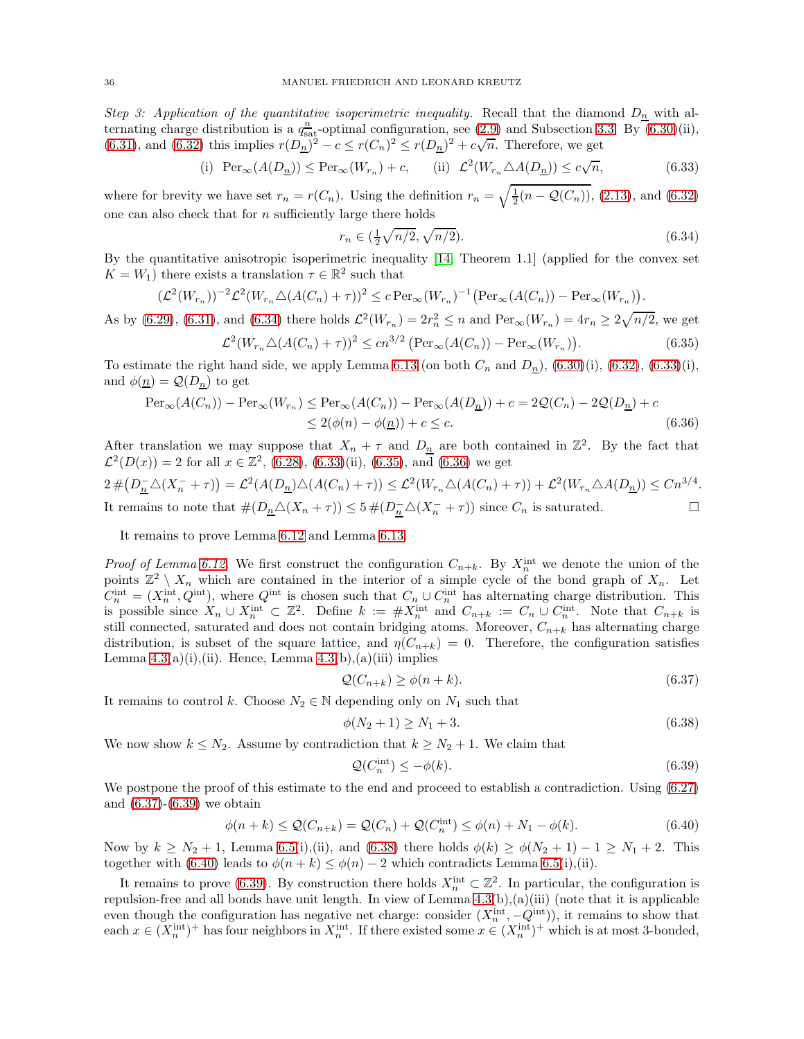Step 3: Application of the quantitative isoperimetric inequality. Recall that the diamond  $D_n$  with alternating charge distribution is a  $q_{\text{sat}}^n$ -optimal configuration, see [\(2.9\)](#page-5-4) and Subsection [3.3.](#page-11-1) By [\(6.30\)](#page-34-4)(ii), [\(6.31\)](#page-34-5), and [\(6.32\)](#page-34-6) this implies  $r(D_n)^2 - c \le r(C_n)^2 \le r(D_n)^2 + c\sqrt{n}$ . Therefore, we get

(i) 
$$
\operatorname{Per}_{\infty}(A(D_{\underline{n}})) \le \operatorname{Per}_{\infty}(W_{r_n}) + c,
$$
 (ii)  $\mathcal{L}^2(W_{r_n} \triangle A(D_{\underline{n}})) \le c\sqrt{n},$  (6.33)

where for brevity we have set  $r_n = r(C_n)$ . Using the definition  $r_n = \sqrt{\frac{1}{2}(n - \mathcal{Q}(C_n))}$ , [\(2.13\)](#page-7-2), and [\(6.32\)](#page-34-6) one can also check that for  $n$  sufficiently large there holds

<span id="page-35-3"></span><span id="page-35-2"></span><span id="page-35-1"></span><span id="page-35-0"></span>
$$
r_n \in (\frac{1}{2}\sqrt{n/2}, \sqrt{n/2}).
$$
\n(6.34)

By the quantitative anisotropic isoperimetric inequality [\[14,](#page-44-34) Theorem 1.1] (applied for the convex set  $K = W_1$ ) there exists a translation  $\tau \in \mathbb{R}^2$  such that

$$
(\mathcal{L}^2(W_{r_n}))^{-2} \mathcal{L}^2(W_{r_n} \triangle (A(C_n) + \tau))^2 \le c \operatorname{Per}_{\infty}(W_{r_n})^{-1} \bigl( \operatorname{Per}_{\infty}(A(C_n)) - \operatorname{Per}_{\infty}(W_{r_n}) \bigr).
$$

As by [\(6.29\)](#page-34-0), [\(6.31\)](#page-34-5), and [\(6.34\)](#page-35-0) there holds  $\mathcal{L}^2(W_{r_n}) = 2r_n^2 \le n$  and  $\text{Per}_{\infty}(W_{r_n}) = 4r_n \ge 2\sqrt{n/2}$ , we get

$$
\mathcal{L}^2(W_{r_n}\triangle(A(C_n)+\tau))^2 \le cn^{3/2} \left( \text{Per}_{\infty}(A(C_n)) - \text{Per}_{\infty}(W_{r_n}) \right). \tag{6.35}
$$

To estimate the right hand side, we apply Lemma [6.13](#page-34-2) (on both  $C_n$  and  $D_n$ ), [\(6.30\)](#page-34-4)(i), [\(6.32\)](#page-34-6), [\(6.33\)](#page-35-1)(i), and  $\phi(\underline{n}) = \mathcal{Q}(D_{\underline{n}})$  to get

$$
\operatorname{Per}_{\infty}(A(C_n)) - \operatorname{Per}_{\infty}(W_{r_n}) \le \operatorname{Per}_{\infty}(A(C_n)) - \operatorname{Per}_{\infty}(A(D_n)) + c = 2\mathcal{Q}(C_n) - 2\mathcal{Q}(D_n) + c
$$
  

$$
\le 2(\phi(n) - \phi(\underline{n})) + c \le c.
$$
 (6.36)

After translation we may suppose that  $X_n + \tau$  and  $D_n$  are both contained in  $\mathbb{Z}^2$ . By the fact that  $\mathcal{L}^2(D(x)) = 2$  for all  $x \in \mathbb{Z}^2$ , [\(6.28\)](#page-34-1), [\(6.33\)](#page-35-1)(ii), [\(6.35\)](#page-35-2), and [\(6.36\)](#page-35-3) we get

$$
2\#(D_{\underline{n}}^-\triangle(X_n^- + \tau)) = \mathcal{L}^2(A(D_{\underline{n}})\triangle(A(C_n) + \tau)) \le \mathcal{L}^2(W_{r_n}\triangle(A(C_n) + \tau)) + \mathcal{L}^2(W_{r_n}\triangle A(D_{\underline{n}})) \le Cn^{3/4}.
$$
  
It remains to note that  $\#(D_{\underline{n}}\triangle(X_n + \tau)) \le 5\#(D_{\underline{n}}^-\triangle(X_n^- + \tau))$  since  $C_n$  is saturated.

It remains to prove Lemma [6.12](#page-34-3) and Lemma [6.13.](#page-34-2)

*Proof of Lemma [6.12.](#page-34-3)* We first construct the configuration  $C_{n+k}$ . By  $X_n^{\text{int}}$  we denote the union of the points  $\mathbb{Z}^2 \setminus X_n$  which are contained in the interior of a simple cycle of the bond graph of  $X_n$ . Let  $C_n^{\text{int}} = (X_n^{\text{int}}, Q^{\text{int}})$ , where  $Q^{\text{int}}$  is chosen such that  $C_n \cup C_n^{\text{int}}$  has alternating charge distribution. This is possible since  $X_n \cup X_n^{\text{int}} \subset \mathbb{Z}^2$ . Define  $k := #X_n^{\text{int}}$  and  $C_{n+k} := C_n \cup C_n^{\text{int}}$ . Note that  $C_{n+k}$  is still connected, saturated and does not contain bridging atoms. Moreover,  $C_{n+k}$  has alternating charge distribution, is subset of the square lattice, and  $\eta(C_{n+k}) = 0$ . Therefore, the configuration satisfies Lemma  $4.3(a)(i),(ii)$ . Hence, Lemma  $4.3(b),(a)(iii)$  implies

<span id="page-35-4"></span>
$$
\mathcal{Q}(C_{n+k}) \ge \phi(n+k). \tag{6.37}
$$

It remains to control k. Choose  $N_2 \in \mathbb{N}$  depending only on  $N_1$  such that

$$
\phi(N_2 + 1) \ge N_1 + 3. \tag{6.38}
$$

We now show  $k \leq N_2$ . Assume by contradiction that  $k \geq N_2 + 1$ . We claim that

<span id="page-35-7"></span><span id="page-35-6"></span><span id="page-35-5"></span>
$$
\mathcal{Q}(C_n^{\text{int}}) \le -\phi(k). \tag{6.39}
$$

We postpone the proof of this estimate to the end and proceed to establish a contradiction. Using  $(6.27)$ and [\(6.37\)](#page-35-4)-[\(6.39\)](#page-35-5) we obtain

$$
\phi(n+k) \le Q(C_{n+k}) = Q(C_n) + Q(C_n^{\text{int}}) \le \phi(n) + N_1 - \phi(k). \tag{6.40}
$$

Now by  $k \ge N_2 + 1$ , Lemma [6.5\(](#page-25-4)i),(ii), and [\(6.38\)](#page-35-6) there holds  $\phi(k) \ge \phi(N_2 + 1) - 1 \ge N_1 + 2$ . This together with [\(6.40\)](#page-35-7) leads to  $\phi(n+k) \leq \phi(n) - 2$  which contradicts Lemma [6.5\(](#page-25-4)i),(ii).

It remains to prove [\(6.39\)](#page-35-5). By construction there holds  $X_n^{\text{int}} \subset \mathbb{Z}^2$ . In particular, the configuration is repulsion-free and all bonds have unit length. In view of Lemma [4.3\(](#page-14-0)b),(a)(iii) (note that it is applicable even though the configuration has negative net charge: consider  $(X_n^{\text{int}}, -Q^{\text{int}})$ ), it remains to show that each  $x \in (X_n^{\text{int}})^+$  has four neighbors in  $X_n^{\text{int}}$ . If there existed some  $x \in (X_n^{\text{int}})^+$  which is at most 3-bonded,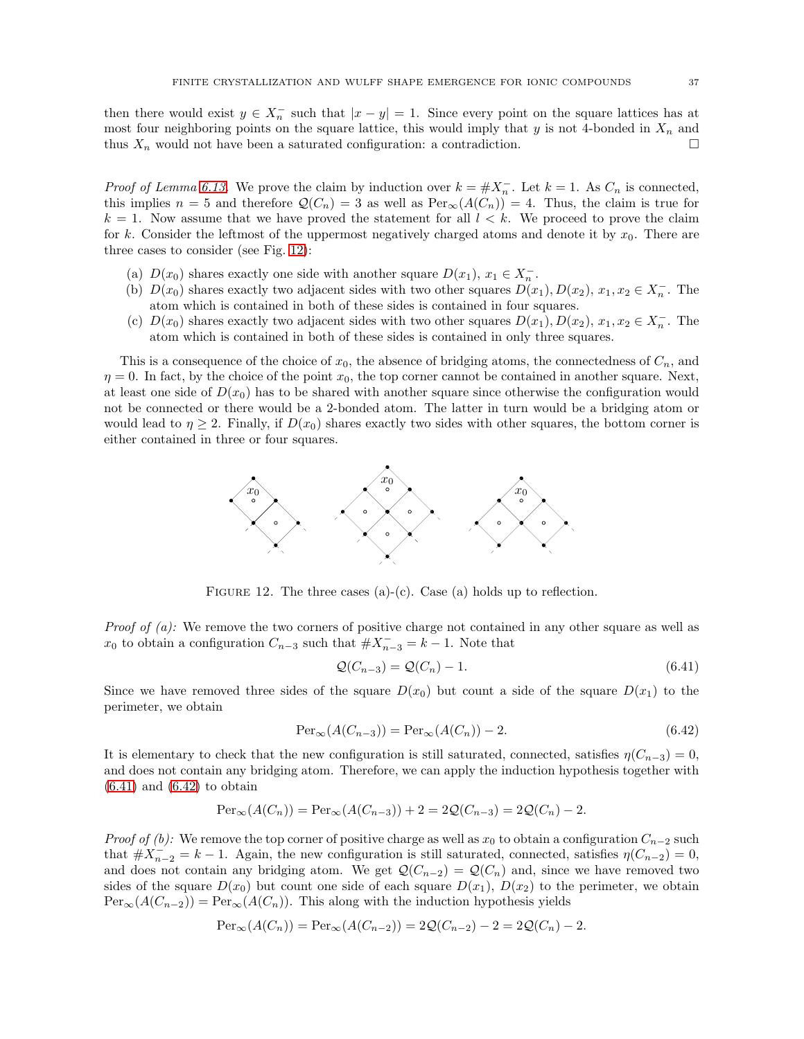then there would exist  $y \in X_n^-$  such that  $|x - y| = 1$ . Since every point on the square lattices has at most four neighboring points on the square lattice, this would imply that  $y$  is not 4-bonded in  $X_n$  and thus  $X_n$  would not have been a saturated configuration: a contradiction.

*Proof of Lemma [6.13.](#page-34-2)* We prove the claim by induction over  $k = #X_n^-$ . Let  $k = 1$ . As  $C_n$  is connected, this implies  $n = 5$  and therefore  $\mathcal{Q}(C_n) = 3$  as well as  $\text{Per}_{\infty}(A(C_n)) = 4$ . Thus, the claim is true for  $k = 1$ . Now assume that we have proved the statement for all  $l < k$ . We proceed to prove the claim for k. Consider the leftmost of the uppermost negatively charged atoms and denote it by  $x_0$ . There are three cases to consider (see Fig. [12\)](#page-36-0):

- (a)  $D(x_0)$  shares exactly one side with another square  $D(x_1)$ ,  $x_1 \in X_n^-$ .
- (b)  $D(x_0)$  shares exactly two adjacent sides with two other squares  $D(x_1), D(x_2), x_1, x_2 \in X_n^-$ . The atom which is contained in both of these sides is contained in four squares.
- (c)  $D(x_0)$  shares exactly two adjacent sides with two other squares  $D(x_1)$ ,  $D(x_2)$ ,  $x_1, x_2 \in X_n^-$ . The atom which is contained in both of these sides is contained in only three squares.

This is a consequence of the choice of  $x_0$ , the absence of bridging atoms, the connectedness of  $C_n$ , and  $\eta = 0$ . In fact, by the choice of the point  $x_0$ , the top corner cannot be contained in another square. Next, at least one side of  $D(x_0)$  has to be shared with another square since otherwise the configuration would not be connected or there would be a 2-bonded atom. The latter in turn would be a bridging atom or would lead to  $\eta \geq 2$ . Finally, if  $D(x_0)$  shares exactly two sides with other squares, the bottom corner is either contained in three or four squares.



<span id="page-36-0"></span>FIGURE 12. The three cases (a)-(c). Case (a) holds up to reflection.

*Proof of (a):* We remove the two corners of positive charge not contained in any other square as well as  $x_0$  to obtain a configuration  $C_{n-3}$  such that  $\#X_{n-3}^- = k - 1$ . Note that

<span id="page-36-2"></span><span id="page-36-1"></span>
$$
Q(C_{n-3}) = Q(C_n) - 1.
$$
\n(6.41)

Since we have removed three sides of the square  $D(x_0)$  but count a side of the square  $D(x_1)$  to the perimeter, we obtain

$$
\operatorname{Per}_{\infty}(A(C_{n-3})) = \operatorname{Per}_{\infty}(A(C_n)) - 2. \tag{6.42}
$$

It is elementary to check that the new configuration is still saturated, connected, satisfies  $\eta(C_{n-3}) = 0$ , and does not contain any bridging atom. Therefore, we can apply the induction hypothesis together with  $(6.41)$  and  $(6.42)$  to obtain

$$
\text{Per}_{\infty}(A(C_n)) = \text{Per}_{\infty}(A(C_{n-3})) + 2 = 2\mathcal{Q}(C_{n-3}) = 2\mathcal{Q}(C_n) - 2.
$$

Proof of (b): We remove the top corner of positive charge as well as  $x_0$  to obtain a configuration  $C_{n-2}$  such that  $#X_{n-2}^- = k - 1$ . Again, the new configuration is still saturated, connected, satisfies  $\eta(C_{n-2}) = 0$ , and does not contain any bridging atom. We get  $\mathcal{Q}(C_{n-2}) = \mathcal{Q}(C_n)$  and, since we have removed two sides of the square  $D(x_0)$  but count one side of each square  $D(x_1)$ ,  $D(x_2)$  to the perimeter, we obtain  $\text{Per}_{\infty}(A(C_{n-2})) = \text{Per}_{\infty}(A(C_n)).$  This along with the induction hypothesis yields

$$
Per_{\infty}(A(C_n)) = Per_{\infty}(A(C_{n-2})) = 2Q(C_{n-2}) - 2 = 2Q(C_n) - 2.
$$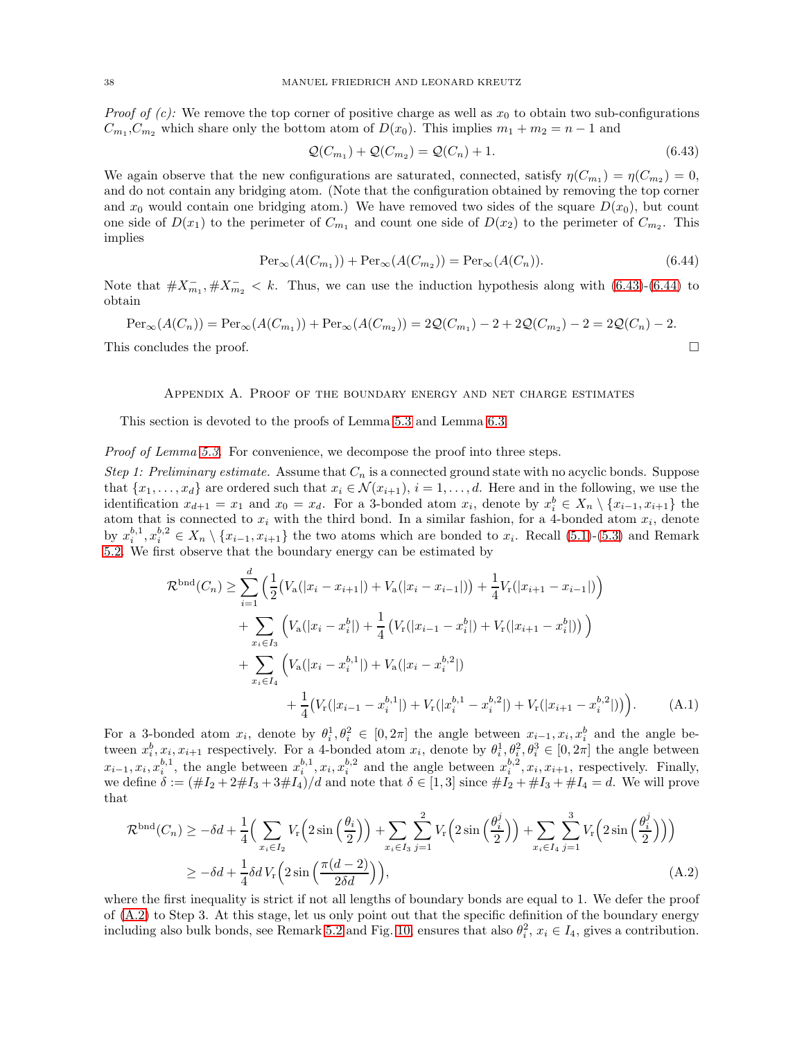*Proof of (c):* We remove the top corner of positive charge as well as  $x_0$  to obtain two sub-configurations  $C_{m_1}, C_{m_2}$  which share only the bottom atom of  $D(x_0)$ . This implies  $m_1 + m_2 = n - 1$  and

<span id="page-37-2"></span><span id="page-37-1"></span>
$$
\mathcal{Q}(C_{m_1}) + \mathcal{Q}(C_{m_2}) = \mathcal{Q}(C_n) + 1.
$$
\n(6.43)

We again observe that the new configurations are saturated, connected, satisfy  $\eta(C_{m_1}) = \eta(C_{m_2}) = 0$ , and do not contain any bridging atom. (Note that the configuration obtained by removing the top corner and  $x_0$  would contain one bridging atom.) We have removed two sides of the square  $D(x_0)$ , but count one side of  $D(x_1)$  to the perimeter of  $C_{m_1}$  and count one side of  $D(x_2)$  to the perimeter of  $C_{m_2}$ . This implies

$$
\operatorname{Per}_{\infty}(A(C_{m_1})) + \operatorname{Per}_{\infty}(A(C_{m_2})) = \operatorname{Per}_{\infty}(A(C_n)).
$$
\n(6.44)

Note that  $\#X_{m_1}^-$ ,  $\#X_{m_2}^-$  < k. Thus, we can use the induction hypothesis along with [\(6.43\)](#page-37-1)-[\(6.44\)](#page-37-2) to obtain

<span id="page-37-0"></span>
$$
\operatorname{Per}_{\infty}(A(C_n)) = \operatorname{Per}_{\infty}(A(C_{m_1})) + \operatorname{Per}_{\infty}(A(C_{m_2})) = 2\mathcal{Q}(C_{m_1}) - 2 + 2\mathcal{Q}(C_{m_2}) - 2 = 2\mathcal{Q}(C_n) - 2.
$$
  
This concludes the proof.

### Appendix A. Proof of the boundary energy and net charge estimates

This section is devoted to the proofs of Lemma [5.3](#page-16-0) and Lemma [6.3.](#page-24-1)

## Proof of Lemma [5.3.](#page-16-0) For convenience, we decompose the proof into three steps.

Step 1: Preliminary estimate. Assume that  $C_n$  is a connected ground state with no acyclic bonds. Suppose that  $\{x_1, \ldots, x_d\}$  are ordered such that  $x_i \in \mathcal{N}(x_{i+1}), i = 1, \ldots, d$ . Here and in the following, we use the identification  $x_{d+1} = x_1$  and  $x_0 = x_d$ . For a 3-bonded atom  $x_i$ , denote by  $x_i^b \in X_n \setminus \{x_{i-1}, x_{i+1}\}\)$  the atom that is connected to  $x_i$  with the third bond. In a similar fashion, for a 4-bonded atom  $x_i$ , denote by  $x_i^{b,1}, x_i^{b,2} \in X_n \setminus \{x_{i-1}, x_{i+1}\}\$  the two atoms which are bonded to  $x_i$ . Recall [\(5.1\)](#page-15-6)-[\(5.3\)](#page-15-3) and Remark [5.2.](#page-15-0) We first observe that the boundary energy can be estimated by

<span id="page-37-4"></span>
$$
\mathcal{R}^{\text{bnd}}(C_n) \geq \sum_{i=1}^d \left( \frac{1}{2} \left( V_a(|x_i - x_{i+1}|) + V_a(|x_i - x_{i-1}|) \right) + \frac{1}{4} V_r(|x_{i+1} - x_{i-1}|) \right) \n+ \sum_{x_i \in I_3} \left( V_a(|x_i - x_i^b|) + \frac{1}{4} \left( V_r(|x_{i-1} - x_i^b|) + V_r(|x_{i+1} - x_i^b|) \right) \right) \n+ \sum_{x_i \in I_4} \left( V_a(|x_i - x_i^{b,1}|) + V_a(|x_i - x_i^{b,2}|) \n+ \frac{1}{4} \left( V_r(|x_{i-1} - x_i^{b,1}|) + V_r(|x_i^b - x_i^{b,2}|) + V_r(|x_{i+1} - x_i^{b,2}|) \right) \right).
$$
\n(A.1)

For a 3-bonded atom  $x_i$ , denote by  $\theta_i^1, \theta_i^2 \in [0, 2\pi]$  the angle between  $x_{i-1}, x_i, x_i^b$  and the angle between  $x_i^b, x_i, x_{i+1}$  respectively. For a 4-bonded atom  $x_i$ , denote by  $\theta_i^1, \theta_i^2, \theta_i^3 \in [0, 2\pi]$  the angle between  $x_{i-1}, x_i, x_i^{b,1}$ , the angle between  $x_i^{b,1}, x_i, x_i^{b,2}$  and the angle between  $x_i^{b,2}, x_i, x_{i+1}$ , respectively. Finally, we define  $\delta := (\#I_2 + 2\#I_3 + 3\#I_4)/d$  and note that  $\delta \in [1,3]$  since  $\#I_2 + \#I_3 + \#I_4 = d$ . We will prove that

<span id="page-37-3"></span>
$$
\mathcal{R}^{\text{bnd}}(C_n) \ge -\delta d + \frac{1}{4} \Big( \sum_{x_i \in I_2} V_r \Big( 2 \sin \Big( \frac{\theta_i}{2} \Big) \Big) + \sum_{x_i \in I_3} \sum_{j=1}^2 V_r \Big( 2 \sin \Big( \frac{\theta_i^j}{2} \Big) \Big) + \sum_{x_i \in I_4} \sum_{j=1}^3 V_r \Big( 2 \sin \Big( \frac{\theta_i^j}{2} \Big) \Big) \Big) \ge -\delta d + \frac{1}{4} \delta d V_r \Big( 2 \sin \Big( \frac{\pi (d-2)}{2 \delta d} \Big) \Big),
$$
\n(A.2)

where the first inequality is strict if not all lengths of boundary bonds are equal to 1. We defer the proof of [\(A.2\)](#page-37-3) to Step 3. At this stage, let us only point out that the specific definition of the boundary energy including also bulk bonds, see Remark [5.2](#page-15-0) and Fig. [10,](#page-16-1) ensures that also  $\theta_i^2$ ,  $x_i \in I_4$ , gives a contribution.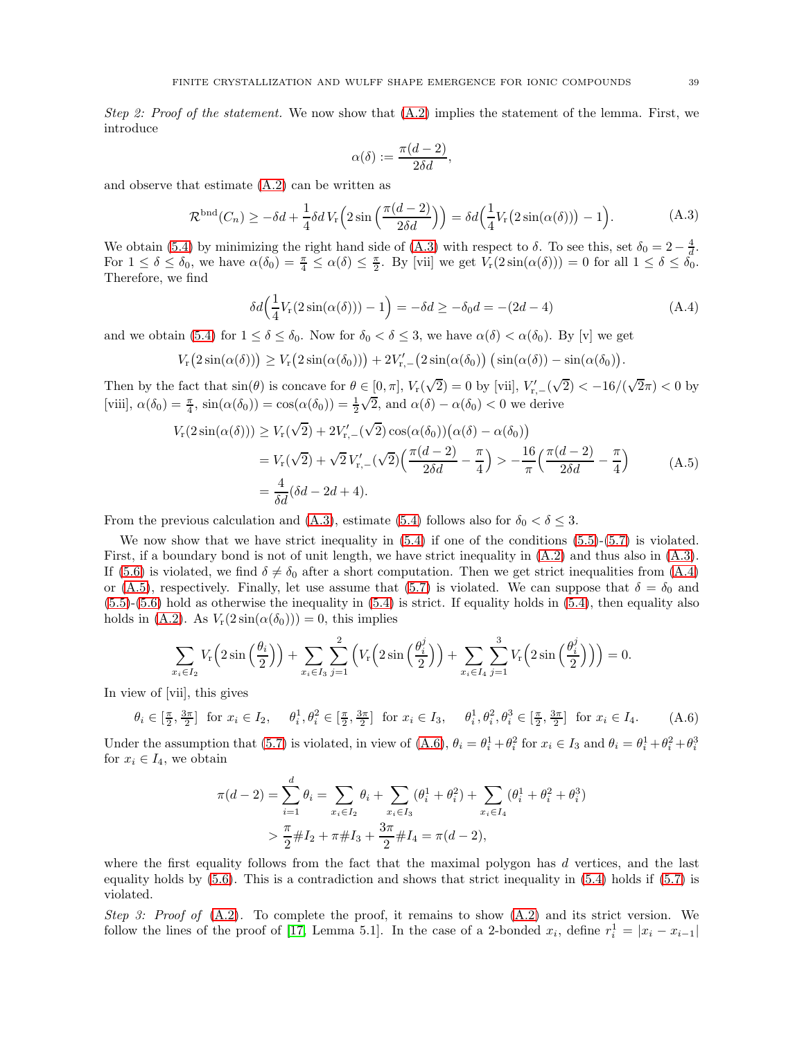Step 2: Proof of the statement. We now show that  $(A.2)$  implies the statement of the lemma. First, we introduce

<span id="page-38-2"></span><span id="page-38-1"></span><span id="page-38-0"></span>
$$
\alpha(\delta):=\frac{\pi(d-2)}{2\delta d},
$$

and observe that estimate [\(A.2\)](#page-37-3) can be written as

$$
\mathcal{R}^{\text{bnd}}(C_n) \ge -\delta d + \frac{1}{4}\delta d V_{\text{r}}\left(2\sin\left(\frac{\pi(d-2)}{2\delta d}\right)\right) = \delta d\left(\frac{1}{4}V_{\text{r}}(2\sin(\alpha(\delta))) - 1\right). \tag{A.3}
$$

We obtain [\(5.4\)](#page-16-2) by minimizing the right hand side of [\(A.3\)](#page-38-0) with respect to  $\delta$ . To see this, set  $\delta_0 = 2 - \frac{4}{d}$ . For  $1 \leq \delta \leq \delta_0$ , we have  $\alpha(\delta_0) = \frac{\pi}{4} \leq \alpha(\delta) \leq \frac{\pi}{2}$ . By [vii] we get  $V_r(2\sin(\alpha(\delta))) = 0$  for all  $1 \leq \delta \leq \delta_0$ . Therefore, we find

$$
\delta d\left(\frac{1}{4}V_{r}(2\sin(\alpha(\delta)))-1\right) = -\delta d \ge -\delta_0 d = -(2d-4)
$$
\n(A.4)

and we obtain [\(5.4\)](#page-16-2) for  $1 \le \delta \le \delta_0$ . Now for  $\delta_0 < \delta \le 3$ , we have  $\alpha(\delta) < \alpha(\delta_0)$ . By [v] we get

$$
V_{\rm r}(2\sin(\alpha(\delta))) \geq V_{\rm r}(2\sin(\alpha(\delta_0))) + 2V_{\rm r,-}'(2\sin(\alpha(\delta_0))(\sin(\alpha(\delta)) - \sin(\alpha(\delta_0))).
$$

Then by the fact that  $\sin(\theta)$  is concave for  $\theta \in [0, \pi]$ ,  $V_r(\sqrt{2}) = 0$  by [vii],  $V'_{r,-}(\sqrt{2}) < -16/(\sqrt{2}\pi) < 0$  by [viii],  $\alpha(\delta_0) = \frac{\pi}{4}$ ,  $\sin(\alpha(\delta_0)) = \cos(\alpha(\delta_0)) = \frac{1}{2}\sqrt{2}$ , and  $\alpha(\delta) - \alpha(\delta_0) < 0$  we derive

$$
V_{\rm r}(2\sin(\alpha(\delta))) \ge V_{\rm r}(\sqrt{2}) + 2V'_{\rm r,-}(\sqrt{2})\cos(\alpha(\delta_0))(\alpha(\delta) - \alpha(\delta_0))
$$
  
=  $V_{\rm r}(\sqrt{2}) + \sqrt{2}V'_{\rm r,-}(\sqrt{2})\left(\frac{\pi(d-2)}{2\delta d} - \frac{\pi}{4}\right) > -\frac{16}{\pi}\left(\frac{\pi(d-2)}{2\delta d} - \frac{\pi}{4}\right)$  (A.5)  
=  $\frac{4}{\delta d}(\delta d - 2d + 4).$ 

From the previous calculation and [\(A.3\)](#page-38-0), estimate [\(5.4\)](#page-16-2) follows also for  $\delta_0 < \delta \leq 3$ .

We now show that we have strict inequality in  $(5.4)$  if one of the conditions  $(5.5)-(5.7)$  $(5.5)-(5.7)$  is violated. First, if a boundary bond is not of unit length, we have strict inequality in [\(A.2\)](#page-37-3) and thus also in [\(A.3\)](#page-38-0). If [\(5.6\)](#page-16-3) is violated, we find  $\delta \neq \delta_0$  after a short computation. Then we get strict inequalities from [\(A.4\)](#page-38-1) or [\(A.5\)](#page-38-2), respectively. Finally, let use assume that [\(5.7\)](#page-16-4) is violated. We can suppose that  $\delta = \delta_0$  and  $(5.5)-(5.6)$  $(5.5)-(5.6)$  $(5.5)-(5.6)$  hold as otherwise the inequality in  $(5.4)$  is strict. If equality holds in  $(5.4)$ , then equality also holds in [\(A.2\)](#page-37-3). As  $V_r(2\sin(\alpha(\delta_0))) = 0$ , this implies

$$
\sum_{z_i \in I_2} V_{\rm r}\left(2\sin\left(\frac{\theta_i}{2}\right)\right) + \sum_{x_i \in I_3} \sum_{j=1}^2 \left(V_{\rm r}\left(2\sin\left(\frac{\theta_i^j}{2}\right)\right) + \sum_{x_i \in I_4} \sum_{j=1}^3 V_{\rm r}\left(2\sin\left(\frac{\theta_i^j}{2}\right)\right)\right) = 0.
$$

 $\overline{x}$ In view of [vii], this gives

$$
\theta_i \in [\frac{\pi}{2}, \frac{3\pi}{2}] \text{ for } x_i \in I_2, \quad \theta_i^1, \theta_i^2 \in [\frac{\pi}{2}, \frac{3\pi}{2}] \text{ for } x_i \in I_3, \quad \theta_i^1, \theta_i^2, \theta_i^3 \in [\frac{\pi}{2}, \frac{3\pi}{2}] \text{ for } x_i \in I_4.
$$
 (A.6)

Under the assumption that [\(5.7\)](#page-16-4) is violated, in view of [\(A.6\)](#page-38-3),  $\theta_i = \theta_i^1 + \theta_i^2$  for  $x_i \in I_3$  and  $\theta_i = \theta_i^1 + \theta_i^2 + \theta_i^3$ for  $x_i \in I_4$ , we obtain

<span id="page-38-3"></span>
$$
\pi(d-2) = \sum_{i=1}^{d} \theta_i = \sum_{x_i \in I_2} \theta_i + \sum_{x_i \in I_3} (\theta_i^1 + \theta_i^2) + \sum_{x_i \in I_4} (\theta_i^1 + \theta_i^2 + \theta_i^3)
$$
  
> 
$$
\frac{\pi}{2} \# I_2 + \pi \# I_3 + \frac{3\pi}{2} \# I_4 = \pi(d-2),
$$

where the first equality follows from the fact that the maximal polygon has  $d$  vertices, and the last equality holds by [\(5.6\)](#page-16-3). This is a contradiction and shows that strict inequality in [\(5.4\)](#page-16-2) holds if [\(5.7\)](#page-16-4) is violated.

Step 3: Proof of  $(A.2)$ . To complete the proof, it remains to show  $(A.2)$  and its strict version. We follow the lines of the proof of [\[17,](#page-44-25) Lemma 5.1]. In the case of a 2-bonded  $x_i$ , define  $r_i^1 = |x_i - x_{i-1}|$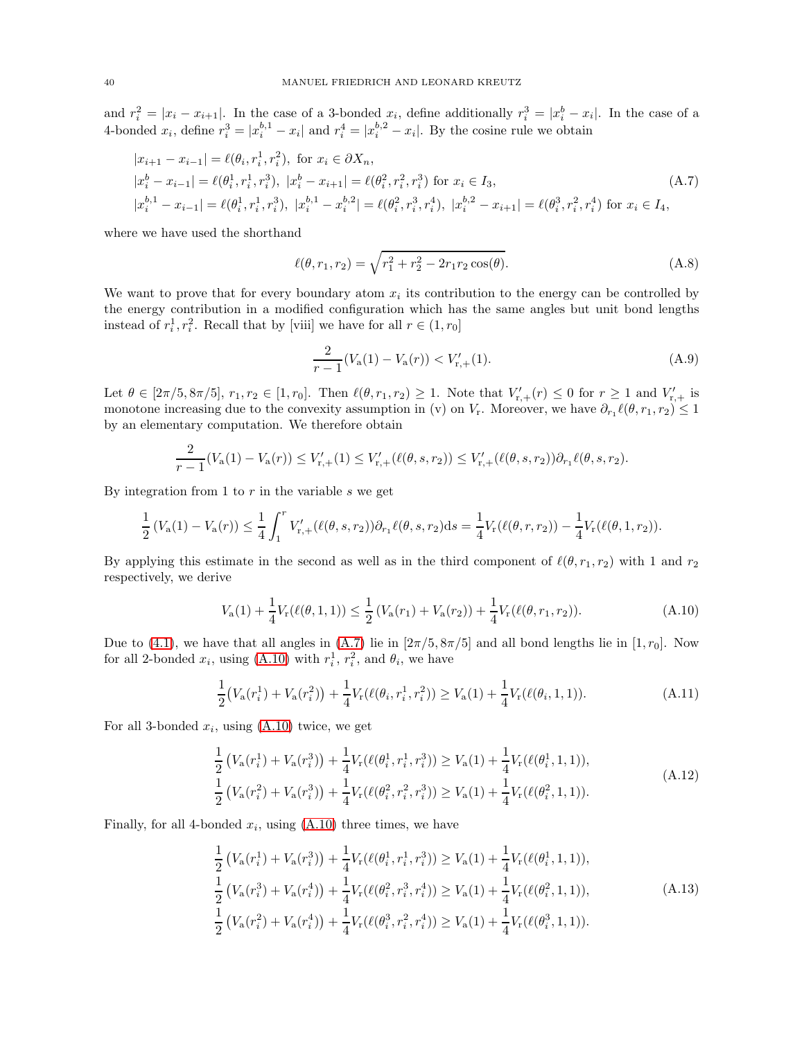and  $r_i^2 = |x_i - x_{i+1}|$ . In the case of a 3-bonded  $x_i$ , define additionally  $r_i^3 = |x_i^b - x_i|$ . In the case of a 4-bonded  $x_i$ , define  $r_i^3 = |x_i^{b,1} - x_i|$  and  $r_i^4 = |x_i^{b,2} - x_i|$ . By the cosine rule we obtain

$$
|x_{i+1} - x_{i-1}| = \ell(\theta_i, r_i^1, r_i^2), \text{ for } x_i \in \partial X_n,
$$
  
\n
$$
|x_i^b - x_{i-1}| = \ell(\theta_i^1, r_i^1, r_i^3), |x_i^b - x_{i+1}| = \ell(\theta_i^2, r_i^2, r_i^3) \text{ for } x_i \in I_3,
$$
  
\n
$$
|x_i^{b,1} - x_{i-1}| = \ell(\theta_i^1, r_i^1, r_i^3), |x_i^{b,1} - x_i^{b,2}| = \ell(\theta_i^2, r_i^3, r_i^4), |x_i^{b,2} - x_{i+1}| = \ell(\theta_i^3, r_i^2, r_i^4) \text{ for } x_i \in I_4,
$$
\n(A.7)

where we have used the shorthand

<span id="page-39-0"></span>
$$
\ell(\theta, r_1, r_2) = \sqrt{r_1^2 + r_2^2 - 2r_1r_2\cos(\theta)}.
$$
\n(A.8)

We want to prove that for every boundary atom  $x_i$  its contribution to the energy can be controlled by the energy contribution in a modified configuration which has the same angles but unit bond lengths instead of  $r_i^1, r_i^2$ . Recall that by [viii] we have for all  $r \in (1, r_0]$ 

<span id="page-39-5"></span><span id="page-39-4"></span><span id="page-39-1"></span>
$$
\frac{2}{r-1}(V_{\rm a}(1) - V_{\rm a}(r)) < V'_{\rm r,+}(1). \tag{A.9}
$$

Let  $\theta \in [2\pi/5, 8\pi/5], r_1, r_2 \in [1, r_0]$ . Then  $\ell(\theta, r_1, r_2) \geq 1$ . Note that  $V'_{r,+}(r) \leq 0$  for  $r \geq 1$  and  $V'_{r,+}$  is monotone increasing due to the convexity assumption in (v) on  $V_r$ . Moreover, we have  $\partial_{r_1} \ell(\theta, r_1, r_2) \leq 1$ by an elementary computation. We therefore obtain

$$
\frac{2}{r-1}(V_a(1) - V_a(r)) \leq V'_{r,+}(1) \leq V'_{r,+}(\ell(\theta, s, r_2)) \leq V'_{r,+}(\ell(\theta, s, r_2))\partial_{r_1}\ell(\theta, s, r_2).
$$

By integration from 1 to  $r$  in the variable  $s$  we get

$$
\frac{1}{2}\left(V_a(1) - V_a(r)\right) \le \frac{1}{4} \int_1^r V'_{r,+}(\ell(\theta, s, r_2)) \partial_{r_1} \ell(\theta, s, r_2) ds = \frac{1}{4} V_r(\ell(\theta, r, r_2)) - \frac{1}{4} V_r(\ell(\theta, 1, r_2)).
$$

By applying this estimate in the second as well as in the third component of  $\ell(\theta, r_1, r_2)$  with 1 and  $r_2$ respectively, we derive

$$
V_{\mathbf{a}}(1) + \frac{1}{4} V_{\mathbf{r}}(\ell(\theta, 1, 1)) \le \frac{1}{2} \left( V_{\mathbf{a}}(r_1) + V_{\mathbf{a}}(r_2) \right) + \frac{1}{4} V_{\mathbf{r}}(\ell(\theta, r_1, r_2)).
$$
\n(A.10)

Due to [\(4.1\)](#page-12-3), we have that all angles in [\(A.7\)](#page-39-0) lie in  $[2\pi/5, 8\pi/5]$  and all bond lengths lie in  $[1, r_0]$ . Now for all 2-bonded  $x_i$ , using [\(A.10\)](#page-39-1) with  $r_i^1$ ,  $r_i^2$ , and  $\theta_i$ , we have

<span id="page-39-2"></span>
$$
\frac{1}{2}\big(V_a(r_i^1) + V_a(r_i^2)\big) + \frac{1}{4}V_r(\ell(\theta_i, r_i^1, r_i^2)) \ge V_a(1) + \frac{1}{4}V_r(\ell(\theta_i, 1, 1)).\tag{A.11}
$$

For all 3-bonded  $x_i$ , using  $(A.10)$  twice, we get

$$
\frac{1}{2} \left( V_{\mathbf{a}}(r_i^1) + V_{\mathbf{a}}(r_i^3) \right) + \frac{1}{4} V_{\mathbf{r}}(\ell(\theta_i^1, r_i^1, r_i^3)) \ge V_{\mathbf{a}}(1) + \frac{1}{4} V_{\mathbf{r}}(\ell(\theta_i^1, 1, 1)),
$$
\n
$$
\frac{1}{2} \left( V_{\mathbf{a}}(r_i^2) + V_{\mathbf{a}}(r_i^3) \right) + \frac{1}{4} V_{\mathbf{r}}(\ell(\theta_i^2, r_i^2, r_i^3)) \ge V_{\mathbf{a}}(1) + \frac{1}{4} V_{\mathbf{r}}(\ell(\theta_i^2, 1, 1)).
$$
\n(A.12)

Finally, for all 4-bonded  $x_i$ , using  $(A.10)$  three times, we have

<span id="page-39-3"></span>
$$
\frac{1}{2} \left( V_{\mathbf{a}}(r_{i}^{1}) + V_{\mathbf{a}}(r_{i}^{3}) \right) + \frac{1}{4} V_{\mathbf{r}}(\ell(\theta_{i}^{1}, r_{i}^{1}, r_{i}^{3})) \geq V_{\mathbf{a}}(1) + \frac{1}{4} V_{\mathbf{r}}(\ell(\theta_{i}^{1}, 1, 1)),
$$
\n
$$
\frac{1}{2} \left( V_{\mathbf{a}}(r_{i}^{3}) + V_{\mathbf{a}}(r_{i}^{4}) \right) + \frac{1}{4} V_{\mathbf{r}}(\ell(\theta_{i}^{2}, r_{i}^{3}, r_{i}^{4})) \geq V_{\mathbf{a}}(1) + \frac{1}{4} V_{\mathbf{r}}(\ell(\theta_{i}^{2}, 1, 1)),
$$
\n
$$
\frac{1}{2} \left( V_{\mathbf{a}}(r_{i}^{2}) + V_{\mathbf{a}}(r_{i}^{4}) \right) + \frac{1}{4} V_{\mathbf{r}}(\ell(\theta_{i}^{3}, r_{i}^{2}, r_{i}^{4})) \geq V_{\mathbf{a}}(1) + \frac{1}{4} V_{\mathbf{r}}(\ell(\theta_{i}^{3}, 1, 1)).
$$
\n(A.13)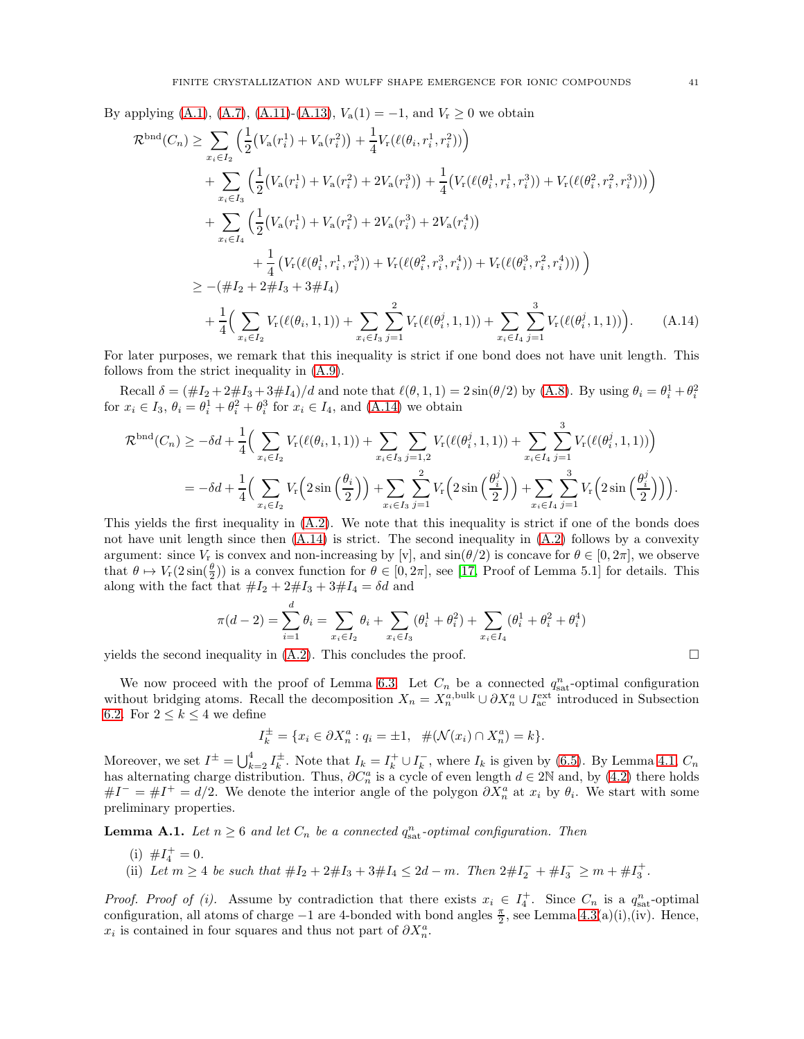By applying [\(A.1\)](#page-37-4), [\(A.7\)](#page-39-0), [\(A.11\)](#page-39-2)-[\(A.13\)](#page-39-3),  $V_a(1) = -1$ , and  $V_r \ge 0$  we obtain

$$
\mathcal{R}^{\text{bnd}}(C_{n}) \geq \sum_{x_{i} \in I_{2}} \left( \frac{1}{2} \left( V_{\mathbf{a}}(r_{i}^{1}) + V_{\mathbf{a}}(r_{i}^{2}) \right) + \frac{1}{4} V_{\mathbf{r}}(\ell(\theta_{i}, r_{i}^{1}, r_{i}^{2})) \right) \n+ \sum_{x_{i} \in I_{3}} \left( \frac{1}{2} \left( V_{\mathbf{a}}(r_{i}^{1}) + V_{\mathbf{a}}(r_{i}^{2}) + 2V_{\mathbf{a}}(r_{i}^{3}) \right) + \frac{1}{4} \left( V_{\mathbf{r}}(\ell(\theta_{i}^{1}, r_{i}^{1}, r_{i}^{3})) + V_{\mathbf{r}}(\ell(\theta_{i}^{2}, r_{i}^{2}, r_{i}^{3})) \right) \right) \n+ \sum_{x_{i} \in I_{4}} \left( \frac{1}{2} \left( V_{\mathbf{a}}(r_{i}^{1}) + V_{\mathbf{a}}(r_{i}^{2}) + 2V_{\mathbf{a}}(r_{i}^{3}) + 2V_{\mathbf{a}}(r_{i}^{4}) \right) \n+ \frac{1}{4} \left( V_{\mathbf{r}}(\ell(\theta_{i}^{1}, r_{i}^{1}, r_{i}^{3})) + V_{\mathbf{r}}(\ell(\theta_{i}^{2}, r_{i}^{3}, r_{i}^{4})) + V_{\mathbf{r}}(\ell(\theta_{i}^{3}, r_{i}^{2}, r_{i}^{4})) \right) \right) \n\geq -(\#I_{2} + 2 \#I_{3} + 3 \#I_{4}) \n+ \frac{1}{4} \left( \sum_{x_{i} \in I_{2}} V_{\mathbf{r}}(\ell(\theta_{i}, 1, 1)) + \sum_{x_{i} \in I_{3}} \sum_{j=1}^{2} V_{\mathbf{r}}(\ell(\theta_{i}^{j}, 1, 1)) + \sum_{x_{i} \in I_{4}} \sum_{j=1}^{3} V_{\mathbf{r}}(\ell(\theta_{i}^{j}, 1, 1)) \right).
$$
\n(A.14)

For later purposes, we remark that this inequality is strict if one bond does not have unit length. This follows from the strict inequality in [\(A.9\)](#page-39-4).

Recall  $\delta = (\#I_2 + 2\#I_3 + 3\#I_4)/d$  and note that  $\ell(\theta, 1, 1) = 2\sin(\theta/2)$  by [\(A.8\)](#page-39-5). By using  $\theta_i = \theta_i^1 + \theta_i^2$ for  $x_i \in I_3$ ,  $\theta_i = \theta_i^1 + \theta_i^2 + \theta_i^3$  for  $x_i \in I_4$ , and  $(A.14)$  we obtain

$$
\mathcal{R}^{\text{bnd}}(C_n) \ge -\delta d + \frac{1}{4} \Big( \sum_{x_i \in I_2} V_r(\ell(\theta_i, 1, 1)) + \sum_{x_i \in I_3} \sum_{j=1,2} V_r(\ell(\theta_i^j, 1, 1)) + \sum_{x_i \in I_4} \sum_{j=1}^3 V_r(\ell(\theta_i^j, 1, 1)) \Big)
$$
  
=  $-\delta d + \frac{1}{4} \Big( \sum_{x_i \in I_2} V_r\Big(2 \sin\left(\frac{\theta_i}{2}\right)\Big) + \sum_{x_i \in I_3} \sum_{j=1}^2 V_r\Big(2 \sin\left(\frac{\theta_i^j}{2}\right)\Big) + \sum_{x_i \in I_4} \sum_{j=1}^3 V_r\Big(2 \sin\left(\frac{\theta_i^j}{2}\right)\Big) \Big).$ 

This yields the first inequality in  $(A.2)$ . We note that this inequality is strict if one of the bonds does not have unit length since then [\(A.14\)](#page-40-0) is strict. The second inequality in [\(A.2\)](#page-37-3) follows by a convexity argument: since  $V_r$  is convex and non-increasing by [v], and  $sin(\theta/2)$  is concave for  $\theta \in [0, 2\pi]$ , we observe that  $\theta \mapsto V_r(2\sin(\frac{\theta}{2}))$  is a convex function for  $\theta \in [0, 2\pi]$ , see [\[17,](#page-44-25) Proof of Lemma 5.1] for details. This along with the fact that  $#I_2 + 2\#I_3 + 3\#I_4 = \delta d$  and

<span id="page-40-0"></span>
$$
\pi(d-2) = \sum_{i=1}^d \theta_i = \sum_{x_i \in I_2} \theta_i + \sum_{x_i \in I_3} (\theta_i^1 + \theta_i^2) + \sum_{x_i \in I_4} (\theta_i^1 + \theta_i^2 + \theta_i^4)
$$

yields the second inequality in  $(A.2)$ . This concludes the proof.

We now proceed with the proof of Lemma [6.3.](#page-24-1) Let  $C_n$  be a connected  $q_{\text{sat}}^n$ -optimal configuration without bridging atoms. Recall the decomposition  $X_n = X_n^{a,\text{bulk}} \cup \partial X_n^a \cup I_{\text{ac}}^{\text{ext}}$  introduced in Subsection [6.2.](#page-23-4) For  $2 \leq k \leq 4$  we define

$$
I_k^{\pm} = \{ x_i \in \partial X_n^a : q_i = \pm 1, \ \#(\mathcal{N}(x_i) \cap X_n^a) = k \}.
$$

Moreover, we set  $I^{\pm} = \bigcup_{k=2}^{4} I_k^{\pm}$ . Note that  $I_k = I_k^+ \cup I_k^-$ , where  $I_k$  is given by [\(6.5\)](#page-24-3). By Lemma [4.1,](#page-12-5)  $C_n$ has alternating charge distribution. Thus,  $\partial C_n^a$  is a cycle of even length  $d \in 2\mathbb{N}$  and, by [\(4.2\)](#page-12-4) there holds  $\#I^- = \#I^+ = d/2$ . We denote the interior angle of the polygon  $\partial X_n^a$  at  $x_i$  by  $\theta_i$ . We start with some preliminary properties.

<span id="page-40-1"></span>**Lemma A.1.** Let  $n \geq 6$  and let  $C_n$  be a connected  $q_{\text{sat}}^n$ -optimal configuration. Then

- (i)  $\#I_4^+=0.$
- (ii) Let  $m \geq 4$  be such that  $\#I_2 + 2\#I_3 + 3\#I_4 \leq 2d m$ . Then  $2\#I_2^- + \#I_3^- \geq m + \#I_3^+$ .

*Proof. Proof of (i).* Assume by contradiction that there exists  $x_i \in I_4^+$ . Since  $C_n$  is a  $q_{\text{sat}}^n$ -optimal configuration, all atoms of charge  $-1$  are 4-bonded with bond angles  $\frac{\pi}{2}$ , see Lemma [4.3\(](#page-14-0)a)(i),(iv). Hence,  $x_i$  is contained in four squares and thus not part of  $\partial X_n^a$ .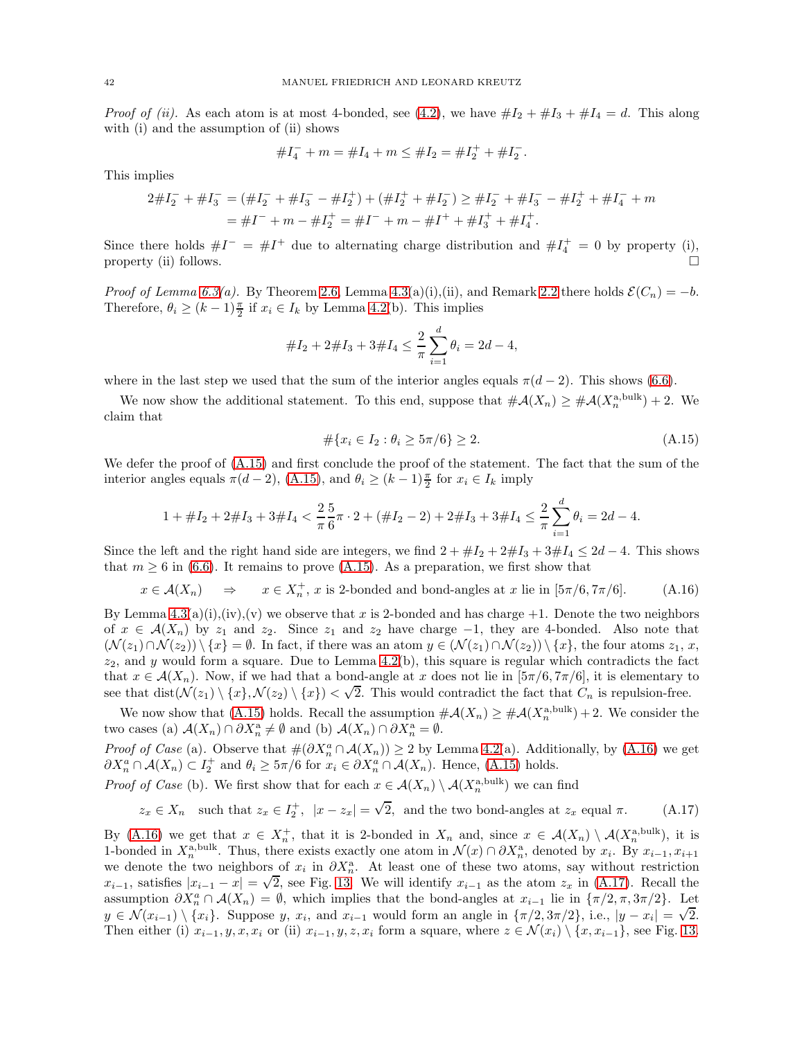*Proof of (ii).* As each atom is at most 4-bonded, see [\(4.2\)](#page-12-4), we have  $\#I_2 + \#I_3 + \#I_4 = d$ . This along with (i) and the assumption of (ii) shows

$$
#I_4^- + m = #I_4 + m \le #I_2 = #I_2^+ + #I_2^-.
$$

This implies

$$
2 \# I_2^- + \# I_3^- = (\# I_2^- + \# I_3^- - \# I_2^+) + (\# I_2^+ + \# I_2^-) \ge \# I_2^- + \# I_3^- - \# I_2^+ + \# I_4^- + m
$$
  
=  $\# I^- + m - \# I_2^+ = \# I^- + m - \# I^+ + \# I_3^+ + \# I_4^+.$ 

Since there holds  $\#I^{-} = \#I^{+}$  due to alternating charge distribution and  $\#I_{4}^{+} = 0$  by property (i), property (ii) follows.  $\Box$ 

*Proof of Lemma [6.3\(](#page-24-1)a).* By Theorem [2.6,](#page-7-5) Lemma [4.3\(](#page-14-0)a)(i),(ii), and Remark [2.2](#page-6-6) there holds  $\mathcal{E}(C_n) = -b$ . Therefore,  $\theta_i \ge (k-1)\frac{\pi}{2}$  if  $x_i \in I_k$  by Lemma [4.2\(](#page-13-0)b). This implies

$$
\#I_2 + 2\#I_3 + 3\#I_4 \le \frac{2}{\pi} \sum_{i=1}^d \theta_i = 2d - 4,
$$

where in the last step we used that the sum of the interior angles equals  $\pi(d-2)$ . This shows [\(6.6\)](#page-24-0).

We now show the additional statement. To this end, suppose that  $\#\mathcal{A}(X_n) \geq \#\mathcal{A}(X_n^{\text{abulk}}) + 2$ . We claim that

<span id="page-41-2"></span><span id="page-41-1"></span><span id="page-41-0"></span>
$$
\#\{x_i \in I_2 : \theta_i \ge 5\pi/6\} \ge 2. \tag{A.15}
$$

We defer the proof of [\(A.15\)](#page-41-0) and first conclude the proof of the statement. The fact that the sum of the interior angles equals  $\pi(d-2)$ , [\(A.15\)](#page-41-0), and  $\theta_i \ge (k-1)\frac{\pi}{2}$  for  $x_i \in I_k$  imply

$$
1 + \#I_2 + 2 \#I_3 + 3 \#I_4 < \frac{2}{\pi} \frac{5}{6} \pi \cdot 2 + (\#I_2 - 2) + 2 \#I_3 + 3 \#I_4 \leq \frac{2}{\pi} \sum_{i=1}^d \theta_i = 2d - 4.
$$

Since the left and the right hand side are integers, we find  $2 + #I_2 + 2#I_3 + 3#I_4 \leq 2d - 4$ . This shows that  $m \geq 6$  in [\(6.6\)](#page-24-0). It remains to prove [\(A.15\)](#page-41-0). As a preparation, we first show that

$$
x \in \mathcal{A}(X_n)
$$
  $\Rightarrow$   $x \in X_n^+$ , x is 2-bonded and bond-angles at x lie in  $[5\pi/6, 7\pi/6]$ . (A.16)

By Lemma  $4.3(a)(i),(iv),(v)$  we observe that x is 2-bonded and has charge  $+1$ . Denote the two neighbors of  $x \in A(X_n)$  by  $z_1$  and  $z_2$ . Since  $z_1$  and  $z_2$  have charge -1, they are 4-bonded. Also note that  $(\mathcal{N}(z_1)\cap \mathcal{N}(z_2))\setminus \{x\} = \emptyset$ . In fact, if there was an atom  $y \in (\mathcal{N}(z_1)\cap \mathcal{N}(z_2))\setminus \{x\}$ , the four atoms  $z_1, x$ ,  $z_2$ , and y would form a square. Due to Lemma [4.2\(](#page-13-0)b), this square is regular which contradicts the fact that  $x \in \mathcal{A}(X_n)$ . Now, if we had that a bond-angle at x does not lie in  $[\frac{5\pi}{6}, \frac{7\pi}{6}]$ , it is elementary to see that dist $(\mathcal{N}(z_1) \setminus \{x\}, \mathcal{N}(z_2) \setminus \{x\}) < \sqrt{2}$ . This would contradict the fact that  $C_n$  is repulsion-free.

We now show that [\(A.15\)](#page-41-0) holds. Recall the assumption  $\#\mathcal{A}(X_n) \geq \#\mathcal{A}(X_n^{\text{a,bulk}}) + 2$ . We consider the two cases (a)  $\mathcal{A}(X_n) \cap \partial X_n^{\mathcal{A}} \neq \emptyset$  and (b)  $\mathcal{A}(X_n) \cap \partial X_n^{\mathcal{A}} = \emptyset$ .

*Proof of Case* (a). Observe that  $\#(\partial X_n^a \cap \mathcal{A}(X_n)) \geq 2$  by Lemma [4.2\(](#page-13-0)a). Additionally, by [\(A.16\)](#page-41-1) we get  $\partial X_n^a \cap \mathcal{A}(X_n) \subset I_2^+$  and  $\theta_i \geq 5\pi/6$  for  $x_i \in \partial X_n^a \cap \mathcal{A}(X_n)$ . Hence, [\(A.15\)](#page-41-0) holds.

*Proof of Case* (b). We first show that for each  $x \in \mathcal{A}(X_n) \setminus \mathcal{A}(X_n^{\text{a,bulk}})$  we can find

 $z_x \in X_n$  such that  $z_x \in I_2^+$ ,  $|x - z_x| = \sqrt{2}$ , and the two bond-angles at  $z_x$  equal  $\pi$ . (A.17)

By [\(A.16\)](#page-41-1) we get that  $x \in X_n^+$ , that it is 2-bonded in  $X_n$  and, since  $x \in \mathcal{A}(X_n) \setminus \mathcal{A}(X_n^{\text{a,bulk}})$ , it is 1-bonded in  $X_n^{\text{a,bulk}}$ . Thus, there exists exactly one atom in  $\mathcal{N}(x) \cap \partial X_n^{\text{a}}$ , denoted by  $x_i$ . By  $x_{i-1}, x_{i+1}$ we denote the two neighbors of  $x_i$  in  $\partial X_n^{\mathbf{a}}$ . At least one of these two atoms, say without restriction  $x_{i-1}$ , satisfies  $|x_{i-1} - x| = \sqrt{2}$ , see Fig. [13.](#page-42-0) We will identify  $x_{i-1}$  as the atom  $z_x$  in [\(A.17\)](#page-41-2). Recall the assumption  $\partial X_n^a \cap \mathcal{A}(X_n) = \emptyset$ , which implies that the bond-angles at  $x_{i-1}$  lie in  $\{\pi/2, \pi, 3\pi/2\}$ . Let  $y \in \mathcal{N}(x_{i-1}) \setminus \{x_i\}$ . Suppose y,  $x_i$ , and  $x_{i-1}$  would form an angle in  $\{\pi/2, 3\pi/2\}$ , i.e.,  $|y - x_i| = \sqrt{2}$ . Then either (i)  $x_{i-1}, y, x, x_i$  or (ii)  $x_{i-1}, y, z, x_i$  form a square, where  $z \in \mathcal{N}(x_i) \setminus \{x, x_{i-1}\}$ , see Fig. [13.](#page-42-0)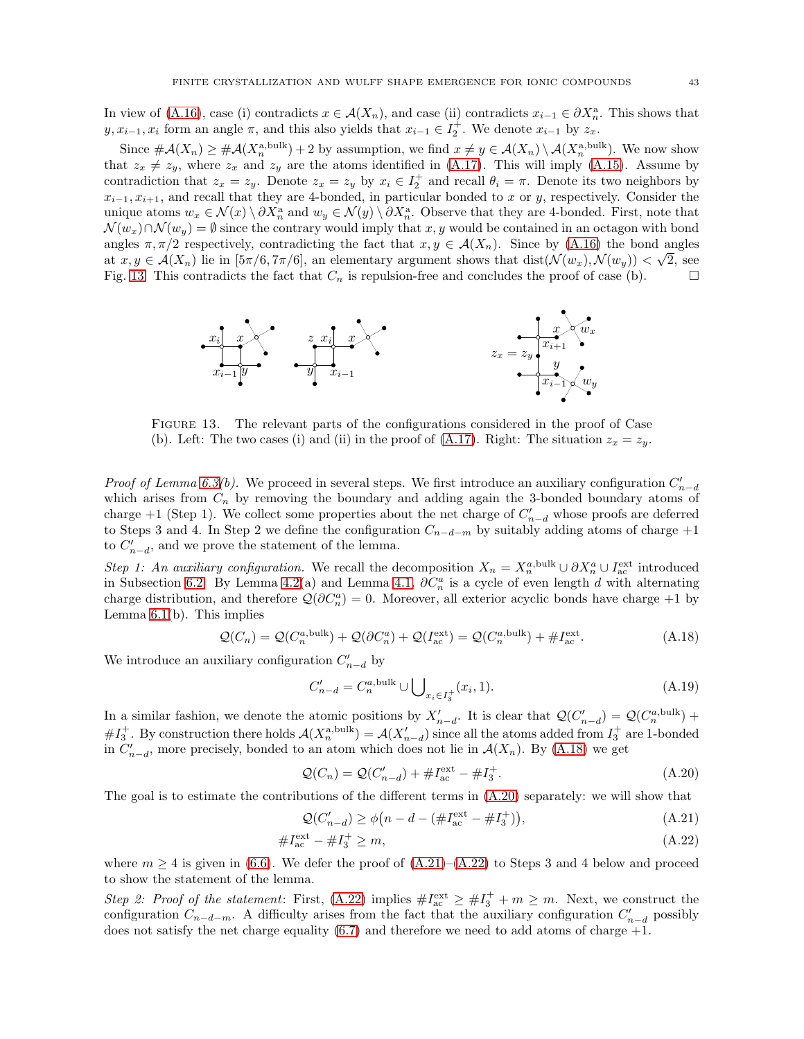In view of [\(A.16\)](#page-41-1), case (i) contradicts  $x \in \mathcal{A}(X_n)$ , and case (ii) contradicts  $x_{i-1} \in \partial X_n^{\mathbf{a}}$ . This shows that  $y, x_{i-1}, x_i$  form an angle  $\pi$ , and this also yields that  $x_{i-1} \in I_2^+$ . We denote  $x_{i-1}$  by  $z_x$ .

Since  $\#\mathcal{A}(X_n) \geq \#\mathcal{A}(X_n^{\text{a,bulk}}) + 2$  by assumption, we find  $x \neq y \in \mathcal{A}(X_n) \setminus \mathcal{A}(X_n^{\text{a,bulk}})$ . We now show that  $z_x \neq z_y$ , where  $z_x$  and  $z_y$  are the atoms identified in [\(A.17\)](#page-41-2). This will imply [\(A.15\)](#page-41-0). Assume by contradiction that  $z_x = z_y$ . Denote  $z_x = z_y$  by  $x_i \in I_2^+$  and recall  $\theta_i = \pi$ . Denote its two neighbors by  $x_{i-1}, x_{i+1}$ , and recall that they are 4-bonded, in particular bonded to x or y, respectively. Consider the unique atoms  $w_x \in \mathcal{N}(x) \setminus \partial X_n^{\mathsf{a}}$  and  $w_y \in \mathcal{N}(y) \setminus \partial X_n^{\mathsf{a}}$ . Observe that they are 4-bonded. First, note that  $\mathcal{N}(w_x)\cap \mathcal{N}(w_y) = \emptyset$  since the contrary would imply that x, y would be contained in an octagon with bond angles  $\pi, \pi/2$  respectively, contradicting the fact that  $x, y \in \mathcal{A}(X_n)$ . Since by [\(A.16\)](#page-41-1) the bond angles at  $x, y \in \mathcal{A}(X_n)$  lie in  $[5\pi/6, 7\pi/6]$ , an elementary argument shows that  $dist(\mathcal{N}(w_x), \mathcal{N}(w_y)) < \sqrt{2}$ , see Fig. [13.](#page-42-0) This contradicts the fact that  $C_n$  is repulsion-free and concludes the proof of case (b).  $\Box$ 



<span id="page-42-0"></span>Figure 13. The relevant parts of the configurations considered in the proof of Case (b). Left: The two cases (i) and (ii) in the proof of [\(A.17\)](#page-41-2). Right: The situation  $z_x = z_y$ .

*Proof of Lemma [6.3\(](#page-24-1)b).* We proceed in several steps. We first introduce an auxiliary configuration  $C'_{n-d}$ which arises from  $C_n$  by removing the boundary and adding again the 3-bonded boundary atoms of charge +1 (Step 1). We collect some properties about the net charge of  $C'_{n-d}$  whose proofs are deferred to Steps 3 and 4. In Step 2 we define the configuration  $C_{n-d-m}$  by suitably adding atoms of charge +1 to  $C'_{n-d}$ , and we prove the statement of the lemma.

Step 1: An auxiliary configuration. We recall the decomposition  $X_n = X_n^{a,\text{bulk}} \cup \partial X_n^a \cup I_{\text{ac}}^{\text{ext}}$  introduced in Subsection [6.2.](#page-23-4) By Lemma [4.2\(](#page-13-0)a) and Lemma [4.1,](#page-12-5)  $\partial C_n^a$  is a cycle of even length d with alternating charge distribution, and therefore  $\mathcal{Q}(\partial C_n^a) = 0$ . Moreover, all exterior acyclic bonds have charge +1 by Lemma  $6.1(b)$ . This implies

$$
\mathcal{Q}(C_n) = \mathcal{Q}(C_n^{a,\text{bulk}}) + \mathcal{Q}(\partial C_n^a) + \mathcal{Q}(I_{\text{ac}}^{\text{ext}}) = \mathcal{Q}(C_n^{a,\text{bulk}}) + \#I_{\text{ac}}^{\text{ext}}.
$$
\n(A.18)

We introduce an auxiliary configuration  $C'_{n-d}$  by

<span id="page-42-5"></span><span id="page-42-1"></span>
$$
C'_{n-d} = C_n^{a, bulk} \cup \bigcup_{x_i \in I_3^+} (x_i, 1).
$$
\n(A.19)

In a similar fashion, we denote the atomic positions by  $X'_{n-d}$ . It is clear that  $\mathcal{Q}(C'_{n-d}) = \mathcal{Q}(C_n^{a,\text{bulk}})$  +  $#I_3^+$ . By construction there holds  $\mathcal{A}(X_n^{\text{a,bulk}}) = \mathcal{A}(X_{n-d}')$  since all the atoms added from  $I_3^+$  are 1-bonded in  $C'_{n-d}$ , more precisely, bonded to an atom which does not lie in  $\mathcal{A}(X_n)$ . By  $(A.18)$  we get

<span id="page-42-2"></span>
$$
Q(C_n) = Q(C'_{n-d}) + \#I_{ac}^{\text{ext}} - \#I_3^+.
$$
\n(A.20)

The goal is to estimate the contributions of the different terms in [\(A.20\)](#page-42-2) separately: we will show that

<span id="page-42-4"></span><span id="page-42-3"></span>
$$
\mathcal{Q}(C'_{n-d}) \ge \phi\big(n - d - (\#I_{ac}^{\text{ext}} - \#I_{3}^{+})\big),\tag{A.21}
$$

$$
\#I_{ac}^{\text{ext}} - \#I_3^+ \ge m,\tag{A.22}
$$

where  $m \geq 4$  is given in [\(6.6\)](#page-24-0). We defer the proof of  $(A.21)$ – $(A.22)$  to Steps 3 and 4 below and proceed to show the statement of the lemma.

Step 2: Proof of the statement: First, [\(A.22\)](#page-42-4) implies  $\#I_{ac}^{\text{ext}} \geq \#I_{3}^{+} + m \geq m$ . Next, we construct the configuration  $C_{n-d-m}$ . A difficulty arises from the fact that the auxiliary configuration  $C'_{n-d}$  possibly does not satisfy the net charge equality  $(6.7)$  and therefore we need to add atoms of charge  $+1$ .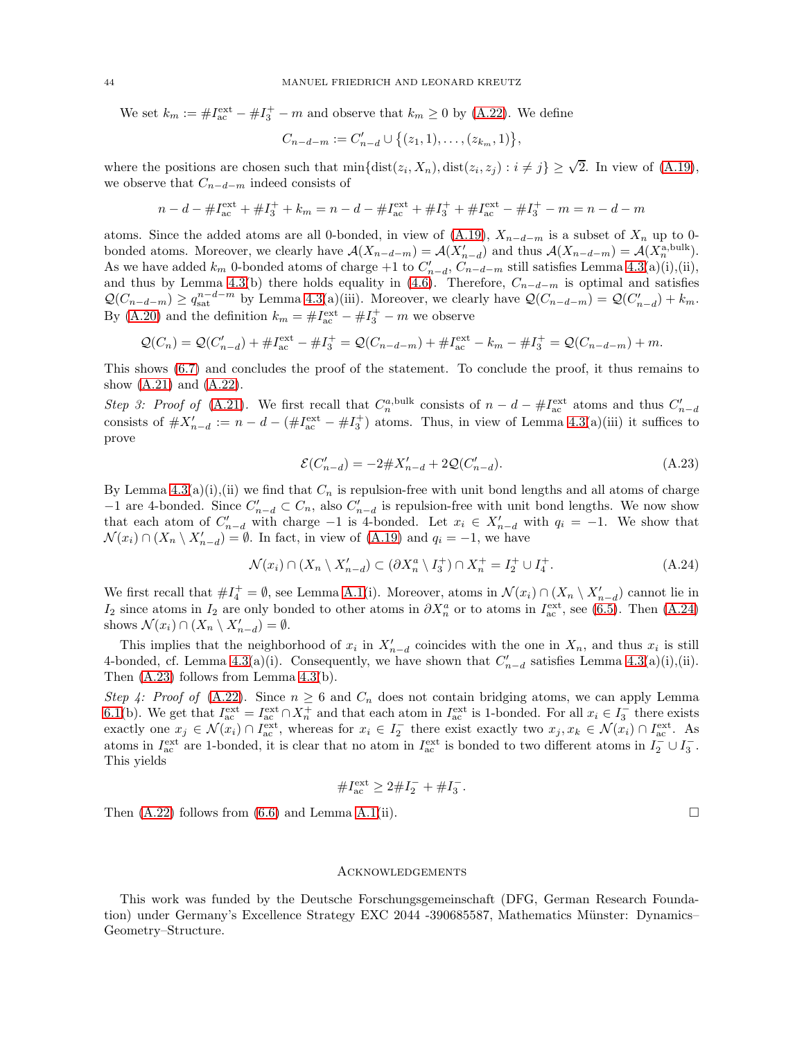We set  $k_m := \#I_{ac}^{\text{ext}} - \#I_3^+ - m$  and observe that  $k_m \ge 0$  by [\(A.22\)](#page-42-4). We define

$$
C_{n-d-m} := C'_{n-d} \cup \{(z_1,1),\ldots,(z_{k_m},1)\},\,
$$

where the positions are chosen such that  $\min\{\text{dist}(z_i, X_n), \text{dist}(z_i, z_j) : i \neq j\} \geq \sqrt{2}$ . In view of [\(A.19\)](#page-42-5), we observe that  $C_{n-d-m}$  indeed consists of

$$
n - d - \# I_{ac}^{\text{ext}} + \# I_{3}^{+} + k_{m} = n - d - \# I_{ac}^{\text{ext}} + \# I_{3}^{+} + \# I_{ac}^{\text{ext}} - \# I_{3}^{+} - m = n - d - m
$$

atoms. Since the added atoms are all 0-bonded, in view of  $(A.19)$ ,  $X_{n-d-m}$  is a subset of  $X_n$  up to 0bonded atoms. Moreover, we clearly have  $\mathcal{A}(X_{n-d-m}) = \mathcal{A}(X'_{n-d})$  and thus  $\mathcal{A}(X_{n-d-m}) = \mathcal{A}(X^{a, bulk}_{n})$ . As we have added  $k_m$  0-bonded atoms of charge +1 to  $C'_{n-d}$ ,  $C_{n-d-m}$  still satisfies Lemma [4.3\(](#page-14-0)a)(i),(ii), and thus by Lemma [4.3\(](#page-14-0)b) there holds equality in [\(4.6\)](#page-14-1). Therefore,  $C_{n-d-m}$  is optimal and satisfies  $\mathcal{Q}(C_{n-d-m}) \geq q_{\text{sat}}^{n-d-m}$  by Lemma [4.3\(](#page-14-0)a)(iii). Moreover, we clearly have  $\mathcal{Q}(C_{n-d-m}) = \mathcal{Q}(C'_{n-d}) + k_m$ . By [\(A.20\)](#page-42-2) and the definition  $k_m = \#I_{ac}^{\text{ext}} - \#I_{3}^{+} - m$  we observe

$$
Q(C_n) = Q(C'_{n-d}) + \#I_{ac}^{\text{ext}} - \#I_{3}^{+} = Q(C_{n-d-m}) + \#I_{ac}^{\text{ext}} - k_m - \#I_{3}^{+} = Q(C_{n-d-m}) + m.
$$

This shows [\(6.7\)](#page-25-5) and concludes the proof of the statement. To conclude the proof, it thus remains to show  $(A.21)$  and  $(A.22)$ .

Step 3: Proof of [\(A.21\)](#page-42-3). We first recall that  $C_n^{a, bulk}$  consists of  $n - d - \#I_{ac}^{\text{ext}}$  atoms and thus  $C'_{n-d}$ consists of  $\#X'_{n-d} := n-d - (\#I_{ac}^{\text{ext}} - \#I_{3}^{+})$  atoms. Thus, in view of Lemma [4.3\(](#page-14-0)a)(iii) it suffices to prove

$$
\mathcal{E}(C'_{n-d}) = -2 \# X'_{n-d} + 2 \mathcal{Q}(C'_{n-d}). \tag{A.23}
$$

By Lemma  $4.3(a)(i),(ii)$  we find that  $C_n$  is repulsion-free with unit bond lengths and all atoms of charge −1 are 4-bonded. Since  $C'_{n-d} \subset C_n$ , also  $C'_{n-d}$  is repulsion-free with unit bond lengths. We now show that each atom of  $C'_{n-d}$  with charge -1 is 4-bonded. Let  $x_i \in X'_{n-d}$  with  $q_i = -1$ . We show that  $\mathcal{N}(x_i) \cap (X_n \setminus X'_{n-d}) = \emptyset$ . In fact, in view of [\(A.19\)](#page-42-5) and  $q_i = -1$ , we have

$$
\mathcal{N}(x_i) \cap (X_n \setminus X'_{n-d}) \subset (\partial X_n^a \setminus I_3^+) \cap X_n^+ = I_2^+ \cup I_4^+.
$$
\n(A.24)

We first recall that  $\#I_4^+ = \emptyset$ , see Lemma [A.1\(](#page-40-1)i). Moreover, atoms in  $\mathcal{N}(x_i) \cap (X_n \setminus X'_{n-d})$  cannot lie in I<sub>2</sub> since atoms in I<sub>2</sub> are only bonded to other atoms in  $\partial X_n^a$  or to atoms in I<sub>ac</sub><sup>t</sup>, see [\(6.5\)](#page-24-3). Then [\(A.24\)](#page-43-0) shows  $\mathcal{N}(x_i) \cap (X_n \setminus X'_{n-d}) = \emptyset$ .

This implies that the neighborhood of  $x_i$  in  $X'_{n-d}$  coincides with the one in  $X_n$ , and thus  $x_i$  is still 4-bonded, cf. Lemma [4.3\(](#page-14-0)a)(i). Consequently, we have shown that  $C'_{n-d}$  satisfies Lemma 4.3(a)(i),(ii). Then [\(A.23\)](#page-43-1) follows from Lemma [4.3\(](#page-14-0)b).

Step 4: Proof of  $(A.22)$ . Since  $n \ge 6$  and  $C_n$  does not contain bridging atoms, we can apply Lemma [6.1\(](#page-23-2)b). We get that  $I_{ac}^{\text{ext}} = I_{ac}^{\text{ext}} \cap X_n^+$  and that each atom in  $I_{ac}^{\text{ext}}$  is 1-bonded. For all  $x_i \in I_3^-$  there exists exactly one  $x_j \in \mathcal{N}(x_i) \cap I_{ac}^{\text{ext}}$ , whereas for  $x_i \in I_2^-$  there exist exactly two  $x_j, x_k \in \mathcal{N}(x_i) \cap I_{ac}^{\text{ext}}$ . As atoms in  $I_{ac}^{\text{ext}}$  are 1-bonded, it is clear that no atom in  $I_{ac}^{\text{ext}}$  is bonded to two different atoms in  $I_2^- \cup I_3^-$ . This yields

$$
\#I_{\rm ac}^{\rm ext}\geq 2\#I_2^-+\#I_3^-.
$$

Then  $(A.22)$  follows from  $(6.6)$  and Lemma  $A.1(ii)$ .

<span id="page-43-1"></span><span id="page-43-0"></span>

#### Acknowledgements

This work was funded by the Deutsche Forschungsgemeinschaft (DFG, German Research Foundation) under Germany's Excellence Strategy EXC 2044 -390685587, Mathematics Münster: Dynamics– Geometry–Structure.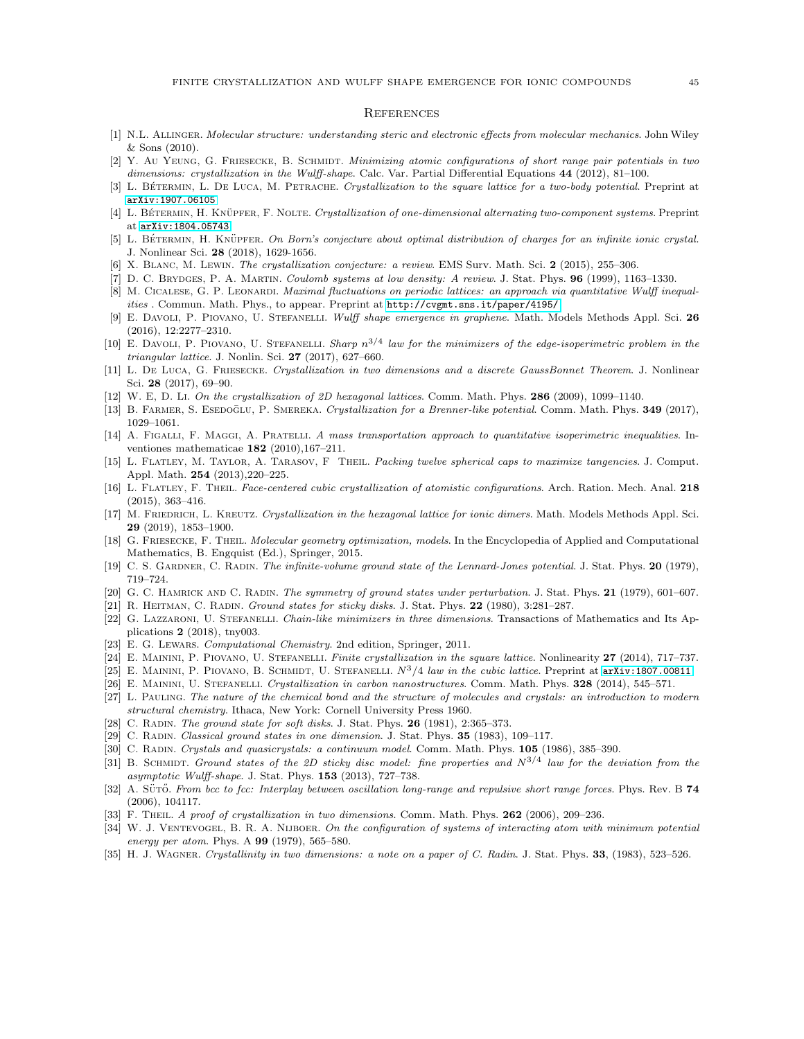#### **REFERENCES**

- <span id="page-44-29"></span><span id="page-44-11"></span>[1] N.L. Allinger. Molecular structure: understanding steric and electronic effects from molecular mechanics. John Wiley & Sons (2010).
- [2] Y. Au YEUNG, G. FRIESECKE, B. SCHMIDT. Minimizing atomic configurations of short range pair potentials in two dimensions: crystallization in the Wulff-shape. Calc. Var. Partial Differential Equations 44 (2012), 81–100.
- <span id="page-44-23"></span><span id="page-44-15"></span>[3] L. BÉTERMIN, L. DE LUCA, M. PETRACHE. Crystallization to the square lattice for a two-body potential. Preprint at [arXiv:1907.06105](https://arxiv.org/abs/1907.06105)
- <span id="page-44-27"></span>[4] L. BÉTERMIN, H. KNÜPFER, F. NOLTE. Crystallization of one-dimensional alternating two-component systems. Preprint at [arXiv:1804.05743](https://arxiv.org/abs/1804.05743)
- <span id="page-44-0"></span>[5] L. BÉTERMIN, H. KNÜPFER. On Born's conjecture about optimal distribution of charges for an infinite ionic crystal. J. Nonlinear Sci. 28 (2018), 1629-1656.
- <span id="page-44-24"></span>[6] X. Blanc, M. Lewin. The crystallization conjecture: a review. EMS Surv. Math. Sci. 2 (2015), 255–306.
- <span id="page-44-28"></span>[7] D. C. Brydges, P. A. Martin. Coulomb systems at low density: A review. J. Stat. Phys. 96 (1999), 1163–1330.
- [8] M. CICALESE, G. P. LEONARDI. Maximal fluctuations on periodic lattices: an approach via quantitative Wulff inequalities . Commun. Math. Phys., to appear. Preprint at <http://cvgmt.sns.it/paper/4195/>
- <span id="page-44-12"></span>[9] E. DAVOLI, P. PIOVANO, U. STEFANELLI. Wulff shape emergence in graphene. Math. Models Methods Appl. Sci. 26 (2016), 12:2277–2310.
- <span id="page-44-13"></span>[10] E. DAVOLI, P. PIOVANO, U. STEFANELLI. Sharp  $n^{3/4}$  law for the minimizers of the edge-isoperimetric problem in the triangular lattice. J. Nonlin. Sci. 27 (2017), 627–660.
- <span id="page-44-5"></span>[11] L. DE LUCA, G. FRIESECKE. Crystallization in two dimensions and a discrete GaussBonnet Theorem. J. Nonlinear Sci. 28 (2017), 69–90.
- <span id="page-44-17"></span><span id="page-44-16"></span>[12] W. E, D. Li. On the crystallization of 2D hexagonal lattices. Comm. Math. Phys. 286 (2009), 1099-1140.
- <span id="page-44-34"></span>[13] B. FARMER, S. ESEDOGLU, P. SMEREKA. Crystallization for a Brenner-like potential. Comm. Math. Phys. 349 (2017), 1029–1061.
- [14] A. FIGALLI, F. MAGGI, A. PRATELLI. A mass transportation approach to quantitative isoperimetric inequalities. Inventiones mathematicae  $182$  (2010), 167-211.
- <span id="page-44-19"></span>[15] L. FLATLEY, M. TAYLOR, A. TARASOV, F THEIL. Packing twelve spherical caps to maximize tangencies. J. Comput. Appl. Math. 254 (2013),220–225.
- <span id="page-44-20"></span>[16] L. FLATLEY, F. THEIL. Face-centered cubic crystallization of atomistic configurations. Arch. Ration. Mech. Anal. 218 (2015), 363–416.
- <span id="page-44-25"></span>[17] M. FRIEDRICH, L. KREUTZ. Crystallization in the hexagonal lattice for ionic dimers. Math. Models Methods Appl. Sci. 29 (2019), 1853–1900.
- <span id="page-44-30"></span>[18] G. FRIESECKE, F. THEIL. Molecular geometry optimization, models. In the Encyclopedia of Applied and Computational Mathematics, B. Engquist (Ed.), Springer, 2015.
- <span id="page-44-2"></span><span id="page-44-1"></span>[19] C. S. GARDNER, C. RADIN. The infinite-volume ground state of the Lennard-Jones potential. J. Stat. Phys. 20 (1979), 719–724.
- <span id="page-44-6"></span>[20] G. C. HAMRICK AND C. RADIN. The symmetry of ground states under perturbation. J. Stat. Phys. 21 (1979), 601–607.
- <span id="page-44-21"></span>[21] R. HEITMAN, C. RADIN. Ground states for sticky disks. J. Stat. Phys. 22 (1980), 3:281–287.
- [22] G. LAZZARONI, U. STEFANELLI. Chain-like minimizers in three dimensions. Transactions of Mathematics and Its Applications 2 (2018), tny003.
- <span id="page-44-31"></span><span id="page-44-7"></span>[23] E. G. LEWARS. Computational Chemistry. 2nd edition, Springer, 2011.
- <span id="page-44-14"></span>[24] E. MAININI, P. PIOVANO, U. STEFANELLI. Finite crystallization in the square lattice. Nonlinearity 27 (2014), 717–737.
- <span id="page-44-8"></span>[25] E. MAININI, P. PIOVANO, B. SCHMIDT, U. STEFANELLI.  $N^3/4$  law in the cubic lattice. Preprint at [arXiv:1807.00811](https://arxiv.org/abs/1807.00811).
- <span id="page-44-32"></span>[26] E. MAININI, U. STEFANELLI. Crystallization in carbon nanostructures. Comm. Math. Phys. 328 (2014), 545–571.
- [27] L. Pauling. The nature of the chemical bond and the structure of molecules and crystals: an introduction to modern structural chemistry. Ithaca, New York: Cornell University Press 1960.
- <span id="page-44-9"></span><span id="page-44-3"></span>[28] C. RADIN. The ground state for soft disks. J. Stat. Phys. 26 (1981), 2:365–373.
- <span id="page-44-26"></span>[29] C. RADIN. Classical ground states in one dimension. J. Stat. Phys. 35 (1983), 109–117.
- <span id="page-44-33"></span>[30] C. RADIN. Crystals and quasicrystals: a continuum model. Comm. Math. Phys. 105 (1986), 385-390.
- [31] B. SCHMIDT. Ground states of the 2D sticky disc model: fine properties and  $N^{3/4}$  law for the deviation from the asymptotic Wulff-shape. J. Stat. Phys. 153 (2013), 727–738.
- <span id="page-44-22"></span>[32] A. SÜTŐ. From bcc to fcc: Interplay between oscillation long-range and repulsive short range forces. Phys. Rev. B 74 (2006), 104117.
- <span id="page-44-18"></span><span id="page-44-4"></span>[33] F. THEIL. A proof of crystallization in two dimensions. Comm. Math. Phys. 262 (2006), 209-236.
- [34] W. J. VENTEVOGEL, B. R. A. NIJBOER. On the configuration of systems of interacting atom with minimum potential energy per atom. Phys. A 99 (1979), 565–580.
- <span id="page-44-10"></span>[35] H. J. WAGNER. Crystallinity in two dimensions: a note on a paper of C. Radin. J. Stat. Phys. 33, (1983), 523–526.